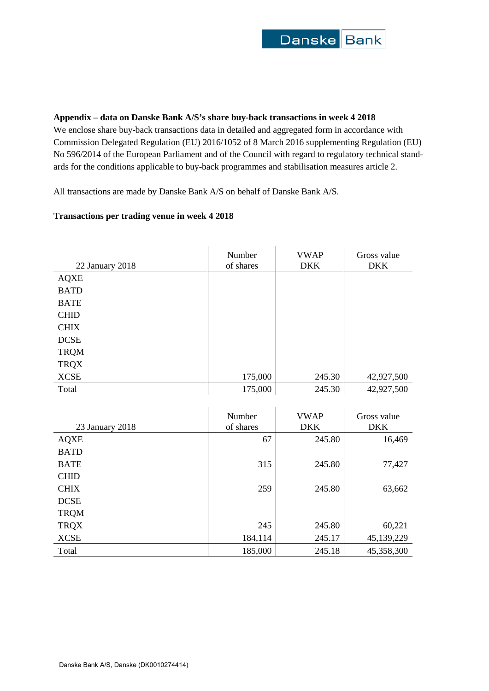## **Appendix – data on Danske Bank A/S's share buy-back transactions in week 4 2018**

We enclose share buy-back transactions data in detailed and aggregated form in accordance with Commission Delegated Regulation (EU) 2016/1052 of 8 March 2016 supplementing Regulation (EU) No 596/2014 of the European Parliament and of the Council with regard to regulatory technical standards for the conditions applicable to buy-back programmes and stabilisation measures article 2.

All transactions are made by Danske Bank A/S on behalf of Danske Bank A/S.

## **Transactions per trading venue in week 4 2018**

| 22 January 2018 | Number<br>of shares | <b>VWAP</b><br><b>DKK</b> | Gross value<br><b>DKK</b> |
|-----------------|---------------------|---------------------------|---------------------------|
| <b>AQXE</b>     |                     |                           |                           |
| <b>BATD</b>     |                     |                           |                           |
| <b>BATE</b>     |                     |                           |                           |
| <b>CHID</b>     |                     |                           |                           |
| <b>CHIX</b>     |                     |                           |                           |
| <b>DCSE</b>     |                     |                           |                           |
| <b>TRQM</b>     |                     |                           |                           |
| <b>TRQX</b>     |                     |                           |                           |
| <b>XCSE</b>     | 175,000             | 245.30                    | 42,927,500                |
| Total           | 175,000             | 245.30                    | 42,927,500                |

| 23 January 2018 | Number<br>of shares | <b>VWAP</b><br><b>DKK</b> | Gross value<br><b>DKK</b> |
|-----------------|---------------------|---------------------------|---------------------------|
| <b>AQXE</b>     | 67                  | 245.80                    | 16,469                    |
| <b>BATD</b>     |                     |                           |                           |
| <b>BATE</b>     | 315                 | 245.80                    | 77,427                    |
| <b>CHID</b>     |                     |                           |                           |
| <b>CHIX</b>     | 259                 | 245.80                    | 63,662                    |
| <b>DCSE</b>     |                     |                           |                           |
| <b>TRQM</b>     |                     |                           |                           |
| <b>TRQX</b>     | 245                 | 245.80                    | 60,221                    |
| <b>XCSE</b>     | 184,114             | 245.17                    | 45,139,229                |
| Total           | 185,000             | 245.18                    | 45,358,300                |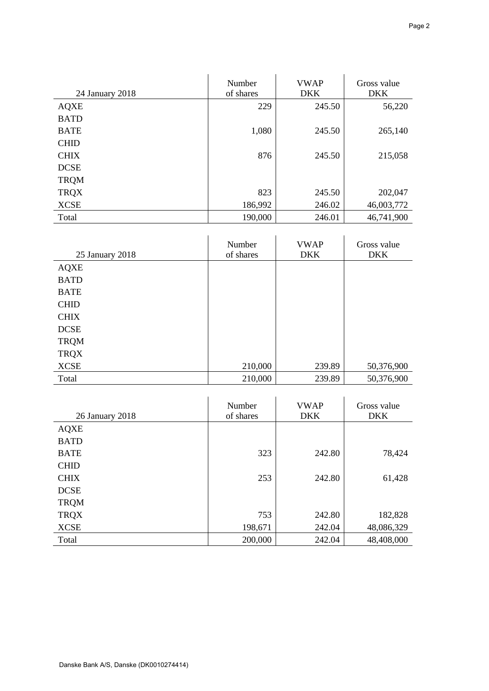| 24 January 2018 | Number<br>of shares | <b>VWAP</b><br><b>DKK</b> | Gross value<br><b>DKK</b> |
|-----------------|---------------------|---------------------------|---------------------------|
| <b>AQXE</b>     | 229                 | 245.50                    | 56,220                    |
| <b>BATD</b>     |                     |                           |                           |
| <b>BATE</b>     | 1,080               | 245.50                    | 265,140                   |
| <b>CHID</b>     |                     |                           |                           |
| <b>CHIX</b>     | 876                 | 245.50                    | 215,058                   |
| <b>DCSE</b>     |                     |                           |                           |
| <b>TRQM</b>     |                     |                           |                           |
| <b>TRQX</b>     | 823                 | 245.50                    | 202,047                   |
| <b>XCSE</b>     | 186,992             | 246.02                    | 46,003,772                |
| Total           | 190,000             | 246.01                    | 46,741,900                |

| 25 January 2018 | Number<br>of shares | <b>VWAP</b><br><b>DKK</b> | Gross value<br><b>DKK</b> |
|-----------------|---------------------|---------------------------|---------------------------|
| <b>AQXE</b>     |                     |                           |                           |
| <b>BATD</b>     |                     |                           |                           |
| <b>BATE</b>     |                     |                           |                           |
| <b>CHID</b>     |                     |                           |                           |
| <b>CHIX</b>     |                     |                           |                           |
| <b>DCSE</b>     |                     |                           |                           |
| <b>TRQM</b>     |                     |                           |                           |
| <b>TRQX</b>     |                     |                           |                           |
| <b>XCSE</b>     | 210,000             | 239.89                    | 50,376,900                |
| Total           | 210,000             | 239.89                    | 50,376,900                |

| 26 January 2018 | Number<br>of shares | <b>VWAP</b><br><b>DKK</b> | Gross value<br><b>DKK</b> |
|-----------------|---------------------|---------------------------|---------------------------|
| <b>AQXE</b>     |                     |                           |                           |
| <b>BATD</b>     |                     |                           |                           |
| <b>BATE</b>     | 323                 | 242.80                    | 78,424                    |
| <b>CHID</b>     |                     |                           |                           |
| <b>CHIX</b>     | 253                 | 242.80                    | 61,428                    |
| <b>DCSE</b>     |                     |                           |                           |
| <b>TRQM</b>     |                     |                           |                           |
| <b>TRQX</b>     | 753                 | 242.80                    | 182,828                   |
| <b>XCSE</b>     | 198,671             | 242.04                    | 48,086,329                |
| Total           | 200,000             | 242.04                    | 48,408,000                |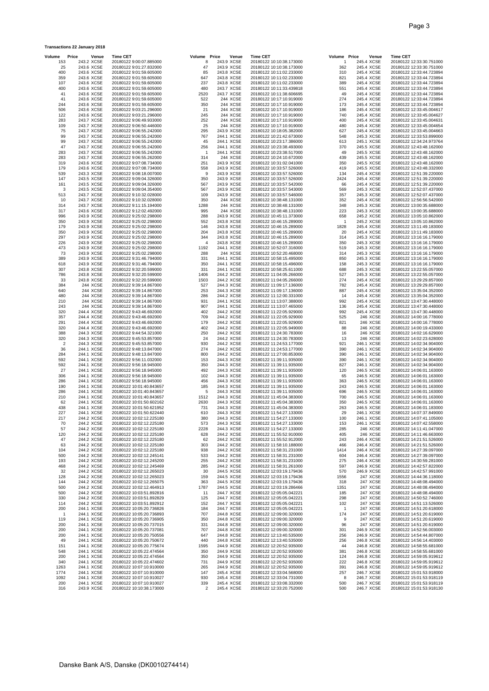| Volume                | Price | Venue                    | <b>Time CET</b>                                      | Volume Price   | Venue                    | <b>Time CET</b>                                      | Volume Price | Venue                    | <b>Time CET</b>                                      |
|-----------------------|-------|--------------------------|------------------------------------------------------|----------------|--------------------------|------------------------------------------------------|--------------|--------------------------|------------------------------------------------------|
| 153                   |       | 243.2 XCSE               | 20180122 9:00:07.885000                              | 8              | 243.9 XCSE               | 20180122 10:10:38.173000                             | -1           | 245.4 XCSE               | 20180122 12:33:30.751000                             |
| 25                    |       | 243.6 XCSE               | 20180122 9:01:27.832000                              | 47             | 243.9 XCSE               | 20180122 10:10:38.173000                             | 362          | 245.4 XCSE               | 20180122 12:33:30.751000                             |
| 400                   |       | 243.6 XCSE               | 20180122 9:01:59.605000                              | 85             | 243.8 XCSE               | 20180122 10:11:02.233000                             | 310          | 245.4 XCSE               | 20180122 12:33:44.723894                             |
| 359                   |       | 243.6 XCSE               | 20180122 9:01:59.605000                              | 647            | 243.8 XCSE               | 20180122 10:11:02.233000                             | 821          | 245.4 XCSE               | 20180122 12:33:44.723894                             |
| 107                   |       | 243.6 XCSE               | 20180122 9:01:59.605000                              | 237            | 243.8 XCSE               | 20180122 10:11:02.233000                             | 389          | 245.4 XCSE               | 20180122 12:33:44.723894                             |
| 400                   |       | 243.6 XCSE               | 20180122 9:01:59.605000                              | 480            | 243.7 XCSE               | 20180122 10:11:33.439818                             | 551          | 245.4 XCSE               | 20180122 12:33:44.723894                             |
| 41                    |       | 243.6 XCSE<br>243.6 XCSE | 20180122 9:01:59.605000                              | 2520           | 243.7 XCSE               | 20180122 10:11:38.606695                             | 49           | 245.4 XCSE               | 20180122 12:33:44.723894                             |
| 41<br>244             |       | 243.6 XCSE               | 20180122 9:01:59.605000<br>20180122 9:01:59.605000   | 522<br>350     | 244 XCSE<br>244 XCSE     | 20180122 10:17:10.919000<br>20180122 10:17:10.919000 | 274<br>173   | 245.4 XCSE<br>245.4 XCSE | 20180122 12:33:44.723894<br>20180122 12:33:44.723894 |
| 506                   |       | 243.6 XCSE               | 20180122 9:03:21.296000                              | 21             | 244 XCSE                 | 20180122 10:17:10.919000                             | 186          | 245.4 XCSE               | 20180122 12:33:45.004617                             |
| 122                   |       | 243.6 XCSE               | 20180122 9:03:21.296000                              | 245            | 244 XCSE                 | 20180122 10:17:10.919000                             | 740          | 245.4 XCSE               | 20180122 12:33:45.004627                             |
| 283                   |       | 243.7 XCSE               | 20180122 9:06:49.933000                              | 252            | 244 XCSE                 | 20180122 10:17:10.919000                             | 400          | 245.4 XCSE               | 20180122 12:33:45.004631                             |
| 109                   |       | 243.7 XCSE               | 20180122 9:06:50.446000                              | 25             | 244 XCSE                 | 20180122 10:17:10.919000                             | 480          | 245.4 XCSE               | 20180122 12:33:45.004654                             |
| 75                    |       | 243.7 XCSE               | 20180122 9:06:55.242000                              | 295            | 243.9 XCSE               | 20180122 10:18:05.382000                             | 627          | 245.4 XCSE               | 20180122 12:33:45.004663                             |
| 99                    |       | 243.7 XCSE               | 20180122 9:06:55.242000                              | 767            | 244.1 XCSE               | 20180122 10:21:42.673000                             | 548          | 245.3 XCSE               | 20180122 12:33:53.899000                             |
| 99                    |       | 243.7 XCSE               | 20180122 9:06:55.242000                              | 45             | 244.1 XCSE               | 20180122 10:23:17.386000                             | 613          | 245.1 XCSE               | 20180122 12:34:24.973764                             |
| 47                    |       | 243.7 XCSE               | 20180122 9:06:55.242000                              | 256            | 244.1 XCSE               | 20180122 10:23:38.493000                             | 370          | 245.5 XCSE               | 20180122 12:43:48.162000                             |
| 283                   |       | 243.7 XCSE               | 20180122 9:06:55.242000                              | $\overline{1}$ | 244.1 XCSE               | 20180122 10:23:38.517000                             | 49           | 245.5 XCSE               | 20180122 12:43:48.162000                             |
| 283                   |       | 243.7 XCSE               | 20180122 9:06:55.262000                              | 314            | 244 XCSE                 | 20180122 10:24:10.672000                             | 439          | 245.5 XCSE               | 20180122 12:43:48.162000                             |
| 319                   |       | 243.6 XCSE               | 20180122 9:07:08.734000                              | 251            | 243.9 XCSE               | 20180122 10:31:02.041000                             | 350          | 245.5 XCSE               | 20180122 12:43:48.162000                             |
| 179                   |       | 243.6 XCSE               | 20180122 9:07:08.734000                              | 558            | 243.9 XCSE               | 20180122 10:33:57.526000                             | 419          | 245.5 XCSE               | 20180122 12:43:48.332000                             |
| 539                   |       | 243.3 XCSE               | 20180122 9:08:18.007000                              | 9              | 243.9 XCSE               | 20180122 10:33:57.526000                             | 134          | 245.4 XCSE               | 20180122 12:51:39.220000                             |
| 147                   |       | 243.5 XCSE               | 20180122 9:09:04.326000                              | 350            | 243.9 XCSE               | 20180122 10:33:57.526000                             | 2424         | 245.4 XCSE               | 20180122 12:51:39.220000                             |
| 161<br>3              |       | 243.5 XCSE<br>243.5 XCSE | 20180122 9:09:04.326000<br>20180122 9:09:04.354000   | 567<br>567     | 243.9 XCSE<br>243.9 XCSE | 20180122 10:33:57.542000<br>20180122 10:33:57.543000 | 66<br>569    | 245.4 XCSE<br>245.3 XCSE | 20180122 12:51:39.220000<br>20180122 12:52:07.437000 |
| 513                   |       | 243.7 XCSE               | 20180122 9:10:32.028000                              | 109            | 243.9 XCSE               | 20180122 10:33:57.546000                             | 357          | 245.3 XCSE               | 20180122 12:52:07.437000                             |
| 10                    |       | 243.7 XCSE               | 20180122 9:10:32.028000                              | 350            | 244 XCSE                 | 20180122 10:38:48.131000                             | 352          | 245.4 XCSE               | 20180122 12:56:56.542000                             |
| 314                   |       | 243.7 XCSE               | 20180122 9:11:15.194000                              | 1288           | 244 XCSE                 | 20180122 10:38:48.131000                             | 348          | 245.3 XCSE               | 20180122 13:00:35.688000                             |
| 317                   |       | 243.6 XCSE               | 20180122 9:12:02.492000                              | 995            | 244 XCSE                 | 20180122 10:38:48.131000                             | 223          | 245.3 XCSE               | 20180122 13:00:35.688000                             |
| 996                   |       | 243.9 XCSE               | 20180122 9:25:02.298000                              | 288            | 243.9 XCSE               | 20180122 10:45:11.373000                             | 658          | 245.2 XCSE               | 20180122 13:05:10.862000                             |
| 350                   |       | 243.9 XCSE               | 20180122 9:25:02.298000                              | 552            | 243.8 XCSE               | 20180122 10:46:15.289000                             | $\mathbf{1}$ | 245.2 XCSE               | 20180122 13:05:10.862000                             |
| 179                   |       | 243.9 XCSE               | 20180122 9:25:02.298000                              | 146            | 243.8 XCSE               | 20180122 10:46:15.289000                             | 1828         | 245.4 XCSE               | 20180122 13:11:49.183000                             |
| 350                   |       | 243.9 XCSE               | 20180122 9:25:02.298000                              | 204            | 243.8 XCSE               | 20180122 10:46:15.289000                             | 20           | 245.4 XCSE               | 20180122 13:11:49.183000                             |
| 297                   |       | 243.9 XCSE               | 20180122 9:25:02.298000                              | 344            | 243.8 XCSE               | 20180122 10:46:15.289000                             | 314          | 245.3 XCSE               | 20180122 13:16:16.179000                             |
| 226                   |       | 243.9 XCSE               | 20180122 9:25:02.298000                              | 4              | 243.8 XCSE               | 20180122 10:46:15.289000                             | 350          | 245.3 XCSE               | 20180122 13:16:16.179000                             |
| 473                   |       | 243.9 XCSE               | 20180122 9:25:02.298000                              | 1192           | 244.1 XCSE               | 20180122 10:52:07.316000                             | 519          | 245.3 XCSE               | 20180122 13:16:16.179000                             |
| 73                    |       | 243.9 XCSE               | 20180122 9:25:02.298000                              | 288            | 244 XCSE                 | 20180122 10:52:20.468000                             | 314          | 245.3 XCSE               | 20180122 13:16:16.179000                             |
| 389                   |       | 243.9 XCSE               | 20180122 9:31:46.794000                              | 331            | 244.1 XCSE               | 20180122 10:58:15.495000                             | 850          | 245.3 XCSE               | 20180122 13:16:16.179000                             |
| 618                   |       | 243.9 XCSE               | 20180122 9:31:46.794000<br>20180122 9:32:20.599000   | 350            | 244.1 XCSE               | 20180122 10:58:15.496000<br>20180122 10:58:25.611000 | 158          | 245.3 XCSE               | 20180122 13:16:16.179000                             |
| 307<br>786            |       | 243.8 XCSE<br>243.8 XCSE | 20180122 9:32:20.599000                              | 331<br>1406    | 244.1 XCSE<br>244.2 XCSE | 20180122 11:04:05.266000                             | 688<br>527   | 245.3 XCSE<br>245.3 XCSE | 20180122 13:22:55.057000<br>20180122 13:22:55.057000 |
| 33                    |       | 243.8 XCSE               | 20180122 9:32:20.599000                              | 1503           | 244.2 XCSE               | 20180122 11:04:05.266000                             | 274          | 245.4 XCSE               | 20180122 13:29:29.857000                             |
| 384                   |       | 244 XCSE                 | 20180122 9:39:14.867000                              | 527            | 244.3 XCSE               | 20180122 11:09:17.136000                             | 782          | 245.4 XCSE               | 20180122 13:29:29.857000                             |
| 640                   |       | 244 XCSE                 | 20180122 9:39:14.867000                              | 253            | 244.3 XCSE               | 20180122 11:09:17.136000                             | 887          | 245.4 XCSE               | 20180122 13:35:04.352000                             |
| 480                   |       | 244 XCSE                 | 20180122 9:39:14.867000                              | 286            | 244.2 XCSE               | 20180122 11:12:00.331000                             | 14           | 245.4 XCSE               | 20180122 13:35:04.352000                             |
| 210                   |       | 244 XCSE                 | 20180122 9:39:14.867000                              | 931            | 244.1 XCSE               | 20180122 11:13:07.388000                             | 992          | 245.4 XCSE               | 20180122 13:47:30.448000                             |
| 243                   |       | 244 XCSE                 | 20180122 9:39:14.867000                              | 907            | 244.1 XCSE               | 20180122 11:13:07.465000                             | 136          | 245.4 XCSE               | 20180122 13:47:30.448000                             |
| 320                   |       | 244.4 XCSE               | 20180122 9:43:46.692000                              | 402            | 244.2 XCSE               | 20180122 11:22:05.929000                             | 992          | 245.4 XCSE               | 20180122 13:47:30.448000                             |
| 357                   |       | 244.4 XCSE               | 20180122 9:43:46.692000                              | 709            | 244.2 XCSE               | 20180122 11:22:05.929000                             | 525          | 246 XCSE                 | 20180122 14:00:16.778000                             |
| 291                   |       | 244.4 XCSE               | 20180122 9:43:46.692000                              | 179            | 244.2 XCSE               | 20180122 11:22:05.929000                             | 821          | 246 XCSE                 | 20180122 14:00:16.778000                             |
| 320                   |       | 244.4 XCSE               | 20180122 9:43:46.692000                              | 402            | 244.2 XCSE               | 20180122 11:22:05.949000                             | 88           | 246 XCSE                 | 20180122 14:00:19.433000                             |
| 388                   |       | 244.3 XCSE               | 20180122 9:44:54.321000                              | 250            | 244.2 XCSE               | 20180122 11:24:30.783000                             | 16           | 246 XCSE                 | 20180122 14:02:16.629000                             |
| 320<br>$\overline{2}$ |       | 244.3 XCSE<br>244.3 XCSE | 20180122 9:45:53.857000<br>20180122 9:45:53.857000   | 24<br>930      | 244.2 XCSE<br>244.2 XCSE | 20180122 11:24:30.783000<br>20180122 11:24:53.177000 | 13<br>921    | 246 XCSE<br>246.1 XCSE   | 20180122 14:02:23.628000<br>20180122 14:02:34.904000 |
| 36                    |       | 244.1 XCSE               | 20180122 9:48:13.847000                              | 274            | 244.2 XCSE               | 20180122 11:24:53.177000                             | 390          | 246.1 XCSE               | 20180122 14:02:34.904000                             |
| 284                   |       | 244.1 XCSE               | 20180122 9:48:13.847000                              | 800            | 244.2 XCSE               | 20180122 11:27:00.853000                             | 390          | 246.1 XCSE               | 20180122 14:02:34.904000                             |
| 592                   |       | 244.1 XCSE               | 20180122 9:56:11.032000                              | 153            | 244.3 XCSE               | 20180122 11:39:11.935000                             | 390          | 246.1 XCSE               | 20180122 14:02:34.904000                             |
| 592                   |       | 244.1 XCSE               | 20180122 9:56:18.945000                              | 350            | 244.3 XCSE               | 20180122 11:39:11.935000                             | 827          | 246.1 XCSE               | 20180122 14:02:34.904000                             |
| 27                    |       | 244.1 XCSE               | 20180122 9:56:18.945000                              | 492            | 244.3 XCSE               | 20180122 11:39:11.935000                             | 120          | 246.5 XCSE               | 20180122 14:06:01.163000                             |
| 306                   |       | 244.1 XCSE               | 20180122 9:56:18.945000                              | 102            | 244.3 XCSE               | 20180122 11:39:11.935000                             | 65           | 246.5 XCSE               | 20180122 14:06:01.163000                             |
| 286                   |       | 244.1 XCSE               | 20180122 9:56:18.945000                              | 456            | 244.3 XCSE               | 20180122 11:39:11.935000                             | 363          | 246.5 XCSE               | 20180122 14:06:01.163000                             |
| 190                   |       | 244.1 XCSE               | 20180122 10:01:40.843657                             | 185            | 244.3 XCSE               | 20180122 11:39:11.935000                             | 243          | 246.5 XCSE               | 20180122 14:06:01.163000                             |
| 286                   |       | 244.1 XCSE               | 20180122 10:01:40.843657                             | 5              | 244.3 XCSE               | 20180122 11:39:11.935000                             | 696          | 246.5 XCSE               | 20180122 14:06:01.163000                             |
| 210                   |       | 244.1 XCSE               | 20180122 10:01:40.843657                             | 1512           | 244.3 XCSE               | 20180122 11:45:04.383000                             | 700          | 246.5 XCSE               | 20180122 14:06:01.163000<br>20180122 14:06:01.163000 |
| 62<br>438             |       | 244.1 XCSE<br>244.1 XCSE | 20180122 10:01:50.602162<br>20180122 10:01:50.621952 | 2630<br>731    | 244.3 XCSE<br>244.3 XCSE | 20180122 11:45:04.383000<br>20180122 11:45:04.383000 | 350<br>263   | 246.5 XCSE<br>246.5 XCSE | 20180122 14:06:01.183000                             |
| 227                   |       | 244.1 XCSE               | 20180122 10:01:50.622440                             | 610            | 244.3 XCSE               | 20180122 11:54:27.133000                             | 29           | 246.1 XCSE               | 20180122 14:07:37.849000                             |
| 217                   |       | 244.2 XCSE               | 20180122 10:02:12.225180                             | 380            | 244.3 XCSE               | 20180122 11:54:27.133000                             | 100          | 246.1 XCSE               | 20180122 14:07:41.105000                             |
| 70                    |       | 244.2 XCSE               | 20180122 10:02:12.225180                             | 573            | 244.3 XCSE               | 20180122 11:54:27.133000                             | 153          | 246.1 XCSE               | 20180122 14:07:42.558000                             |
| 57                    |       | 244.2 XCSE               | 20180122 10:02:12.225180                             | 2228           | 244.3 XCSE               | 20180122 11:54:27.133000                             | 285          | 246 XCSE                 | 20180122 14:11:41.047000                             |
| 120                   |       | 244.2 XCSE               | 20180122 10:02:12.225180                             | 628            | 244.2 XCSE               | 20180122 11:55:52.910000                             | 405          | 246 XCSE                 | 20180122 14:11:46.663000                             |
| 47                    |       | 244.2 XCSE               | 20180122 10:02:12.225180                             | 62             | 244.2 XCSE               | 20180122 11:55:52.912000                             | 243          | 246.4 XCSE               | 20180122 14:21:51.526000                             |
| 63                    |       | 244.2 XCSE               | 20180122 10:02:12.225180                             | 303            | 244.2 XCSE               | 20180122 11:58:10.188000                             | 466          | 246.4 XCSE               | 20180122 14:21:51.526000                             |
| 104                   |       | 244.2 XCSE               | 20180122 10:02:12.225180                             | 938            | 244.2 XCSE               | 20180122 11:58:31.231000                             | 1414         | 246.4 XCSE               | 20180122 14:27:39.097000                             |
| 500                   |       | 244.2 XCSE               | 20180122 10:02:12.245141                             | 533            | 244.2 XCSE               | 20180122 11:58:31.231000                             | 604          | 246.4 XCSE               | 20180122 14:27:39.097000                             |
| 193                   |       | 244.2 XCSE               | 20180122 10:02:12.245200                             | 255            | 244.2 XCSE               | 20180122 11:58:31.231000                             | 275          | 246.4 XCSE               | 20180122 14:30:59.281000                             |
| 468                   |       | 244.2 XCSE<br>244.2 XCSE | 20180122 10:02:12.245469                             | 285            | 244.2 XCSE<br>244.5 XCSE | 20180122 11:58:31.261000                             | 597          | 246.9 XCSE<br>246.9 XCSE | 20180122 14:42:57.822000                             |
| 32<br>128             |       | 244.2 XCSE               | 20180122 10:02:12.265023<br>20180122 10:02:12.265023 | 30<br>159      | 244.5 XCSE               | 20180122 12:03:19.179436<br>20180122 12:03:19.179436 | 570<br>1556  | 247 XCSE                 | 20180122 14:42:57.991000<br>20180122 14:44:36.118000 |
| 144                   |       | 244.2 XCSE               | 20180122 10:02:12.265075                             | 363            | 244.5 XCSE               | 20180122 12:03:19.179436                             | 318          | 247 XCSE                 | 20180122 14:48:08.494000                             |
| 500                   |       | 244.2 XCSE               | 20180122 10:02:12.464913                             | 1787           | 244.5 XCSE               | 20180122 12:03:19.286466                             | 1351         | 247 XCSE                 | 20180122 14:48:08.494000                             |
| 500                   |       | 244.2 XCSE               | 20180122 10:03:51.892816                             | 11             | 244.7 XCSE               | 20180122 12:05:05.042221                             | 185          | 247 XCSE                 | 20180122 14:48:08.494000                             |
| 330                   |       | 244.2 XCSE               | 20180122 10:03:51.892829                             | 125            | 244.7 XCSE               | 20180122 12:05:05.042221                             | 298          | 247 XCSE                 | 20180122 14:50:52.746000                             |
| 114                   |       | 244.2 XCSE               | 20180122 10:03:51.892912                             | 152            | 244.7 XCSE               | 20180122 12:05:05.042221                             | 102          | 247 XCSE                 | 20180122 14:51:13.526000                             |
| 200                   |       | 244.1 XCSE               | 20180122 10:05:20.736826                             | 184            | 244.7 XCSE               | 20180122 12:05:05.042221                             | -1           | 247 XCSE                 | 20180122 14:51:20.618000                             |
| $\mathbf{1}$          |       | 244.1 XCSE               | 20180122 10:05:20.736893                             | 707            | 244.8 XCSE               | 20180122 12:09:00.320000                             | 174          | 247 XCSE                 | 20180122 14:51:20.619000                             |
| 119                   |       | 244.1 XCSE               | 20180122 10:05:20.736905                             | 350            | 244.8 XCSE               | 20180122 12:09:00.320000                             | 9            | 247 XCSE                 | 20180122 14:51:20.619000                             |
| 200                   |       | 244.1 XCSE               | 20180122 10:05:20.737015                             | 331            | 244.8 XCSE               | 20180122 12:09:00.320000                             | 96           | 247 XCSE                 | 20180122 14:51:20.619000                             |
| 200<br>200            |       | 244.1 XCSE<br>244.1 XCSE | 20180122 10:05:20.737081<br>20180122 10:05:20.750556 | 707<br>647     | 244.8 XCSE<br>244.8 XCSE | 20180122 12:09:00.320000<br>20180122 12:13:40.535000 | 301<br>256   | 246.9 XCSE<br>246.9 XCSE | 20180122 14:52:56.003000<br>20180122 14:54:44.807000 |
| 49                    |       | 244.1 XCSE               | 20180122 10:05:20.750672                             | 440            | 244.8 XCSE               | 20180122 12:13:40.535000                             | 256          | 246.8 XCSE               | 20180122 14:56:14.403000                             |
| 151                   |       | 244.1 XCSE               | 20180122 10:05:20.775674                             | 1595           | 244.9 XCSE               | 20180122 12:20:52.935000                             | 44           | 246.8 XCSE               | 20180122 14:58:55.681000                             |
| 548                   |       | 244.1 XCSE               | 20180122 10:05:22.474564                             | 350            | 244.9 XCSE               | 20180122 12:20:52.935000                             | 381          | 246.8 XCSE               | 20180122 14:58:55.681000                             |
| 200                   |       | 244.1 XCSE               | 20180122 10:05:22.474564                             | 350            | 244.9 XCSE               | 20180122 12:20:52.935000                             | 124          | 246.8 XCSE               | 20180122 14:59:05.919612                             |
| 340                   |       | 244.1 XCSE               | 20180122 10:05:22.474602                             | 731            | 244.9 XCSE               | 20180122 12:20:52.935000                             | 222          | 246.8 XCSE               | 20180122 14:59:05.919612                             |
| 1263                  |       | 244.1 XCSE               | 20180122 10:07:10.910000                             | 265            | 244.9 XCSE               | 20180122 12:20:52.935000                             | 391          | 246.8 XCSE               | 20180122 14:59:05.919612                             |
| 1774                  |       | 244.1 XCSE               | 20180122 10:07:10.910000                             | 147            | 245.4 XCSE               | 20180122 12:33:04.568000                             | 257          | 246.7 XCSE               | 20180122 15:01:53.918000                             |
| 1092                  |       | 244.1 XCSE               | 20180122 10:07:10.910027                             | 930            | 245.4 XCSE               | 20180122 12:33:04.731000                             | 8            | 246.7 XCSE               | 20180122 15:01:53.918119                             |
| 200                   |       | 244.1 XCSE               | 20180122 10:07:10.910027                             | 339            | 245.4 XCSE               | 20180122 12:33:08.332000                             | 500          | 246.7 XCSE               | 20180122 15:01:53.918119                             |
| 316                   |       | 243.9 XCSE               | 20180122 10:10:38.173000                             | $\overline{c}$ | 245.4 XCSE               | 20180122 12:33:20.752000                             | 500          | 246.7 XCSE               | 20180122 15:01:53.918130                             |

**Transactions 22 January 2018**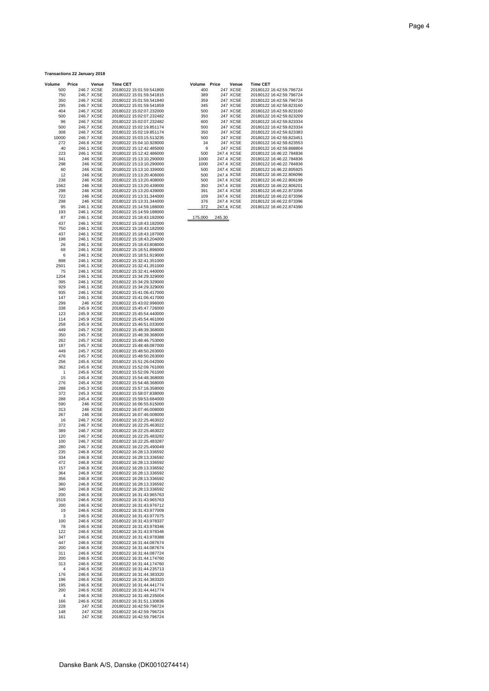## **Transactions 22 January 2018**

| Volume       | Price | Venue                    | <b>Time CET</b>                                      | Volume Price |            | Venue           | <b>Time CET</b> |
|--------------|-------|--------------------------|------------------------------------------------------|--------------|------------|-----------------|-----------------|
| 500          |       | 246.7 XCSE               | 20180122 15:01:59.541800                             | 400          |            | <b>247 XCSE</b> | 20180122        |
| 750          |       | 246.7 XCSE               | 20180122 15:01:59.541815                             | 389          |            | 247 XCSE        | 20180122        |
| 350          |       | 246.7 XCSE               | 20180122 15:01:59.541840                             | 359          |            | 247 XCSE        | 20180122        |
| 295          |       | 246.7 XCSE               | 20180122 15:01:59.541859                             | 345          |            | 247 XCSE        | 20180122        |
| 404          |       | 246.7 XCSE               | 20180122 15:02:07.232000                             | 500          |            | 247 XCSE        | 20180122        |
| 500          |       | 246.7 XCSE               | 20180122 15:02:07.232482                             | 350          |            | 247 XCSE        | 20180122        |
| 96           |       | 246.7 XCSE               | 20180122 15:02:07.232482                             | 600          |            | 247 XCSE        | 20180122        |
| 500          |       | 246.7 XCSE               | 20180122 15:02:19.851174                             | 500          |            | 247 XCSE        | 20180122        |
| 308          |       | 246.7 XCSE               | 20180122 15:02:19.851174                             | 350          |            | 247 XCSE        | 20180122        |
| 10000        |       | 246.7 XCSE               | 20180122 15:03:15.513235                             | 500          |            | 247 XCSE        | 20180122        |
| 272          |       | 246.6 XCSE               | 20180122 15:04:10.928000                             | 34           |            | 247 XCSE        | 20180122        |
| 40           |       | 246.1 XCSE               | 20180122 15:12:42.485000                             | 9            |            | 247 XCSE        | 20180122        |
| 223          |       | 246.1 XCSE               | 20180122 15:12:42.486000                             | 500          | 247.4 XCSE |                 | 20180122        |
| 341          |       | 246 XCSE                 | 20180122 15:13:10.290000                             | 1000         | 247.4 XCSE |                 | 20180122        |
| 298          |       | 246 XCSE                 | 20180122 15:13:10.290000                             | 1000         | 247.4 XCSE |                 | 20180122        |
| 60           |       | 246 XCSE                 | 20180122 15:13:10.339000                             | 500          | 247.4 XCSE |                 | 20180122        |
| 12           |       | 246 XCSE                 | 20180122 15:13:20.408000                             | 500          | 247.4 XCSE |                 | 20180122        |
| 238          |       | 246 XCSE                 | 20180122 15:13:20.408000                             | 500          | 247.4 XCSE |                 | 20180122        |
| 1562         |       | 246 XCSE                 | 20180122 15:13:20.439000                             | 350          | 247.4 XCSE |                 | 20180122        |
| 298          |       | 246 XCSE                 | 20180122 15:13:20.439000                             | 391          | 247.4 XCSE |                 | 20180122        |
| 722          |       | 246 XCSE                 | 20180122 15:13:31.344000                             | 109          | 247.4 XCSE |                 | 20180122        |
| 298          |       | 246 XCSE                 | 20180122 15:13:31.344000                             | 376          | 247.4 XCSE |                 | 20180122        |
| 95           |       | 246.1 XCSE               | 20180122 15:14:59.188000                             | 372          | 247.4 XCSE |                 | 20180122        |
| 193          |       | 246.1 XCSE               | 20180122 15:14:59.188000                             |              |            |                 |                 |
| 87           |       | 246.1 XCSE               | 20180122 15:18:43.182000                             | 175,000      | 245.30     |                 |                 |
| 437          |       | 246.1 XCSE               | 20180122 15:18:43.182000                             |              |            |                 |                 |
| 750          |       | 246.1 XCSE               | 20180122 15:18:43.182000                             |              |            |                 |                 |
| 437          |       | 246.1 XCSE               | 20180122 15:18:43.187000                             |              |            |                 |                 |
| 198          |       | 246.1 XCSE               | 20180122 15:18:43.204000                             |              |            |                 |                 |
| 26           |       | 246.1 XCSE               | 20180122 15:18:43.808000                             |              |            |                 |                 |
| 68           |       | 246.1 XCSE               | 20180122 15:18:51.896000                             |              |            |                 |                 |
| 6            |       | 246.1 XCSE               | 20180122 15:18:51.919000                             |              |            |                 |                 |
| 898          |       | 246.1 XCSE               | 20180122 15:32:41.351000                             |              |            |                 |                 |
| 2501         |       | 246.1 XCSE               | 20180122 15:32:41.351000                             |              |            |                 |                 |
| 75           |       | 246.1 XCSE               | 20180122 15:32:41.440000                             |              |            |                 |                 |
| 1204         |       | 246.1 XCSE               | 20180122 15:34:29.329000                             |              |            |                 |                 |
| 395          |       | 246.1 XCSE               | 20180122 15:34:29.329000                             |              |            |                 |                 |
| 929          |       | 246.1 XCSE               | 20180122 15:34:29.329000                             |              |            |                 |                 |
| 935          |       | 246.1 XCSE               | 20180122 15:41:06.417000                             |              |            |                 |                 |
| 147          |       | 246.1 XCSE               | 20180122 15:41:06.417000                             |              |            |                 |                 |
| 299          |       | 246 XCSE                 | 20180122 15:43:02.996000                             |              |            |                 |                 |
| 338          |       | 245.9 XCSE               | 20180122 15:45:47.726000                             |              |            |                 |                 |
| 123          |       | 245.9 XCSE               | 20180122 15:45:54.440000<br>20180122 15:45:54.461000 |              |            |                 |                 |
| 114          |       | 245.9 XCSE               |                                                      |              |            |                 |                 |
| 258<br>449   |       | 245.9 XCSE<br>245.7 XCSE | 20180122 15:46:51.033000<br>20180122 15:48:39.368000 |              |            |                 |                 |
| 350          |       | 245.7 XCSE               | 20180122 15:48:39.368000                             |              |            |                 |                 |
| 262          |       | 245.7 XCSE               | 20180122 15:48:46.753000                             |              |            |                 |                 |
| 187          |       | 245.7 XCSE               | 20180122 15:48:48.087000                             |              |            |                 |                 |
| 449          |       | 245.7 XCSE               | 20180122 15:48:50.263000                             |              |            |                 |                 |
| 476          |       | 245.7 XCSE               | 20180122 15:48:50.263000                             |              |            |                 |                 |
| 256          |       | 245.6 XCSE               | 20180122 15:51:26.042000                             |              |            |                 |                 |
| 362          |       | 245.6 XCSE               | 20180122 15:52:09.761000                             |              |            |                 |                 |
| $\mathbf{1}$ |       | 245.6 XCSE               | 20180122 15:52:09.761000                             |              |            |                 |                 |
| 15           |       | 245.4 XCSE               | 20180122 15:54:48.368000                             |              |            |                 |                 |
| 276          |       | 245.4 XCSE               | 20180122 15:54:48.368000                             |              |            |                 |                 |
| 288          |       | 245.3 XCSE               | 20180122 15:57:16.358000                             |              |            |                 |                 |
| 372          |       | 245.3 XCSE               | 20180122 15:58:07.838000                             |              |            |                 |                 |
| 288          |       | 245.4 XCSE               | 20180122 15:59:53.684000                             |              |            |                 |                 |
| 590          |       | 246 XCSE                 | 20180122 16:06:55.615000                             |              |            |                 |                 |
| 313          |       | 246 XCSE                 | 20180122 16:07:46.008000                             |              |            |                 |                 |
| 267          |       | 246 XCSE                 | 20180122 16:07:46.008000                             |              |            |                 |                 |
| 16           |       | 246.7 XCSE               | 20180122 16:22:25.463022                             |              |            |                 |                 |
| 372          |       | 246.7 XCSE               | 20180122 16:22:25.463022                             |              |            |                 |                 |
| 389          |       | 246.7 XCSE               | 20180122 16:22:25.463022                             |              |            |                 |                 |
| 120          |       | 246.7 XCSE               | 20180122 16:22:25.483282                             |              |            |                 |                 |
| 100          |       | 246.7 XCSE               | 20180122 16:22:25.483287                             |              |            |                 |                 |
| 280          |       | 246.7 XCSE               | 20180122 16:22:25.490049                             |              |            |                 |                 |
| 235          |       | 246.8 XCSE               | 20180122 16:28:13.336592                             |              |            |                 |                 |
| 334          |       | 246.8 XCSE               | 20180122 16:28:13.336592                             |              |            |                 |                 |
| 472          |       | 246.8 XCSE               | 20180122 16:28:13.336592<br>20180122 16:28:13.336592 |              |            |                 |                 |
| 157          |       | 246.8 XCSE<br>246.8 XCSE | 20180122 16:28:13.336592                             |              |            |                 |                 |
| 364          |       | 246.8 XCSE               | 20180122 16:28:13.336592                             |              |            |                 |                 |
| 356<br>360   |       | 246.8 XCSE               | 20180122 16:28:13.336592                             |              |            |                 |                 |
| 340          |       | 246.8 XCSE               | 20180122 16:28:13.336592                             |              |            |                 |                 |
| 200          |       | 246.6 XCSE               | 20180122 16:31:43.965763                             |              |            |                 |                 |
| 1519         |       | 246.6 XCSE               | 20180122 16:31:43.965763                             |              |            |                 |                 |
| 200          |       | 246.6 XCSE               | 20180122 16:31:43.976712                             |              |            |                 |                 |
| 19           |       | 246.6 XCSE               | 20180122 16:31:43.977009                             |              |            |                 |                 |
| 3            |       | 246.6 XCSE               | 20180122 16:31:43.977075                             |              |            |                 |                 |
| 100          |       | 246.6 XCSE               | 20180122 16:31:43.978337                             |              |            |                 |                 |
| 78           |       | 246.6 XCSE               | 20180122 16:31:43.978346                             |              |            |                 |                 |
| 122          |       | 246.6 XCSE               | 20180122 16:31:43.978346                             |              |            |                 |                 |
| 347          |       | 246.6 XCSE               | 20180122 16:31:43.978388                             |              |            |                 |                 |
| 447          |       | 246.6 XCSE               | 20180122 16:31:44.087674                             |              |            |                 |                 |
| 200          |       | 246.6 XCSE               | 20180122 16:31:44.087674                             |              |            |                 |                 |
| 311          |       | 246.6 XCSE               | 20180122 16:31:44.087724                             |              |            |                 |                 |
| 200          |       | 246.6 XCSE               | 20180122 16:31:44.174760                             |              |            |                 |                 |
| 313          |       | 246.6 XCSE               | 20180122 16:31:44.174760                             |              |            |                 |                 |
| 4            |       | 246.6 XCSE               | 20180122 16:31:44.235713                             |              |            |                 |                 |
| 176          |       | 246.6 XCSE               | 20180122 16:31:44.383320                             |              |            |                 |                 |
| 196          |       | 246.6 XCSE               | 20180122 16:31:44.383320                             |              |            |                 |                 |
| 195          |       | 246.6 XCSE               | 20180122 16:31:44.441774                             |              |            |                 |                 |
| 200          |       | 246.6 XCSE               | 20180122 16:31:44.441774                             |              |            |                 |                 |
| 4            |       | 246.6 XCSE               | 20180122 16:31:48.235004                             |              |            |                 |                 |
| 166          |       | 246.6 XCSE               | 20180122 16:31:51.130836                             |              |            |                 |                 |
| 228          |       | 247 XCSE                 | 20180122 16:42:59.796724                             |              |            |                 |                 |
| 148          |       | 247 XCSE                 | 20180122 16:42:59.796724                             |              |            |                 |                 |
| 161          |       | 247 XCSE                 | 20180122 16:42:59.796724                             |              |            |                 |                 |

| me    | Price | Venue      | <b>Time CET</b>          | Volume Price | Venue      | <b>Time CET</b>          |
|-------|-------|------------|--------------------------|--------------|------------|--------------------------|
| 500   |       | 246.7 XCSE | 20180122 15:01:59.541800 | 400          | 247 XCSE   | 20180122 16:42:59.796724 |
| 750   |       | 246.7 XCSE | 20180122 15:01:59.541815 | 389          | 247 XCSE   | 20180122 16:42:59.796724 |
| 350   |       | 246.7 XCSE | 20180122 15:01:59.541840 | 359          | 247 XCSE   | 20180122 16:42:59.796724 |
| 295   |       | 246.7 XCSE | 20180122 15:01:59.541859 | 345          | 247 XCSE   | 20180122 16:42:59.823160 |
| 404   |       | 246.7 XCSE | 20180122 15:02:07.232000 | 500          | 247 XCSE   | 20180122 16:42:59.823160 |
| 500   |       | 246.7 XCSE | 20180122 15:02:07.232482 | 350          | 247 XCSE   | 20180122 16:42:59.823209 |
| 96    |       | 246.7 XCSE | 20180122 15:02:07.232482 | 600          | 247 XCSE   | 20180122 16:42:59.823334 |
| 500   |       | 246.7 XCSE | 20180122 15:02:19.851174 | 500          | 247 XCSE   | 20180122 16:42:59.823334 |
| 308   |       | 246.7 XCSE | 20180122 15:02:19.851174 | 350          | 247 XCSE   | 20180122 16:42:59.823383 |
| 10000 |       | 246.7 XCSE | 20180122 15:03:15.513235 | 500          | 247 XCSE   | 20180122 16:42:59.823451 |
| 272   |       | 246.6 XCSE | 20180122 15:04:10.928000 | 34           | 247 XCSE   | 20180122 16:42:59.823553 |
| 40    |       | 246.1 XCSE | 20180122 15:12:42.485000 | 9            | 247 XCSE   | 20180122 16:42:59.868804 |
| 223   |       | 246.1 XCSE | 20180122 15:12:42.486000 | 500          | 247.4 XCSE | 20180122 16:46:22.784836 |
| 341   |       | 246 XCSE   | 20180122 15:13:10.290000 | 1000         | 247.4 XCSE | 20180122 16:46:22.784836 |
| 298   |       | 246 XCSE   | 20180122 15:13:10.290000 | 1000         | 247.4 XCSE | 20180122 16:46:22.784836 |
| 60    |       | 246 XCSE   | 20180122 15:13:10.339000 | 500          | 247.4 XCSE | 20180122 16:46:22.805925 |
| 12    |       | 246 XCSE   | 20180122 15:13:20.408000 | 500          | 247.4 XCSE | 20180122 16:46:22.806096 |
| 238   |       | 246 XCSE   | 20180122 15:13:20.408000 | 500          | 247.4 XCSE | 20180122 16:46:22.806199 |
| 1562  |       | 246 XCSE   | 20180122 15:13:20.439000 | 350          | 247.4 XCSE | 20180122 16:46:22.806201 |
| 298   |       | 246 XCSE   | 20180122 15:13:20.439000 | 391          | 247.4 XCSE | 20180122 16:46:22.873356 |
| 722   |       | 246 XCSE   | 20180122 15:13:31.344000 | 109          | 247.4 XCSE | 20180122 16:46:22.873396 |
| 298   |       | 246 XCSE   | 20180122 15:13:31.344000 | 376          | 247.4 XCSE | 20180122 16:46:22.873396 |
| 95    |       | 246.1 XCSE | 20180122 15:14:59.188000 | 372          | 247.4 XCSE | 20180122 16:46:22.874390 |
|       |       |            |                          |              |            |                          |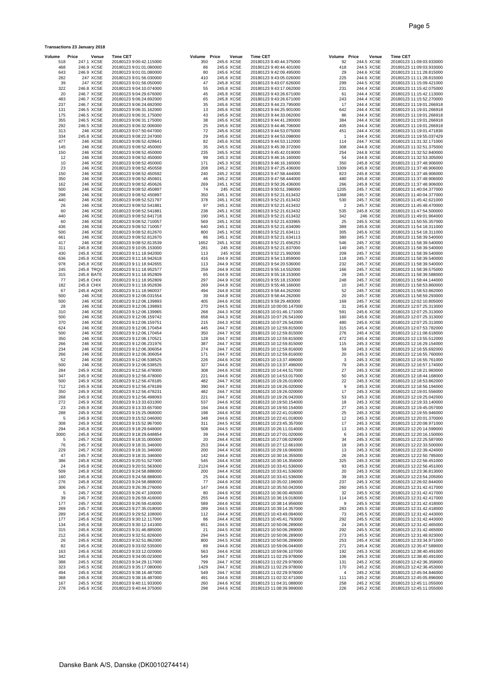| Volume     | Price                    | Venue                  | <b>Time CET</b>                                    | Volume      | Price | Venue                    | <b>Time CET</b>                                      | Volume Price            | Venue                    | <b>Time CET</b>                                      |
|------------|--------------------------|------------------------|----------------------------------------------------|-------------|-------|--------------------------|------------------------------------------------------|-------------------------|--------------------------|------------------------------------------------------|
| 518<br>468 | 247.1 XCSE<br>246.9 XCSE |                        | 20180123 9:00:42.115000<br>20180123 9:01:01.080000 | 350<br>86   |       | 245.6 XCSE<br>245.6 XCSE | 20180123 9:40:44.375000<br>20180123 9:40:44.401000   | 92<br>418               | 244.5 XCSE<br>244.5 XCSE | 20180123 11:09:03.933000<br>20180123 11:09:03.933000 |
| 643        | 246.9 XCSE               |                        | 20180123 9:01:01.080000                            | 80          |       | 245.6 XCSE               | 20180123 9:42:09.495000                              | 29                      | 244.6 XCSE               | 20180123 11:11:28.815000                             |
| 282        |                          | 247 XCSE               | 20180123 9:01:56.030000                            | 410         |       | 245.8 XCSE               | 20180123 9:43:05.026000                              | 225                     | 244.6 XCSE               | 20180123 11:11:28.815000                             |
| 39<br>322  |                          | 247 XCSE<br>246.8 XCSE | 20180123 9:01:56.050000<br>20180123 9:04:10.074000 | 47<br>55    |       | 245.8 XCSE<br>245.8 XCSE | 20180123 9:43:07.626000<br>20180123 9:43:17.062000   | 299<br>231              | 244.5 XCSE<br>244.4 XCSE | 20180123 11:15:09.421000<br>20180123 11:15:42.075000 |
| 20         |                          | 246.7 XCSE             | 20180123 9:04:29.676000                            | 45          |       | 245.8 XCSE               | 20180123 9:43:26.671000                              | 61                      | 244.4 XCSE               | 20180123 11:15:42.113000                             |
| 483        | 246.7 XCSE               |                        | 20180123 9:06:24.692000                            | 65          |       | 245.8 XCSE               | 20180123 9:43:26.671000                              | 243                     | 244.4 XCSE               | 20180123 11:15:52.270000                             |
| 237<br>131 | 246.7 XCSE<br>246.5 XCSE |                        | 20180123 9:06:24.692000<br>20180123 9:06:31.162000 | 35<br>13    |       | 245.6 XCSE<br>245.6 XCSE | 20180123 9:44:23.795000<br>20180123 9:44:25.901000   | 17<br>642               | 244.4 XCSE<br>244.4 XCSE | 20180123 11:19:01.266918<br>20180123 11:19:01.266918 |
| 175        | 246.5 XCSE               |                        | 20180123 9:06:31.175000                            | 43          |       | 245.6 XCSE               | 20180123 9:44:33.062000                              | 86                      | 244.4 XCSE               | 20180123 11:19:01.266918                             |
| 355        | 246.5 XCSE               |                        | 20180123 9:06:31.175000                            | 38          |       | 245.6 XCSE               | 20180123 9:44:41.280000                              | 384                     | 244.4 XCSE               | 20180123 11:19:01.266918                             |
| 292<br>313 |                          | 246.5 XCSE<br>246 XCSE | 20180123 9:06:32.006000<br>20180123 9:07:50.647000 | 25<br>72    |       | 245.6 XCSE<br>245.6 XCSE | 20180123 9:44:46.706000<br>20180123 9:44:53.075000   | 405<br>451              | 244.4 XCSE<br>244.4 XCSE | 20180123 11:19:01.266918<br>20180123 11:19:01.471836 |
| 334        | 245.8 XCSE               |                        | 20180123 9:08:22.247000                            | 29          |       | 245.6 XCSE               | 20180123 9:44:53.098000                              | -1                      | 244.4 XCSE               | 20180123 11:19:55.037429                             |
| 477        |                          | 246 XCSE               | 20180123 9:08:52.428641                            | 82          |       | 245.6 XCSE               | 20180123 9:44:53.112000                              | 114                     | 244.7 XCSE               | 20180123 11:31:32.171000                             |
| 145<br>150 |                          | 246 XCSE<br>246 XCSE   | 20180123 9:08:52.450000<br>20180123 9:08:52.450000 | 35<br>235   |       | 245.5 XCSE<br>245.5 XCSE | 20180123 9:45:39.372000<br>20180123 9:45:42.019000   | 308<br>254              | 244.8 XCSE<br>244.8 XCSE | 20180123 11:32:51.375000<br>20180123 11:32:52.840000 |
| 12         |                          | 246 XCSE               | 20180123 9:08:52.450000                            | 99          |       | 245.3 XCSE               | 20180123 9:46:16.160000                              | 54                      | 244.8 XCSE               | 20180123 11:32:53.305000                             |
| 10         |                          | 246 XCSE               | 20180123 9:08:52.450000                            | 171         |       | 245.3 XCSE               | 20180123 9:46:16.160000                              | 350                     | 245.8 XCSE               | 20180123 11:37:48.906000                             |
| 23<br>150  |                          | 246 XCSE<br>246 XCSE   | 20180123 9:08:52.450558<br>20180123 9:08:52.450592 | 208<br>240  |       | 245.2 XCSE<br>245.2 XCSE | 20180123 9:47:25.436000<br>20180123 9:47:58.444000   | 1309<br>823             | 245.8 XCSE<br>245.8 XCSE | 20180123 11:37:48.906000<br>20180123 11:37:48.906000 |
| 350        |                          | 246 XCSE               | 20180123 9:08:52.450601                            | 46          |       | 245.2 XCSE               | 20180123 9:47:58.444000                              | 480                     | 245.8 XCSE               | 20180123 11:37:48.906000                             |
| 162        |                          | 246 XCSE               | 20180123 9:08:52.450626                            | 269         |       | 245.1 XCSE               | 20180123 9:50:26.436000                              | 266                     | 245.8 XCSE               | 20180123 11:37:48.906000                             |
| 500<br>298 |                          | 246 XCSE<br>246 XCSE   | 20180123 9:08:52.450897<br>20180123 9:08:52.450897 | 74<br>350   |       | 245 XCSE<br>245.1 XCSE   | 20180123 9:50:51.396000<br>20180123 9:52:21.613432   | 1205<br>1368            | 245.7 XCSE<br>245.7 XCSE | 20180123 11:40:04.377000<br>20180123 11:40:04.377000 |
| 440        |                          | 246 XCSE               | 20180123 9:08:52.521797                            | 378         |       | 245.1 XCSE               | 20180123 9:52:21.613432                              | 530                     | 245.7 XCSE               | 20180123 11:45:42.621000                             |
| 26         |                          | 246 XCSE               | 20180123 9:08:52.541881                            | 97          |       | 245.1 XCSE               | 20180123 9:52:21.613432                              | $\overline{\mathbf{c}}$ | 245.7 XCSE               | 20180123 11:45:48.470000                             |
| 60<br>440  |                          | 246 XCSE<br>246 XCSE   | 20180123 9:08:52.541881<br>20180123 9:08:52.641718 | 238<br>190  |       | 245.1 XCSE<br>245.1 XCSE | 20180123 9:52:21.613432<br>20180123 9:52:21.613432   | 535<br>342              | 245.8 XCSE<br>246 XCSE   | 20180123 11:47:54.500000<br>20180123 11:49:01.964000 |
| 60         |                          | 246 XCSE               | 20180123 9:08:52.710057                            | 569         |       | 245.1 XCSE               | 20180123 9:52:21.633965                              | 25                      | 245.5 XCSE               | 20180123 11:50:55.357000                             |
| 436        |                          | 246 XCSE               | 20180123 9:08:52.710057                            | 640         |       | 245.1 XCSE               | 20180123 9:52:21.634090                              | 389                     | 245.6 XCSE               | 20180123 11:54:18.311000                             |
| 500<br>661 |                          | 246 XCSE<br>246 XCSE   | 20180123 9:08:52.812670<br>20180123 9:08:52.812670 | 800<br>86   |       | 245.1 XCSE<br>245.1 XCSE | 20180123 9:52:21.634111<br>20180123 9:52:21.634113   | 305<br>380              | 245.6 XCSE<br>245.7 XCSE | 20180123 11:54:18.311000<br>20180123 11:58:39.540000 |
| 417        |                          | 246 XCSE               | 20180123 9:08:52.813539                            | 1652        |       | 245.1 XCSE               | 20180123 9:52:21.656253                              | 546                     | 245.7 XCSE               | 20180123 11:58:39.540000                             |
| 311        | 245.8 XCSE               |                        | 20180123 9:10:05.153000                            | 281         |       | 245 XCSE                 | 20180123 9:52:21.837000                              | 149                     | 245.7 XCSE               | 20180123 11:58:39.540000                             |
| 430<br>636 | 245.8 XCSE               | 245.8 XCSE             | 20180123 9:11:18.942000<br>20180123 9:11:18.942618 | 113<br>416  |       | 245 XCSE<br>244.9 XCSE   | 20180123 9:52:21.992000<br>20180123 9:54:13.859000   | 209<br>118              | 245.7 XCSE<br>245.7 XCSE | 20180123 11:58:39.540000<br>20180123 11:58:39.540000 |
| 978        | 245.8 XCSE               |                        | 20180123 9:11:18.942655                            | 113         |       | 244.9 XCSE               | 20180123 9:54:20.536000                              | 232                     | 245.7 XCSE               | 20180123 11:58:39.540000                             |
| 245        | 245.8 TRQX               |                        | 20180123 9:11:18.952577                            | 259         |       | 244.9 XCSE               | 20180123 9:55:14.552000                              | 166                     | 245.7 XCSE               | 20180123 11:58:39.575000                             |
| 315<br>77  | 245.8 BATE<br>245.8 CHIX |                        | 20180123 9:11:18.952809<br>20180123 9:11:18.952809 | 65<br>297   |       | 244.9 XCSE<br>244.9 XCSE | 20180123 9:55:18.153000<br>20180123 9:55:18.153000   | 29<br>248               | 245.7 XCSE<br>245.7 XCSE | 20180123 11:58:39.588000<br>20180123 11:58:44.144000 |
| 182        | 245.8 CHIX               |                        | 20180123 9:11:18.952836                            | 269         |       | 244.8 XCSE               | 20180123 9:55:48.166000                              | 10                      | 245.7 XCSE               | 20180123 11:58:53.860000                             |
| 67         |                          | 245.8 AQXE             | 20180123 9:11:18.960037                            | 494         |       | 244.8 XCSE               | 20180123 9:58:44.262000                              | 52                      | 245.7 XCSE               | 20180123 11:58:53.862000                             |
| 500<br>500 |                          | 246 XCSE<br>246 XCSE   | 20180123 9:12:06.031554<br>20180123 9:12:06.139893 | 39<br>405   |       | 244.8 XCSE<br>244.6 XCSE | 20180123 9:58:44.262000<br>20180123 9:59:29.483000   | 20<br>169               | 245.7 XCSE<br>245.7 XCSE | 20180123 11:58:59.293000<br>20180123 12:02:10.805000 |
| 28         |                          | 246 XCSE               | 20180123 9:12:06.139893                            | 270         |       | 244.5 XCSE               | 20180123 10:00:00.147000                             | 31                      | 245.6 XCSE               | 20180123 12:07:25.313000                             |
| 310        |                          | 246 XCSE               | 20180123 9:12:06.139965                            | 268         |       | 244.3 XCSE               | 20180123 10:01:46.171000                             | 591                     | 245.6 XCSE               | 20180123 12:07:25.313000                             |
| 500<br>370 |                          | 246 XCSE<br>246 XCSE   | 20180123 9:12:06.159742<br>20180123 9:12:06.159751 | 658<br>215  |       | 244.3 XCSE<br>244.3 XCSE | 20180123 10:07:26.541000<br>20180123 10:07:26.542000 | 160<br>480              | 245.6 XCSE<br>245.6 XCSE | 20180123 12:07:25.313000<br>20180123 12:07:25.313000 |
| 624        |                          | 246 XCSE               | 20180123 9:12:06.170454                            | 445         |       | 244.7 XCSE               | 20180123 10:12:59.815000                             | 315                     | 245.4 XCSE               | 20180123 12:07:53.782000                             |
| 500        |                          | 246 XCSE               | 20180123 9:12:06.170454                            | 350         |       | 244.7 XCSE               | 20180123 10:12:59.815000                             | 276                     | 245.4 XCSE               | 20180123 12:11:08.618000                             |
| 350<br>266 |                          | 246 XCSE<br>246 XCSE   | 20180123 9:12:06.170521<br>20180123 9:12:06.231976 | 128<br>387  |       | 244.7 XCSE<br>244.7 XCSE | 20180123 10:12:59.815000<br>20180123 10:12:59.815000 | 472<br>115              | 245.4 XCSE<br>245.3 XCSE | 20180123 12:13:55.512000<br>20180123 12:16:29.154000 |
| 234        |                          | 246 XCSE               | 20180123 9:12:06.306054                            | 274         |       | 244.7 XCSE               | 20180123 10:12:59.816000                             | 59                      | 245.3 XCSE               | 20180123 12:16:55.692000                             |
| 266        |                          | 246 XCSE<br>246 XCSE   | 20180123 9:12:06.306054                            | 171<br>226  |       | 244.7 XCSE<br>244.6 XCSE | 20180123 10:12:59.816000                             | 20<br>3                 | 245.3 XCSE               | 20180123 12:16:55.760000                             |
| 52<br>500  |                          | 246 XCSE               | 20180123 9:12:06.538525<br>20180123 9:12:06.538525 | 327         |       | 244.6 XCSE               | 20180123 10:13:37.496000<br>20180123 10:13:37.496000 | 79                      | 245.3 XCSE<br>245.3 XCSE | 20180123 12:16:55.761000<br>20180123 12:16:57.174000 |
| 284        | 245.9 XCSE               |                        | 20180123 9:12:56.478000                            | 308         |       | 244.6 XCSE               | 20180123 10:14:44.517000                             | 27                      | 245.3 XCSE               | 20180123 12:18:21.983000                             |
| 347<br>500 | 245.9 XCSE<br>245.9 XCSE |                        | 20180123 9:12:56.478000<br>20180123 9:12:56.478185 | 221<br>482  |       | 244.6 XCSE<br>244.7 XCSE | 20180123 10:14:53.017000<br>20180123 10:19:26.019000 | 50<br>22                | 245.3 XCSE<br>245.3 XCSE | 20180123 12:18:44.168000<br>20180123 12:18:53.862000 |
| 712        | 245.9 XCSE               |                        | 20180123 9:12:56.478189                            | 390         |       | 244.7 XCSE               | 20180123 10:19:26.020000                             | 9                       | 245.3 XCSE               | 20180123 12:18:56.194000                             |
| 350        | 245.9 XCSE               |                        | 20180123 9:12:56.478231                            | 482         |       | 244.7 XCSE               | 20180123 10:19:26.020000                             | 17                      | 245.3 XCSE               | 20180123 12:19:01.556000                             |
| 268<br>272 | 245.9 XCSE<br>245.9 XCSE |                        | 20180123 9:12:56.498093<br>20180123 9:13:33.631000 | 221<br>537  |       | 244.7 XCSE<br>244.6 XCSE | 20180123 10:19:26.042000<br>20180123 10:19:50.154000 | 53<br>18                | 245.3 XCSE<br>245.3 XCSE | 20180123 12:19:25.042000<br>20180123 12:19:33.140000 |
| 23         | 245.9 XCSE               |                        | 20180123 9:13:33.657000                            | 194         |       | 244.6 XCSE               | 20180123 10:19:50.154000                             | 27                      | 245.3 XCSE               | 20180123 12:19:45.057000                             |
| 288        | 245.9 XCSE               |                        | 20180123 9:15:25.068000                            | 198         |       | 244.6 XCSE               | 20180123 10:22:41.018000                             | 25                      | 245.3 XCSE               | 20180123 12:19:55.946000                             |
| 5<br>308   | 245.9 XCSE               | 245.9 XCSE             | 20180123 9:15:52.046000<br>20180123 9:15:52.967000 | 348<br>311  |       | 244.6 XCSE<br>244.5 XCSE | 20180123 10:22:41.018000<br>20180123 10:23:45.357000 | 12<br>17                | 245.3 XCSE<br>245.3 XCSE | 20180123 12:20:01.370000<br>20180123 12:20:08.971000 |
| 294        | 245.8 XCSE               |                        | 20180123 9:18:29.648000                            | 508         |       | 244.5 XCSE               | 20180123 10:26:11.014000                             | 13                      | 245.3 XCSE               | 20180123 12:20:14.599000                             |
| 3000       | 245.8 XCSE               |                        | 20180123 9:18:29.648854                            | 39          |       | 244.4 XCSE               | 20180123 10:27:01.020000                             | 6                       | 245.3 XCSE               | 20180123 12:20:16.150000                             |
| 5<br>76    | 245.7 XCSE<br>245.7 XCSE |                        | 20180123 9:18:31.000000<br>20180123 9:18:31.346000 | 20<br>253   |       | 244.4 XCSE<br>244.4 XCSE | 20180123 10:27:08.029000<br>20180123 10:27:12.661000 | 34<br>18                | 245.3 XCSE<br>245.3 XCSE | 20180123 12:22:25.587000<br>20180123 12:22:33.500000 |
| 229        | 245.7 XCSE               |                        | 20180123 9:18:31.346000                            | 200         |       | 244.4 XCSE               | 20180123 10:29:18.066000                             | 13                      | 245.3 XCSE               | 20180123 12:22:39.424000                             |
| 47         | 245.7 XCSE               |                        | 20180123 9:18:31.346000                            | 142         |       | 244.4 XCSE               | 20180123 10:30:16.355000                             | 26                      | 245.3 XCSE               | 20180123 12:22:50.785000                             |
| 386<br>24  | 245.8 XCSE<br>245.8 XCSE |                        | 20180123 9:20:51.527000<br>20180123 9:20:51.563000 | 545<br>2124 |       | 244.4 XCSE<br>244.4 XCSE | 20180123 10:30:16.356000<br>20180123 10:33:41.536000 | 325<br>93               | 245.3 XCSE<br>245.3 XCSE | 20180123 12:22:56.451000<br>20180123 12:22:56.451000 |
| 509        | 245.8 XCSE               |                        | 20180123 9:24:58.888000                            | 200         |       | 244.4 XCSE               | 20180123 10:33:41.536000                             | 20                      | 245.3 XCSE               | 20180123 12:23:36.813000                             |
| 160        | 245.8 XCSE               |                        | 20180123 9:24:58.888000                            | 25<br>77    |       | 244.4 XCSE               | 20180123 10:33:41.536000                             | 39                      | 245.3 XCSE               | 20180123 12:23:54.205000                             |
| 276<br>306 | 245.8 XCSE<br>245.7 XCSE |                        | 20180123 9:24:58.888000<br>20180123 9:26:39.276000 | 147         |       | 244.6 XCSE<br>244.6 XCSE | 20180123 10:35:02.196000<br>20180123 10:35:50.042000 | 237<br>260              | 245.3 XCSE<br>245.5 XCSE | 20180123 12:26:02.844000<br>20180123 12:31:42.417000 |
| 5          | 245.7 XCSE               |                        | 20180123 9:26:47.100000                            | 80          |       | 244.6 XCSE               | 20180123 10:36:00.465000                             | 32                      | 245.5 XCSE               | 20180123 12:31:42.417000                             |
| 39         | 245.7 XCSE               |                        | 20180123 9:26:59.416000                            | 255         |       | 244.6 XCSE               | 20180123 10:36:19.018000                             | 114                     | 245.5 XCSE               | 20180123 12:31:42.417000                             |
| 177<br>269 | 245.7 XCSE               | 245.7 XCSE             | 20180123 9:26:59.416000<br>20180123 9:27:35.018000 | 589<br>289  |       | 244.6 XCSE<br>244.5 XCSE | 20180123 10:38:14.956000<br>20180123 10:39:14.357000 | 9<br>283                | 245.5 XCSE<br>245.5 XCSE | 20180123 12:31:42.418000<br>20180123 12:31:42.418000 |
| 289        | 245.6 XCSE               |                        | 20180123 9:29:52.108000                            | 112         |       | 244.4 XCSE               | 20180123 10:43:49.094000                             | 73                      | 245.5 XCSE               | 20180123 12:31:42.443000                             |
| 177        | 245.6 XCSE               |                        | 20180123 9:30:12.117000                            | 86          |       | 244.4 XCSE               | 20180123 10:45:41.793000                             | 292                     | 245.5 XCSE               | 20180123 12:31:42.443000                             |
| 134<br>315 | 245.6 XCSE<br>245.6 XCSE |                        | 20180123 9:30:12.141000<br>20180123 9:31:46.885000 | 651<br>21   |       | 244.5 XCSE<br>244.5 XCSE | 20180123 10:50:06.289000<br>20180123 10:50:06.289000 | 24<br>292               | 245.5 XCSE<br>245.5 XCSE | 20180123 12:31:42.465000<br>20180123 12:31:42.465000 |
| 212        | 245.6 XCSE               |                        | 20180123 9:32:51.826000                            | 294         |       | 244.5 XCSE               | 20180123 10:50:06.289000                             | 273                     | 245.5 XCSE               | 20180123 12:31:48.923000                             |
| 26         | 245.6 XCSE               |                        | 20180123 9:32:51.862000                            | 800         |       | 244.5 XCSE               | 20180123 10:50:06.289000                             | 253                     | 245.4 XCSE               | 20180123 12:33:34.971000                             |
| 82<br>163  | 245.6 XCSE<br>245.6 XCSE |                        | 20180123 9:33:02.535000<br>20180123 9:33:12.020000 | 89<br>563   |       | 244.6 XCSE<br>244.6 XCSE | 20180123 10:59:06.044000<br>20180123 10:59:06.107000 | 271<br>192              | 245.4 XCSE<br>245.3 XCSE | 20180123 12:35:47.589000<br>20180123 12:38:40.491000 |
| 342        | 245.6 XCSE               |                        | 20180123 9:34:00.023000                            | 549         |       | 244.7 XCSE               | 20180123 11:02:29.978000                             | 106                     | 245.3 XCSE               | 20180123 12:38:40.491000                             |
| 388        | 245.5 XCSE               |                        | 20180123 9:34:29.117000<br>20180123 9:35:17.080000 | 799         |       | 244.7 XCSE               | 20180123 11:02:29.978000                             | 131                     | 245.2 XCSE               | 20180123 12:42:36.359000                             |
| 323<br>494 | 245.5 XCSE<br>245.6 XCSE |                        | 20180123 9:38:16.487000                            | 1429<br>549 |       | 244.7 XCSE<br>244.7 XCSE | 20180123 11:02:29.978000<br>20180123 11:02:29.978000 | 170<br>4                | 245.2 XCSE<br>245.2 XCSE | 20180123 12:42:36.453000<br>20180123 12:45:04.846000 |
| 368        | 245.6 XCSE               |                        | 20180123 9:38:16.487000                            | 491         |       | 244.6 XCSE               | 20180123 11:02:32.671000                             | 111                     | 245.2 XCSE               | 20180123 12:45:05.896000                             |
| 167<br>278 | 245.5 XCSE               | 245.6 XCSE             | 20180123 9:40:11.933000<br>20180123 9:40:44.375000 | 260<br>298  |       | 244.6 XCSE<br>244.6 XCSE | 20180123 11:04:31.088000<br>20180123 11:08:39.999000 | 258<br>226              | 245.2 XCSE<br>245.2 XCSE | 20180123 12:45:11.055000<br>20180123 12:45:11.055000 |

**Transactions 23 January 2018**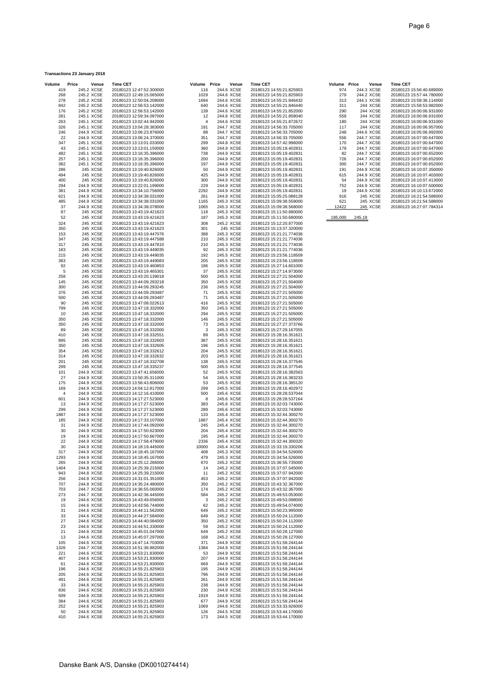| Transactions 23 January 2018 |
|------------------------------|
|------------------------------|

| Volume      | Price<br>Venue           | <b>Time CET</b>                                      | Volume Price   | Venue                    | <b>Time CET</b>                                      | Volume Price |        | Venue                    | <b>Time CET</b>                                      |
|-------------|--------------------------|------------------------------------------------------|----------------|--------------------------|------------------------------------------------------|--------------|--------|--------------------------|------------------------------------------------------|
| 419         | 245.2 XCSE               | 20180123 12:47:52.300000                             | 116            | 244.6 XCSE               | 20180123 14:55:21.825903                             | 974          |        | 244.3 XCSE               | 20180123 15:56:40.689000                             |
| 268         | 245.2 XCSE               | 20180123 12:49:15.065000                             | 1029           | 244.6 XCSE               | 20180123 14:55:21.825903                             | 279          |        | 244.2 XCSE               | 20180123 15:57:44.780000                             |
| 278         | 245.2 XCSE               | 20180123 12:50:04.208000                             | 1694<br>640    | 244.6 XCSE               | 20180123 14:55:21.846432                             | 313          |        | 244.1 XCSE               | 20180123 15:58:36.114000                             |
| 842<br>176  | 245.2 XCSE<br>245.2 XCSE | 20180123 12:56:53.142000<br>20180123 12:56:53.142000 | 139            | 244.6 XCSE<br>244.6 XCSE | 20180123 14:55:21.846440<br>20180123 14:55:21.852000 | 311<br>290   |        | 244 XCSE<br>244 XCSE     | 20180123 15:58:53.982000<br>20180123 16:00:06.931000 |
| 281         | 245.1 XCSE               | 20180123 12:59:34.097000                             | 12             | 244.6 XCSE               | 20180123 14:55:21.858040                             | 559          |        | 244 XCSE                 | 20180123 16:00:06.931000                             |
| 263         | 245.1 XCSE               | 20180123 13:02:44.942000                             | $\overline{4}$ | 244.6 XCSE               | 20180123 14:55:21.872672                             | 180          |        | 244 XCSE                 | 20180123 16:00:06.931000                             |
| 326         | 245.1 XCSE               | 20180123 13:04:28.383000                             | 191            | 244.7 XCSE               | 20180123 14:56:33.705000                             | 117          |        | 244 XCSE                 | 20180123 16:00:06.957000                             |
| 246         | 244.9 XCSE               | 20180123 13:06:23.876000                             | 88             | 244.7 XCSE               | 20180123 14:56:33.705000                             | 248          |        | 244.6 XCSE               | 20180123 16:05:06.992000                             |
| 22          | 244.9 XCSE               | 20180123 13:06:24.370000                             | 351            | 244.7 XCSE               | 20180123 14:56:33.705000                             | 556          |        | 244.7 XCSE               | 20180123 16:07:00.647000                             |
| 347         | 245.1 XCSE               | 20180123 13:13:01.033000                             | 299            | 244.8 XCSE               | 20180123 14:57:42.996000                             | 170          |        | 244.7 XCSE               | 20180123 16:07:00.647000                             |
| 43          | 245.1 XCSE               | 20180123 13:13:01.150000                             | 360            | 244.9 XCSE               | 20180123 15:05:19.402831                             | 179          |        | 244.7 XCSE               | 20180123 16:07:00.647000                             |
| 482         | 245.1 XCSE               | 20180123 13:16:35.396000                             | 738            | 244.9 XCSE               | 20180123 15:05:19.402831                             | 82           |        | 244.7 XCSE               | 20180123 16:07:00.652000                             |
| 257         | 245.1 XCSE               | 20180123 13:16:35.396000                             | 200            | 244.9 XCSE               | 20180123 15:05:19.402831                             | 726          |        | 244.7 XCSE               | 20180123 16:07:00.652000                             |
| 382         | 245.1 XCSE               | 20180123 13:16:35.396000                             | 197            | 244.9 XCSE               | 20180123 15:05:19.402831                             | 300          |        | 244.7 XCSE               | 20180123 16:07:00.652000                             |
| 286         | 245 XCSE                 | 20180123 13:19:40.826000                             | 50             | 244.9 XCSE               | 20180123 15:05:19.402831                             | 191          |        | 244.9 XCSE               | 20180123 16:10:07.350000                             |
| 494         | 245 XCSE                 | 20180123 13:19:40.826000                             | 425            | 244.9 XCSE               | 20180123 15:05:19.402831                             | 615          |        | 244.9 XCSE               | 20180123 16:10:07.403000                             |
| 400<br>294  | 245 XCSE<br>244.9 XCSE   | 20180123 13:19:40.826000<br>20180123 13:22:01.199000 | 300<br>229     | 244.9 XCSE<br>244.9 XCSE | 20180123 15:05:19.402831<br>20180123 15:05:19.402831 | 54<br>752    |        | 244.9 XCSE<br>244.9 XCSE | 20180123 16:10:07.413000<br>20180123 16:10:07.500000 |
| 381         | 244.9 XCSE               | 20180123 13:34:10.756000                             | 2292           | 244.9 XCSE               | 20180123 15:05:19.402831                             | 19           |        | 244.9 XCSE               | 20180123 16:10:13.672000                             |
| 621         | 244.9 XCSE               | 20180123 13:34:38.031000                             | 261            | 244.9 XCSE               | 20180123 15:05:25.088128                             | 916          |        | 245 XCSE                 | 20180123 16:21:54.588000                             |
| 485         | 244.9 XCSE               | 20180123 13:34:38.031000                             | 1165           | 245.3 XCSE               | 20180123 15:09:38.559000                             | 621          |        | 245 XCSE                 | 20180123 16:21:54.588000                             |
| 37          | 244.9 XCSE               | 20180123 13:34:38.078000                             | 1065           | 245.3 XCSE               | 20180123 15:09:38.568000                             | 12422        |        | 245 XCSE                 | 20180123 16:27:07.784314                             |
| 87          | 245 XCSE                 | 20180123 13:43:19.421623                             | 118            | 245.3 XCSE               | 20180123 15:11:50.680000                             |              |        |                          |                                                      |
| 52          | 245 XCSE                 | 20180123 13:43:19.421623                             | 187            | 245.3 XCSE               | 20180123 15:11:50.680000                             | 185,000      | 245.18 |                          |                                                      |
| 324         | 245 XCSE                 | 20180123 13:43:19.421623                             | 308            | 245.2 XCSE               | 20180123 15:12:20.877000                             |              |        |                          |                                                      |
| 350         | 245 XCSE                 | 20180123 13:43:19.421623                             | 301            | 245 XCSE                 | 20180123 15:13:37.320000                             |              |        |                          |                                                      |
| 153         | 245 XCSE                 | 20180123 13:43:19.447076                             | 388            | 245.3 XCSE               | 20180123 15:21:21.774036                             |              |        |                          |                                                      |
| 347         | 245 XCSE                 | 20180123 13:43:19.447588                             | 210            | 245.3 XCSE               | 20180123 15:21:21.774036                             |              |        |                          |                                                      |
| 317         | 245 XCSE                 | 20180123 13:43:19.447810                             | 210            | 245.3 XCSE               | 20180123 15:21:21.774036                             |              |        |                          |                                                      |
| 183         | 245 XCSE                 | 20180123 13:43:19.449035                             | 92             | 245.3 XCSE               | 20180123 15:21:21.774036                             |              |        |                          |                                                      |
| 215<br>383  | 245 XCSE<br>245 XCSE     | 20180123 13:43:19.449035<br>20180123 13:43:19.449083 | 192<br>205     | 245.5 XCSE<br>245.5 XCSE | 20180123 15:23:56.118509<br>20180123 15:23:56.118509 |              |        |                          |                                                      |
| 92          | 245 XCSE                 | 20180123 13:43:19.460853                             | 186            | 245.5 XCSE               | 20180123 15:27:14.601000                             |              |        |                          |                                                      |
| 5           | 245 XCSE                 | 20180123 13:43:19.465301                             | 37             | 245.5 XCSE               | 20180123 15:27:14.973000                             |              |        |                          |                                                      |
| 258         | 245 XCSE                 | 20180123 13:43:20.139018                             | 500            | 245.5 XCSE               | 20180123 15:27:21.504000                             |              |        |                          |                                                      |
| 145         | 245 XCSE                 | 20180123 13:44:09.293218                             | 350            | 245.5 XCSE               | 20180123 15:27:21.504000                             |              |        |                          |                                                      |
| 300         | 245 XCSE                 | 20180123 13:44:09.293245                             | 236            | 245.5 XCSE               | 20180123 15:27:21.504000                             |              |        |                          |                                                      |
| 376         | 245 XCSE                 | 20180123 13:44:09.293487                             | 71             | 245.5 XCSE               | 20180123 15:27:21.505000                             |              |        |                          |                                                      |
| 500         | 245 XCSE                 | 20180123 13:44:09.293487                             | 71             | 245.5 XCSE               | 20180123 15:27:21.505000                             |              |        |                          |                                                      |
| 90          | 245 XCSE                 | 20180123 13:47:08.022613                             | 416            | 245.5 XCSE               | 20180123 15:27:21.505000                             |              |        |                          |                                                      |
| 799<br>10   | 245 XCSE<br>245 XCSE     | 20180123 13:47:18.332000<br>20180123 13:47:18.332000 | 350<br>294     | 245.5 XCSE<br>245.5 XCSE | 20180123 15:27:21.505000<br>20180123 15:27:21.505000 |              |        |                          |                                                      |
| 350         | 245 XCSE                 | 20180123 13:47:18.332000                             | 146            | 245.5 XCSE               | 20180123 15:27:21.505000                             |              |        |                          |                                                      |
| 350         | 245 XCSE                 | 20180123 13:47:18.332000                             | 73             | 245.3 XCSE               | 20180123 15:27:27.373766                             |              |        |                          |                                                      |
| 89          | 245 XCSE                 | 20180123 13:47:18.332000                             | 3              | 245.3 XCSE               | 20180123 15:27:29.167055                             |              |        |                          |                                                      |
| 410         | 245 XCSE                 | 20180123 13:47:18.332551                             | 89             | 245.5 XCSE               | 20180123 15:28:16.351621                             |              |        |                          |                                                      |
| 895         | 245 XCSE                 | 20180123 13:47:18.332603                             | 387            | 245.5 XCSE               | 20180123 15:28:16.351621                             |              |        |                          |                                                      |
| 350         | 245 XCSE                 | 20180123 13:47:18.332605                             | 196            | 245.5 XCSE               | 20180123 15:28:16.351621                             |              |        |                          |                                                      |
| 354         | 245 XCSE                 | 20180123 13:47:18.332612                             | 204            | 245.5 XCSE               | 20180123 15:28:16.351621                             |              |        |                          |                                                      |
| 314<br>201  | 245 XCSE<br>245 XCSE     | 20180123 13:47:18.332632<br>20180123 13:47:18.332708 | 203<br>138     | 245.5 XCSE<br>245.5 XCSE | 20180123 15:28:16.351621<br>20180123 15:28:16.377545 |              |        |                          |                                                      |
| 299         | 245 XCSE                 | 20180123 13:47:18.335237                             | 500            | 245.5 XCSE               | 20180123 15:28:16.377545                             |              |        |                          |                                                      |
| 101         | 244.9 XCSE               | 20180123 13:47:41.656000                             | 52             | 245.5 XCSE               | 20180123 15:28:16.382563                             |              |        |                          |                                                      |
| 27          | 244.9 XCSE               | 20180123 13:50:35.311000                             | 54             | 245.5 XCSE               | 20180123 15:28:16.383233                             |              |        |                          |                                                      |
| 175         | 244.9 XCSE               | 20180123 13:56:43.806000                             | 53             | 245.5 XCSE               | 20180123 15:28:16.385120                             |              |        |                          |                                                      |
| 169         | 244.9 XCSE               | 20180123 14:04:12.817000                             | 299            | 245.5 XCSE               | 20180123 15:28:16.402972                             |              |        |                          |                                                      |
| 4           | 244.9 XCSE               | 20180123 14:12:16.410000                             | 500            | 245.6 XCSE               | 20180123 15:28:28.537044                             |              |        |                          |                                                      |
| 601         | 244.9 XCSE               | 20180123 14:17:27.523000                             | -8             | 245.6 XCSE               | 20180123 15:28:28.537164                             |              |        |                          |                                                      |
| 13          | 244.9 XCSE               | 20180123 14:17:27.523000                             | 383            | 245.6 XCSE               | 20180123 15:32:03.743000                             |              |        |                          |                                                      |
| 299<br>1887 | 244.9 XCSE<br>244.9 XCSE | 20180123 14:17:27.523000                             | 289            | 245.6 XCSE<br>245.4 XCSE | 20180123 15:32:03.743000                             |              |        |                          |                                                      |
| 185         | 244.9 XCSE               | 20180123 14:17:27.523000<br>20180123 14:17:33.107000 | 133<br>1887    | 245.4 XCSE               | 20180123 15:32:44.300270<br>20180123 15:32:44.300270 |              |        |                          |                                                      |
| 31          | 244.9 XCSE               | 20180123 14:17:44.092000                             | 245            | 245.4 XCSE               | 20180123 15:32:44.300270                             |              |        |                          |                                                      |
| 30          | 244.9 XCSE               | 20180123 14:17:50.623000                             | 204            | 245.4 XCSE               | 20180123 15:32:44.300270                             |              |        |                          |                                                      |
| 19          | 244.9 XCSE               | 20180123 14:17:50.667000                             | 195            | 245.4 XCSE               | 20180123 15:32:44.300270                             |              |        |                          |                                                      |
| 22          | 244.9 XCSE               | 20180123 14:17:58.479000                             | 2336           | 245.4 XCSE               | 20180123 15:32:44.300320                             |              |        |                          |                                                      |
| 30          | 244.9 XCSE               | 20180123 14:18:19.445000                             | 10000          | 245.4 XCSE               | 20180123 15:33:19.330206                             |              |        |                          |                                                      |
| 317         | 244.9 XCSE               | 20180123 14:18:45.167000                             | 408            | 245.3 XCSE               | 20180123 15:34:54.526000                             |              |        |                          |                                                      |
| 1293        | 244.9 XCSE               | 20180123 14:18:45.167000                             | 479            | 245.3 XCSE               | 20180123 15:34:54.526000                             |              |        |                          |                                                      |
| 265         | 244.9 XCSE               | 20180123 14:25:12.266000                             | 670            | 245.2 XCSE               | 20180123 15:36:55.735000                             |              |        |                          |                                                      |
| 1404<br>943 | 244.8 XCSE<br>244.8 XCSE | 20180123 14:25:39.215000<br>20180123 14:25:39.215000 | 14<br>11       | 245.2 XCSE<br>245.2 XCSE | 20180123 15:37:07.545000<br>20180123 15:37:07.942000 |              |        |                          |                                                      |
| 256         | 244.8 XCSE               | 20180123 14:31:01.351000                             | 453            | 245.2 XCSE               | 20180123 15:37:07.942000                             |              |        |                          |                                                      |
| 707         | 244.8 XCSE               | 20180123 14:35:24.480000                             | 350            | 245.2 XCSE               | 20180123 15:43:32.367000                             |              |        |                          |                                                      |
| 703         | 244.7 XCSE               | 20180123 14:36:55.060000                             | 174            | 245.2 XCSE               | 20180123 15:43:32.367000                             |              |        |                          |                                                      |
| 273         | 244.7 XCSE               | 20180123 14:42:36.445000                             | 584            | 245.2 XCSE               | 20180123 15:49:53.053000                             |              |        |                          |                                                      |
| 19          | 244.6 XCSE               | 20180123 14:43:49.656000                             | 3              | 245.2 XCSE               | 20180123 15:49:53.098000                             |              |        |                          |                                                      |
| 15          | 244.6 XCSE               | 20180123 14:43:56.744000                             | 62             | 245.2 XCSE               | 20180123 15:49:54.074000                             |              |        |                          |                                                      |
| 31          | 244.6 XCSE               | 20180123 14:44:11.562000<br>20180123 14:44:27.584000 | 649            | 245.2 XCSE               | 20180123 15:50:23.995000                             |              |        |                          |                                                      |
| 33<br>27    | 244.6 XCSE<br>244.6 XCSE | 20180123 14:44:40.084000                             | 649<br>350     | 245.2 XCSE<br>245.2 XCSE | 20180123 15:50:24.112000<br>20180123 15:50:24.112000 |              |        |                          |                                                      |
| 23          | 244.6 XCSE               | 20180123 14:44:51.330000                             | 59             | 245.2 XCSE               | 20180123 15:50:24.112000                             |              |        |                          |                                                      |
| 21          | 244.6 XCSE               | 20180123 14:45:01.047000                             | 649            | 245.2 XCSE               | 20180123 15:50:28.127000                             |              |        |                          |                                                      |
| 13          | 244.6 XCSE               | 20180123 14:45:07.297000                             | 168            | 245.2 XCSE               | 20180123 15:50:28.127000                             |              |        |                          |                                                      |
| 105         | 244.6 XCSE               | 20180123 14:47:14.703000                             | 371            | 244.9 XCSE               | 20180123 15:51:58.244144                             |              |        |                          |                                                      |
| 1326        | 244.7 XCSE               | 20180123 14:51:36.982000                             | 1384           | 244.9 XCSE               | 20180123 15:51:58.244144                             |              |        |                          |                                                      |
| 221         | 244.6 XCSE               | 20180123 14:53:21.830000                             | 53             | 244.9 XCSE               | 20180123 15:51:58.244144                             |              |        |                          |                                                      |
| 407         | 244.6 XCSE               | 20180123 14:53:21.830000                             | 207            | 244.9 XCSE               | 20180123 15:51:58.244144                             |              |        |                          |                                                      |
| 61<br>196   | 244.6 XCSE<br>244.6 XCSE | 20180123 14:53:21.830000<br>20180123 14:55:21.825903 | 669<br>195     | 244.9 XCSE<br>244.9 XCSE | 20180123 15:51:58.244144<br>20180123 15:51:58.244144 |              |        |                          |                                                      |
| 205         | 244.6 XCSE               | 20180123 14:55:21.825903                             | 796            | 244.9 XCSE               | 20180123 15:51:58.244144                             |              |        |                          |                                                      |
| 491         | 244.6 XCSE               | 20180123 14:55:21.825903                             | 261            | 244.9 XCSE               | 20180123 15:51:58.244144                             |              |        |                          |                                                      |
| 33          | 244.6 XCSE               | 20180123 14:55:21.825903                             | 238            | 244.9 XCSE               | 20180123 15:51:58.244144                             |              |        |                          |                                                      |
| 836         | 244.6 XCSE               | 20180123 14:55:21.825903                             | 230            | 244.9 XCSE               | 20180123 15:51:58.244144                             |              |        |                          |                                                      |
| 509         | 244.6 XCSE               | 20180123 14:55:21.825903                             | 1919           | 244.9 XCSE               | 20180123 15:51:58.244144                             |              |        |                          |                                                      |
| 384         | 244.6 XCSE               | 20180123 14:55:21.825903                             | 677            | 244.9 XCSE               | 20180123 15:51:58.244144                             |              |        |                          |                                                      |
| 252<br>50   | 244.6 XCSE<br>244.6 XCSE | 20180123 14:55:21.825903<br>20180123 14:55:21.825903 | 1069<br>126    | 244.6 XCSE<br>244.5 XCSE | 20180123 15:53:33.926000<br>20180123 15:53:44.170000 |              |        |                          |                                                      |
|             |                          |                                                      |                |                          |                                                      |              |        |                          |                                                      |

| è              | Price      | Venue                | <b>Time CET</b>                                      | Volume Price   | Venue                    | <b>Time CET</b> |                                                      |
|----------------|------------|----------------------|------------------------------------------------------|----------------|--------------------------|-----------------|------------------------------------------------------|
| 419            |            | 245.2 XCSE           | 20180123 12:47:52.300000                             | 116            | 244.6 XCSE               |                 | 20180123 14:55:21.825903                             |
| 268            | 245.2 XCSE |                      | 20180123 12:49:15.065000                             | 1029           | 244.6 XCSE               |                 | 20180123 14:55:21.825903                             |
| 278            |            | 245.2 XCSE           | 20180123 12:50:04.208000                             | 1694           | 244.6 XCSE               |                 | 20180123 14:55:21.846432                             |
| 842            |            | 245.2 XCSE           | 20180123 12:56:53.142000                             | 640            | 244.6 XCSE               |                 | 20180123 14:55:21.846440                             |
| 176            | 245.2 XCSE |                      | 20180123 12:56:53.142000                             | 139            | 244.6 XCSE               |                 | 20180123 14:55:21.852000                             |
| 281            |            | 245.1 XCSE           | 20180123 12:59:34.097000                             | 12             | 244.6 XCSE               |                 | 20180123 14:55:21.858040                             |
| 263            |            | 245.1 XCSE           | 20180123 13:02:44.942000                             | $\overline{4}$ | 244.6 XCSE               |                 | 20180123 14:55:21.872672                             |
| 326            | 245.1 XCSE |                      | 20180123 13:04:28.383000                             | 191            | 244.7 XCSE               |                 | 20180123 14:56:33.705000                             |
| 246            |            | 244.9 XCSE           | 20180123 13:06:23.876000                             | 88             | 244.7 XCSE               |                 | 20180123 14:56:33.705000                             |
|                |            |                      |                                                      |                | 244.7 XCSE               |                 | 20180123 14:56:33.705000                             |
| 22             |            | 244.9 XCSE           | 20180123 13:06:24.370000                             | 351            |                          |                 |                                                      |
| 347            |            | 245.1 XCSE           | 20180123 13:13:01.033000                             | 299            | 244.8 XCSE               |                 | 20180123 14:57:42.996000                             |
| 43             |            | 245.1 XCSE           | 20180123 13:13:01.150000                             | 360            | 244.9 XCSE               |                 | 20180123 15:05:19.402831                             |
| 482            | 245.1 XCSE |                      | 20180123 13:16:35.396000                             | 738            | 244.9 XCSE               |                 | 20180123 15:05:19.402831                             |
| 257            |            | 245.1 XCSE           | 20180123 13:16:35.396000                             | 200            | 244.9 XCSE               |                 | 20180123 15:05:19.402831                             |
| 382            | 245.1 XCSE |                      | 20180123 13:16:35.396000                             | 197            | 244.9 XCSE               |                 | 20180123 15:05:19.402831                             |
| 286            |            | 245 XCSE             | 20180123 13:19:40.826000                             | 50             | 244.9 XCSE               |                 | 20180123 15:05:19.402831                             |
| 494            |            | 245 XCSE             | 20180123 13:19:40.826000                             | 425            | 244.9 XCSE               |                 | 20180123 15:05:19.402831                             |
| 400            |            | 245 XCSE             | 20180123 13:19:40.826000                             | 300            | 244.9 XCSE               |                 | 20180123 15:05:19.402831                             |
| 294            |            | 244.9 XCSE           | 20180123 13:22:01.199000                             | 229            | 244.9 XCSE               |                 | 20180123 15:05:19.402831                             |
| 381            |            | 244.9 XCSE           | 20180123 13:34:10.756000                             | 2292           | 244.9 XCSE               |                 | 20180123 15:05:19.402831                             |
| 621            |            | 244.9 XCSE           | 20180123 13:34:38.031000                             | 261            | 244.9 XCSE               |                 | 20180123 15:05:25.088128                             |
| 485            |            | 244.9 XCSE           | 20180123 13:34:38.031000                             | 1165           | 245.3 XCSE               |                 | 20180123 15:09:38.559000                             |
| 37             |            | 244.9 XCSE           | 20180123 13:34:38.078000                             | 1065           | 245.3 XCSE               |                 | 20180123 15:09:38.568000                             |
| 87             |            | 245 XCSE             | 20180123 13:43:19.421623                             | 118            | 245.3 XCSE               |                 | 20180123 15:11:50.680000                             |
| 52             |            | 245 XCSE             | 20180123 13:43:19.421623                             | 187            | 245.3 XCSE               |                 | 20180123 15:11:50.680000                             |
|                |            |                      |                                                      |                |                          |                 |                                                      |
| 324            |            | 245 XCSE             | 20180123 13:43:19.421623                             | 308            | 245.2 XCSE               |                 | 20180123 15:12:20.877000                             |
| 350            |            | 245 XCSE             | 20180123 13:43:19.421623                             | 301            | 245 XCSE                 |                 | 20180123 15:13:37.320000                             |
| 153            |            | 245 XCSE             | 20180123 13:43:19.447076                             | 388            | 245.3 XCSE               |                 | 20180123 15:21:21.774036                             |
| 347            |            | 245 XCSE             | 20180123 13:43:19.447588                             | 210            | 245.3 XCSE               |                 | 20180123 15:21:21.774036                             |
| 317            |            | 245 XCSE             | 20180123 13:43:19.447810                             | 210            | 245.3 XCSE               |                 | 20180123 15:21:21.774036                             |
| 183            |            | 245 XCSE             | 20180123 13:43:19.449035                             | 92             | 245.3 XCSE               |                 | 20180123 15:21:21.774036                             |
| 215            |            | 245 XCSE             | 20180123 13:43:19.449035                             | 192            | 245.5 XCSE               |                 | 20180123 15:23:56.118509                             |
| 383            |            | 245 XCSE             | 20180123 13:43:19.449083                             | 205            | 245.5 XCSE               |                 | 20180123 15:23:56.118509                             |
| 92             |            | 245 XCSE             | 20180123 13:43:19.460853                             | 186            | 245.5 XCSE               |                 | 20180123 15:27:14.601000                             |
| 5              |            | 245 XCSE             | 20180123 13:43:19.465301                             | 37             | 245.5 XCSE               |                 | 20180123 15:27:14.973000                             |
| 258            |            | 245 XCSE             | 20180123 13:43:20.139018                             | 500            | 245.5 XCSE               |                 | 20180123 15:27:21.504000                             |
| 145            |            | 245 XCSE             | 20180123 13:44:09.293218                             | 350            | 245.5 XCSE               |                 | 20180123 15:27:21.504000                             |
| 300            |            | 245 XCSE             | 20180123 13:44:09.293245                             | 236            | 245.5 XCSE               |                 | 20180123 15:27:21.504000                             |
| 376            |            | 245 XCSE             | 20180123 13:44:09.293487                             | 71             | 245.5 XCSE               |                 | 20180123 15:27:21.505000                             |
| 500            |            | 245 XCSE             | 20180123 13:44:09.293487                             | 71             | 245.5 XCSE               |                 | 20180123 15:27:21.505000                             |
| 90             |            |                      |                                                      | 416            |                          |                 |                                                      |
| 799            |            | 245 XCSE<br>245 XCSE | 20180123 13:47:08.022613<br>20180123 13:47:18.332000 | 350            | 245.5 XCSE<br>245.5 XCSE |                 | 20180123 15:27:21.505000<br>20180123 15:27:21.505000 |
|                |            | 245 XCSE             |                                                      | 294            |                          |                 |                                                      |
| 10             |            |                      | 20180123 13:47:18.332000                             |                | 245.5 XCSE               |                 | 20180123 15:27:21.505000                             |
| 350            |            | 245 XCSE             | 20180123 13:47:18.332000                             | 146            | 245.5 XCSE               |                 | 20180123 15:27:21.505000                             |
| 350            |            | 245 XCSE             | 20180123 13:47:18.332000                             | 73             | 245.3 XCSE               |                 | 20180123 15:27:27.373766                             |
| 89             |            | 245 XCSE             | 20180123 13:47:18.332000                             | 3              | 245.3 XCSE               |                 | 20180123 15:27:29.167055                             |
| 410            |            | 245 XCSE             | 20180123 13:47:18.332551                             | 89             | 245.5 XCSE               |                 | 20180123 15:28:16.351621                             |
| 895            |            | 245 XCSE             | 20180123 13:47:18.332603                             | 387            | 245.5 XCSE               |                 | 20180123 15:28:16.351621                             |
| 350            |            | 245 XCSE             | 20180123 13:47:18.332605                             | 196            | 245.5 XCSE               |                 | 20180123 15:28:16.351621                             |
| 354            |            | 245 XCSE             | 20180123 13:47:18.332612                             | 204            | 245.5 XCSE               |                 | 20180123 15:28:16.351621                             |
| 314            |            | 245 XCSE             | 20180123 13:47:18.332632                             | 203            | 245.5 XCSE               |                 | 20180123 15:28:16.351621                             |
| 201            |            | 245 XCSE             | 20180123 13:47:18.332708                             | 138            | 245.5 XCSE               |                 | 20180123 15:28:16.377545                             |
| 299            |            | 245 XCSE             | 20180123 13:47:18.335237                             | 500            | 245.5 XCSE               |                 | 20180123 15:28:16.377545                             |
| 101            |            | 244.9 XCSE           | 20180123 13:47:41.656000                             | 52             | 245.5 XCSE               |                 | 20180123 15:28:16.382563                             |
| 27             |            | 244.9 XCSE           | 20180123 13:50:35.311000                             | 54             | 245.5 XCSE               |                 | 20180123 15:28:16.383233                             |
| 175            |            | 244.9 XCSE           | 20180123 13:56:43.806000                             | 53             | 245.5 XCSE               |                 | 20180123 15:28:16.385120                             |
| 169            | 244.9 XCSE |                      | 20180123 14:04:12.817000                             | 299            | 245.5 XCSE               |                 | 20180123 15:28:16.402972                             |
| $\overline{4}$ | 244.9 XCSE |                      | 20180123 14:12:16.410000                             | 500            | 245.6 XCSE               |                 | 20180123 15:28:28.537044                             |
| 601            |            | 244.9 XCSE           | 20180123 14:17:27.523000                             | 8              | 245.6 XCSE               |                 | 20180123 15:28:28.537164                             |
| 13             | 244.9 XCSE |                      | 20180123 14:17:27.523000                             | 383            | 245.6 XCSE               |                 | 20180123 15:32:03.743000                             |
| 299            |            | 244.9 XCSE           | 20180123 14:17:27.523000                             | 289            | 245.6 XCSE               |                 | 20180123 15:32:03.743000                             |
| 887            |            | 244.9 XCSE           | 20180123 14:17:27.523000                             | 133            | 245.4 XCSE               |                 | 20180123 15:32:44.300270                             |
| 185            | 244.9 XCSE |                      | 20180123 14:17:33.107000                             | 1887           | 245.4 XCSE               |                 | 20180123 15:32:44.300270                             |
| 31             |            | 244.9 XCSE           | 20180123 14:17:44.092000                             | 245            | 245.4 XCSE               |                 | 20180123 15:32:44.300270                             |
|                |            |                      |                                                      |                |                          |                 |                                                      |
| 30             |            | 244.9 XCSE           | 20180123 14:17:50.623000                             | 204            | 245.4 XCSE               |                 | 20180123 15:32:44.300270                             |
| 19             | 244.9 XCSE |                      | 20180123 14:17:50.667000                             | 195            | 245.4 XCSE               |                 | 20180123 15:32:44.300270                             |
| 22             |            | 244.9 XCSE           | 20180123 14:17:58.479000                             | 2336           | 245.4 XCSE               |                 | 20180123 15:32:44.300320                             |
| 30             | 244.9 XCSE |                      | 20180123 14:18:19.445000                             | 10000          | 245.4 XCSE               |                 | 20180123 15:33:19.330206                             |
| 317            |            | 244.9 XCSE           | 20180123 14:18:45.167000                             | 408            | 245.3 XCSE               |                 | 20180123 15:34:54.526000                             |
| 293            |            | 244.9 XCSE           | 20180123 14:18:45.167000                             | 479            | 245.3 XCSE               |                 | 20180123 15:34:54.526000                             |
| 265            |            | 244.9 XCSE           | 20180123 14:25:12.266000                             | 670            | 245.2 XCSE               |                 | 20180123 15:36:55.735000                             |
| 404            |            | 244.8 XCSE           | 20180123 14:25:39.215000                             | 14             | 245.2 XCSE               |                 | 20180123 15:37:07.545000                             |
| 943            |            | 244.8 XCSE           | 20180123 14:25:39.215000                             | 11             | 245.2 XCSE               |                 | 20180123 15:37:07.942000                             |
| 256            |            | 244.8 XCSE           | 20180123 14:31:01.351000                             | 453            | 245.2 XCSE               |                 | 20180123 15:37:07.942000                             |
| 707            |            | 244.8 XCSE           | 20180123 14:35:24.480000                             | 350            | 245.2 XCSE               |                 | 20180123 15:43:32.367000                             |
| 703            |            | 244.7 XCSE           | 20180123 14:36:55.060000                             | 174            | 245.2 XCSE               |                 | 20180123 15:43:32.367000                             |
| 273            |            | 244.7 XCSE           | 20180123 14:42:36.445000                             | 584            | 245.2 XCSE               |                 | 20180123 15:49:53.053000                             |
| 19             |            | 244.6 XCSE           | 20180123 14:43:49.656000                             | 3              | 245.2 XCSE               |                 | 20180123 15:49:53.098000                             |
| 15             |            | 244.6 XCSE           | 20180123 14:43:56.744000                             | 62             | 245.2 XCSE               |                 | 20180123 15:49:54.074000                             |
| 31             |            | 244.6 XCSE           | 20180123 14:44:11.562000                             | 649            | 245.2 XCSE               |                 | 20180123 15:50:23.995000                             |
| 33             |            | 244.6 XCSE           | 20180123 14:44:27.584000                             | 649            | 245.2 XCSE               |                 | 20180123 15:50:24.112000                             |
| 27             |            | 244.6 XCSE           | 20180123 14:44:40.084000                             | 350            | 245.2 XCSE               |                 | 20180123 15:50:24.112000                             |
| 23             |            | 244.6 XCSE           | 20180123 14:44:51.330000                             | 59             | 245.2 XCSE               |                 | 20180123 15:50:24.112000                             |
| 21             |            | 244.6 XCSE           | 20180123 14:45:01.047000                             | 649            | 245.2 XCSE               |                 | 20180123 15:50:28.127000                             |
| 13             |            | 244.6 XCSE           | 20180123 14:45:07.297000                             | 168            | 245.2 XCSE               |                 | 20180123 15:50:28.127000                             |
| 105            |            | 244.6 XCSE           | 20180123 14:47:14.703000                             | 371            | 244.9 XCSE               |                 | 20180123 15:51:58.244144                             |
| 326            |            | 244.7 XCSE           | 20180123 14:51:36.982000                             | 1384           | 244.9 XCSE               |                 | 20180123 15:51:58.244144                             |
| 221            |            | 244.6 XCSE           | 20180123 14:53:21.830000                             | 53             | 244.9 XCSE               |                 | 20180123 15:51:58.244144                             |
| 407            |            | 244.6 XCSE           | 20180123 14:53:21.830000                             | 207            | 244.9 XCSE               |                 | 20180123 15:51:58.244144                             |
| 61             |            | 244.6 XCSE           | 20180123 14:53:21.830000                             | 669            | 244.9 XCSE               |                 | 20180123 15:51:58.244144                             |
| 196            |            | 244.6 XCSE           | 20180123 14:55:21.825903                             | 195            | 244.9 XCSE               |                 | 20180123 15:51:58.244144                             |
| 205            |            | 244.6 XCSE           | 20180123 14:55:21.825903                             | 796            | 244.9 XCSE               |                 | 20180123 15:51:58.244144                             |
| 491            |            | 244.6 XCSE           | 20180123 14:55:21.825903                             | 261            | 244.9 XCSE               |                 | 20180123 15:51:58.244144                             |
| 33             |            | 244.6 XCSE           | 20180123 14:55:21.825903                             | 238            | 244.9 XCSE               |                 | 20180123 15:51:58.244144                             |
| 836            |            | 244.6 XCSE           | 20180123 14:55:21.825903                             | 230            | 244.9 XCSE               |                 | 20180123 15:51:58.244144                             |
| 509            |            | 244.6 XCSE           | 20180123 14:55:21.825903                             | 1919           | 244.9 XCSE               |                 | 20180123 15:51:58.244144                             |
| 384            |            | 244.6 XCSE           | 20180123 14:55:21.825903                             | 677            | 244.9 XCSE               |                 | 20180123 15:51:58.244144                             |
| 252            |            | 244.6 XCSE           | 20180123 14:55:21.825903                             | 1069           | 244.6 XCSE               |                 | 20180123 15:53:33.926000                             |
| 50             |            | 244.6 XCSE           | 20180123 14:55:21.825903                             | 126            | 244.5 XCSE               |                 | 20180123 15:53:44.170000                             |
|                |            |                      |                                                      |                |                          |                 |                                                      |
| 410            |            | 244.6 XCSE           | 20180123 14:55:21.825903                             | 173            | 244.5 XCSE               |                 | 20180123 15:53:44.170000                             |

| $\overline{\phantom{a}}$ | Price | Venue      | <b>Time CET</b>          | Volume Price   | Venue      | <b>Time CET</b>          | Volume Price |        | Venue      | <b>Time CET</b>          |
|--------------------------|-------|------------|--------------------------|----------------|------------|--------------------------|--------------|--------|------------|--------------------------|
| 419                      |       | 245.2 XCSE | 20180123 12:47:52.300000 | 116            | 244.6 XCSE | 20180123 14:55:21.825903 | 974          |        | 244.3 XCSE | 20180123 15:56:40.689000 |
| 268                      |       | 245.2 XCSE | 20180123 12:49:15.065000 | 1029           | 244.6 XCSE | 20180123 14:55:21.825903 | 279          |        | 244.2 XCSE | 20180123 15:57:44.780000 |
| 278                      |       | 245.2 XCSE | 20180123 12:50:04.208000 | 1694           | 244.6 XCSE | 20180123 14:55:21.846432 | 313          |        | 244.1 XCSE | 20180123 15:58:36.114000 |
| 842                      |       | 245.2 XCSE | 20180123 12:56:53.142000 | 640            | 244.6 XCSE | 20180123 14:55:21.846440 | 311          |        | 244 XCSE   | 20180123 15:58:53.982000 |
| 176                      |       | 245.2 XCSE | 20180123 12:56:53.142000 | 139            | 244.6 XCSE | 20180123 14:55:21.852000 | 290          |        | 244 XCSE   | 20180123 16:00:06.931000 |
| 281                      |       | 245.1 XCSE | 20180123 12:59:34.097000 | 12             | 244.6 XCSE | 20180123 14:55:21.858040 | 559          |        | 244 XCSE   | 20180123 16:00:06.931000 |
| 263                      |       | 245.1 XCSE | 20180123 13:02:44.942000 | $\overline{4}$ | 244.6 XCSE | 20180123 14:55:21.872672 | 180          |        | 244 XCSE   | 20180123 16:00:06.931000 |
| 326                      |       | 245.1 XCSE | 20180123 13:04:28.383000 | 191            | 244.7 XCSE | 20180123 14:56:33.705000 | 117          |        | 244 XCSE   | 20180123 16:00:06.957000 |
| 246                      |       | 244.9 XCSE | 20180123 13:06:23.876000 | 88             | 244.7 XCSE | 20180123 14:56:33.705000 | 248          |        | 244.6 XCSE | 20180123 16:05:06.992000 |
| 22                       |       | 244.9 XCSE | 20180123 13:06:24.370000 | 351            | 244.7 XCSE | 20180123 14:56:33.705000 | 556          |        | 244.7 XCSE | 20180123 16:07:00.647000 |
| 347                      |       | 245.1 XCSE | 20180123 13:13:01.033000 | 299            | 244.8 XCSE | 20180123 14:57:42.996000 | 170          |        | 244.7 XCSE | 20180123 16:07:00.647000 |
| 43                       |       | 245.1 XCSE | 20180123 13:13:01.150000 | 360            | 244.9 XCSE | 20180123 15:05:19.402831 | 179          |        | 244.7 XCSE | 20180123 16:07:00.647000 |
| 482                      |       | 245.1 XCSE | 20180123 13:16:35.396000 | 738            | 244.9 XCSE | 20180123 15:05:19.402831 | 82           |        | 244.7 XCSE | 20180123 16:07:00.652000 |
| 257                      |       | 245.1 XCSE | 20180123 13:16:35.396000 | 200            | 244.9 XCSE | 20180123 15:05:19.402831 | 726          |        | 244.7 XCSE | 20180123 16:07:00.652000 |
| 382                      |       | 245.1 XCSE | 20180123 13:16:35.396000 | 197            | 244.9 XCSE | 20180123 15:05:19.402831 | 300          |        | 244.7 XCSE | 20180123 16:07:00.652000 |
| 286                      |       | 245 XCSE   | 20180123 13:19:40.826000 | 50             | 244.9 XCSE | 20180123 15:05:19.402831 | 191          |        | 244.9 XCSE | 20180123 16:10:07.350000 |
| 494                      |       | 245 XCSE   | 20180123 13:19:40.826000 | 425            | 244.9 XCSE | 20180123 15:05:19.402831 | 615          |        | 244.9 XCSE | 20180123 16:10:07.403000 |
| 400                      |       | 245 XCSE   | 20180123 13:19:40.826000 | 300            | 244.9 XCSE | 20180123 15:05:19.402831 | 54           |        | 244.9 XCSE | 20180123 16:10:07.413000 |
| 294                      |       | 244.9 XCSE | 20180123 13:22:01.199000 | 229            | 244.9 XCSE | 20180123 15:05:19.402831 | 752          |        | 244.9 XCSE | 20180123 16:10:07.500000 |
| 381                      |       | 244.9 XCSE | 20180123 13:34:10.756000 | 2292           | 244.9 XCSE | 20180123 15:05:19.402831 | 19           |        | 244.9 XCSE | 20180123 16:10:13.672000 |
| 621                      |       | 244.9 XCSE | 20180123 13:34:38.031000 | 261            | 244.9 XCSE | 20180123 15:05:25.088128 | 916          |        | 245 XCSE   | 20180123 16:21:54.588000 |
| 485                      |       | 244.9 XCSE | 20180123 13:34:38.031000 | 1165           | 245.3 XCSE | 20180123 15:09:38.559000 | 621          |        | 245 XCSE   | 20180123 16:21:54.588000 |
| 37                       |       | 244.9 XCSE | 20180123 13:34:38.078000 | 1065           | 245.3 XCSE | 20180123 15:09:38.568000 | 12422        |        | 245 XCSE   | 20180123 16:27:07.784314 |
| 87                       |       | 245 XCSE   | 20180123 13:43:19.421623 | 118            | 245.3 XCSE | 20180123 15:11:50.680000 |              |        |            |                          |
| 52                       |       | 245 XCSE   | 20180123 13:43:19.421623 | 187            | 245.3 XCSE | 20180123 15:11:50.680000 | 185,000      | 245.18 |            |                          |
| 324                      |       | 245 XCSE   | 20180123 13:43:19.421623 | 308            | 245.2 XCSE | 20180123 15:12:20.877000 |              |        |            |                          |
| 350                      |       | 245 XCSE   | 20180123 13:43:19.421623 | 301            | 245 XCSE   | 20180123 15:13:37.320000 |              |        |            |                          |
| 153                      |       | 245 XCSE   | 20180123 13:43:19.447076 | 388            | 245.3 XCSE | 20180123 15:21:21.774036 |              |        |            |                          |
| 347                      |       | 245 XCSE   | 20180123 13:43:19.447588 | 210            | 245.3 XCSE | 20180123 15:21:21.774036 |              |        |            |                          |
| 317                      |       | 245 XCSE   | 20180123 13:43:19.447810 | 210            | 245.3 XCSE | 20180123 15:21:21.774036 |              |        |            |                          |
| 183                      |       | 245 XCSE   | 20180123 13:43:19.449035 | 92             | 245.3 XCSE | 20180123 15:21:21.774036 |              |        |            |                          |
| 215                      |       | 245 XCSE   | 20180123 13:43:19.449035 | 192            | 245.5 XCSE | 20180123 15:23:56.118509 |              |        |            |                          |
| 383                      |       | 245 XCSE   | 20180123 13:43:19.449083 | 205            | 245.5 XCSE | 20180123 15:23:56.118509 |              |        |            |                          |
| 92                       |       | 245 XCSE   | 20180123 13:43:19.460853 | 186            | 245.5 XCSE | 20180123 15:27:14.601000 |              |        |            |                          |
| 5                        |       | 245 XCSE   | 20180123 13:43:19.465301 | 37             | 245.5 XCSE | 20180123 15:27:14.973000 |              |        |            |                          |
| 258                      |       | 245 XCSE   | 20180123 13:43:20.139018 | 500            | 245.5 XCSE | 20180123 15:27:21.504000 |              |        |            |                          |
| 145                      |       | 245 XCSE   | 20180123 13:44:09.293218 | 350            | 245.5 XCSE | 20180123 15:27:21.504000 |              |        |            |                          |
| 300                      |       | 245 XCSE   | 20180123 13:44:09.293245 | 236            | 245.5 XCSE | 20180123 15:27:21.504000 |              |        |            |                          |
| 376                      |       | 245 XCSE   | 20180123 13:44:09.293487 | 71             | 245.5 XCSE | 20180123 15:27:21.505000 |              |        |            |                          |
| 500                      |       | 245 XCSE   | 20180123 13:44:09.293487 | 71             | 245.5 XCSE | 20180123 15:27:21.505000 |              |        |            |                          |
| 90                       |       | 245 XCSE   | 20180123 13:47:08.022613 | 416            | 245.5 XCSE | 20180123 15:27:21.505000 |              |        |            |                          |
| 799                      |       | 245 XCSE   | 20180123 13:47:18.332000 | 350            | 245.5 XCSE | 20180123 15:27:21.505000 |              |        |            |                          |
| 10                       |       | 245 XCSE   | 20180123 13:47:18.332000 | 294            | 245.5 XCSE | 20180123 15:27:21.505000 |              |        |            |                          |
| 350                      |       | 245 XCSE   | 20180123 13:47:18.332000 | 146            | 245.5 XCSE | 20180123 15:27:21.505000 |              |        |            |                          |
| 350                      |       | 245 XCSE   | 20180123 13:47:18.332000 | 73             | 245.3 XCSE | 20180123 15:27:27.373766 |              |        |            |                          |
| 89                       |       | 245 XCSE   | 20180123 13:47:18.332000 | 3              | 245.3 XCSE | 20180123 15:27:29.167055 |              |        |            |                          |
| 410                      |       | 245 XCSE   | 20180123 13:47:18.332551 | 89             | 245.5 XCSE | 20180123 15:28:16.351621 |              |        |            |                          |
| 895                      |       | 245 XCSE   | 20180123 13:47:18.332603 | 387            | 245.5 XCSE | 20180123 15:28:16.351621 |              |        |            |                          |
| 350                      |       | 245 XCSE   | 20180123 13:47:18.332605 | 196            | 245.5 XCSE | 20180123 15:28:16.351621 |              |        |            |                          |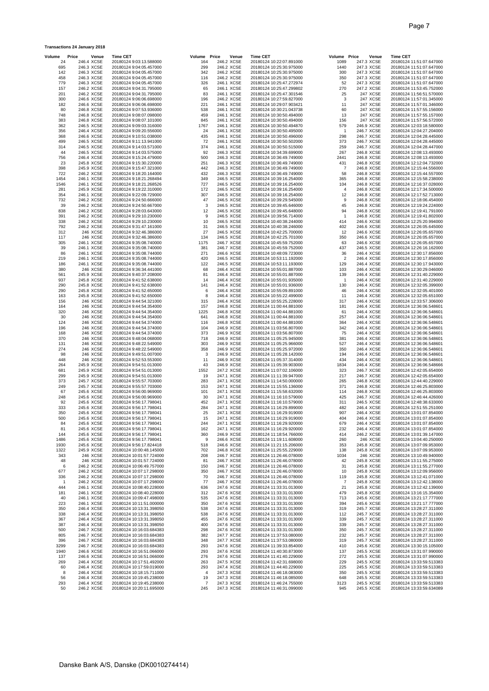| Volume              | Price                    | Venue                    | <b>Time CET</b>                                      | Volume Price   | Venue                    | <b>Time CET</b>                                      | Volume Price   | Venue                    | <b>Time CET</b>                                      |
|---------------------|--------------------------|--------------------------|------------------------------------------------------|----------------|--------------------------|------------------------------------------------------|----------------|--------------------------|------------------------------------------------------|
| 24                  | 246.4 XCSE               |                          | 20180124 9:03:13.588000                              | 164            | 246.2 XCSE               | 20180124 10:22:07.891000                             | 1089           | 247.3 XCSE               | 20180124 11:51:07.647000                             |
| 695                 | 246.3 XCSE               |                          | 20180124 9:04:05.457000                              | 299            | 246.2 XCSE               | 20180124 10:25:30.975000                             | 1440           | 247.3 XCSE               | 20180124 11:51:07.647000                             |
| 142                 | 246.3 XCSE               | 246.3 XCSE               | 20180124 9:04:05.457000                              | 342<br>116     | 246.2 XCSE               | 20180124 10:25:30.975000                             | 300            | 247.3 XCSE               | 20180124 11:51:07.647000<br>20180124 11:51:07.647000 |
| 458<br>779          | 246.3 XCSE               |                          | 20180124 9:04:05.457000<br>20180124 9:04:05.457000   | 326            | 246.2 XCSE<br>246.1 XCSE | 20180124 10:25:30.975000<br>20180124 10:25:47.272974 | 350<br>52      | 247.3 XCSE<br>247.3 XCSE | 20180124 11:51:07.647000                             |
| 157                 | 246.2 XCSE               |                          | 20180124 9:04:31.795000                              | 65             | 246.1 XCSE               | 20180124 10:25:47.299802                             | 270            | 247.2 XCSE               | 20180124 11:53:45.752000                             |
| 201                 | 246.2 XCSE               |                          | 20180124 9:04:31.795000                              | 83             | 246.1 XCSE               | 20180124 10:25:47.301546                             | 25             | 247 XCSE                 | 20180124 11:56:51.570000                             |
| 300                 | 246.6 XCSE               |                          | 20180124 9:06:06.698000                              | 196            | 246.2 XCSE               | 20180124 10:27:59.827000                             | 3              | 247 XCSE                 | 20180124 11:57:01.345000                             |
| 182                 |                          | 246.6 XCSE               | 20180124 9:06:06.698000                              | 221            | 246.1 XCSE               | 20180124 10:29:07.903421                             | 11             | 247 XCSE                 | 20180124 11:57:01.346000                             |
| 80<br>748           | 246.8 XCSE<br>246.8 XCSE |                          | 20180124 9:07:53.936000<br>20180124 9:08:07.098000   | 538<br>459     | 246.1 XCSE<br>246.1 XCSE | 20180124 10:30:21.043738<br>20180124 10:30:50.494000 | 60<br>13       | 247 XCSE<br>247 XCSE     | 20180124 11:57:55.156000<br>20180124 11:57:55.157000 |
| 383                 | 246.8 XCSE               |                          | 20180124 9:08:07.101000                              | 845            | 246.1 XCSE               | 20180124 10:30:50.494000                             | 156            | 247 XCSE                 | 20180124 11:57:56.572000                             |
| 362                 | 246.5 XCSE               |                          | 20180124 9:09:03.316000                              | 1767           | 246.1 XCSE               | 20180124 10:30:50.494870                             | 579            | 246.9 XCSE               | 20180124 12:03:18.580000                             |
| 356                 | 246.4 XCSE               |                          | 20180124 9:09:20.556000                              | 24             | 246.1 XCSE               | 20180124 10:30:50.495000                             | -1             | 246.7 XCSE               | 20180124 12:04:27.204000                             |
| 368                 |                          | 246.6 XCSE               | 20180124 9:10:51.038000                              | 435            | 246.1 XCSE               | 20180124 10:30:50.496000                             | 298            | 246.7 XCSE               | 20180124 12:04:28.445000                             |
| 499                 |                          | 246.5 XCSE               | 20180124 9:11:13.941000                              | 72             | 246.1 XCSE               | 20180124 10:30:50.502000                             | 373            | 246.7 XCSE               | 20180124 12:04:28.445000                             |
| 314<br>44           | 246.5 XCSE               | 246.5 XCSE               | 20180124 9:14:03.571000<br>20180124 9:14:03.575000   | 374<br>92      | 246.1 XCSE<br>246.3 XCSE | 20180124 10:30:50.515000<br>20180124 10:34:39.699000 | 259<br>267     | 246.7 XCSE<br>246.8 XCSE | 20180124 12:04:28.447000<br>20180124 12:08:13.493000 |
| 756                 | 246.4 XCSE               |                          | 20180124 9:15:24.479000                              | 500            | 246.3 XCSE               | 20180124 10:36:49.749000                             | 2441           | 246.8 XCSE               | 20180124 12:08:13.493000                             |
| 23                  | 245.8 XCSE               |                          | 20180124 9:15:30.220000                              | 251            | 246.3 XCSE               | 20180124 10:36:49.749000                             | 431            | 246.8 XCSE               | 20180124 12:12:04.732000                             |
| 398                 | 245.9 XCSE               |                          | 20180124 9:15:47.321000                              | 442            | 246.3 XCSE               | 20180124 10:36:49.749000                             | 7              | 246.8 XCSE               | 20180124 12:15:44.556000                             |
| 722                 |                          | 246.2 XCSE               | 20180124 9:18:20.164000                              | 432            | 246.3 XCSE               | 20180124 10:36:49.749000                             | 58             | 246.8 XCSE               | 20180124 12:15:44.557000                             |
| 1454                | 246.1 XCSE               |                          | 20180124 9:18:21.268494                              | 349            | 246.5 XCSE               | 20180124 10:39:16.254000                             | 365            | 246.8 XCSE               | 20180124 12:15:58.238000                             |
| 1546<br>281         |                          | 246.1 XCSE<br>245.9 XCSE | 20180124 9:18:21.268526<br>20180124 9:19:22.310000   | 727<br>172     | 246.5 XCSE<br>246.5 XCSE | 20180124 10:39:16.254000<br>20180124 10:39:16.254000 | 104<br>4       | 246.8 XCSE<br>246.8 XCSE | 20180124 12:16:37.028000<br>20180124 12:17:34.500000 |
| 354                 | 246.1 XCSE               |                          | 20180124 9:22:09.729000                              | 307            | 246.5 XCSE               | 20180124 10:39:16.254000                             | 12             | 246.8 XCSE               | 20180124 12:17:52.713000                             |
| 732                 | 246.2 XCSE               |                          | 20180124 9:24:50.666000                              | 47             | 246.5 XCSE               | 20180124 10:39:29.545000                             | 9              | 246.8 XCSE               | 20180124 12:18:06.454000                             |
| 39                  |                          | 246.2 XCSE               | 20180124 9:24:50.667000                              | 3              | 246.5 XCSE               | 20180124 10:39:45.646000                             | 45             | 246.8 XCSE               | 20180124 12:19:24.224000                             |
| 838                 | 246.2 XCSE               |                          | 20180124 9:28:03.643000                              | 12             | 246.5 XCSE               | 20180124 10:39:45.648000                             | 94             | 246.8 XCSE               | 20180124 12:19:41.791000                             |
| 391                 | 246.2 XCSE               |                          | 20180124 9:29:10.230000                              | 9              | 246.5 XCSE               | 20180124 10:39:56.714000                             | $\mathbf{1}$   | 246.8 XCSE               | 20180124 12:19:41.802000                             |
| 338<br>792          | 246.2 XCSE               | 246.2 XCSE               | 20180124 9:29:10.230000<br>20180124 9:31:47.161000   | 10<br>31       | 246.5 XCSE<br>246.5 XCSE | 20180124 10:40:38.244000<br>20180124 10:40:38.246000 | 414<br>402     | 246.6 XCSE<br>246.6 XCSE | 20180124 12:25:20.994000<br>20180124 12:26:05.645000 |
| 312                 |                          | 246 XCSE                 | 20180124 9:32:46.386000                              | 27             | 246.5 XCSE               | 20180124 10:42:25.700000                             | 12             | 246.6 XCSE               | 20180124 12:26:05.657000                             |
| 117                 |                          | 246 XCSE                 | 20180124 9:32:46.386000                              | 134            | 246.5 XCSE               | 20180124 10:42:25.701000                             | 350            | 246.6 XCSE               | 20180124 12:26:05.657000                             |
| 305                 | 246.1 XCSE               |                          | 20180124 9:35:08.740000                              | 1175           | 246.7 XCSE               | 20180124 10:45:59.752000                             | 63             | 246.6 XCSE               | 20180124 12:26:05.657000                             |
| 39                  | 246.1 XCSE               |                          | 20180124 9:35:08.740000                              | 381            | 246.7 XCSE               | 20180124 10:45:59.752000                             | 437            | 246.5 XCSE               | 20180124 12:26:16.162000                             |
| 86                  | 246.1 XCSE               |                          | 20180124 9:35:08.744000                              | 271            | 246.6 XCSE               | 20180124 10:48:09.723000                             | 36             | 246.4 XCSE               | 20180124 12:30:17.856000                             |
| 219                 | 246.1 XCSE<br>246.1 XCSE |                          | 20180124 9:35:08.744000<br>20180124 9:35:08.744000   | 420<br>122     | 246.5 XCSE<br>246.5 XCSE | 20180124 10:53:11.192000<br>20180124 10:53:11.193000 | $\overline{2}$ | 246.4 XCSE<br>246.4 XCSE | 20180124 12:30:17.856000                             |
| 186<br>380          |                          | 246 XCSE                 | 20180124 9:36:34.441000                              | 68             | 246.4 XCSE               | 20180124 10:55:01.887000                             | 129<br>103     | 246.4 XCSE               | 20180124 12:30:17.943000<br>20180124 12:30:29.046000 |
| 561                 | 245.9 XCSE               |                          | 20180124 9:40:37.208000                              | 81             | 246.4 XCSE               | 20180124 10:55:01.887000                             | 139            | 246.4 XCSE               | 20180124 12:31:40.229000                             |
| 937                 | 245.8 XCSE               |                          | 20180124 9:41:52.638000                              | 14             | 246.4 XCSE               | 20180124 10:55:01.935000                             | -1             | 246.4 XCSE               | 20180124 12:31:40.229000                             |
| 290                 |                          | 245.8 XCSE               | 20180124 9:41:52.638000                              | 141            | 246.4 XCSE               | 20180124 10:55:01.936000                             | 130            | 246.4 XCSE               | 20180124 12:32:05.399000                             |
| 290                 | 245.8 XCSE               |                          | 20180124 9:41:52.650000                              | 6              | 246.4 XCSE               | 20180124 10:55:09.891000                             | 46             | 246.4 XCSE               | 20180124 12:32:05.401000                             |
| 163                 | 245.8 XCSE               |                          | 20180124 9:41:52.650000                              | 8              | 246.4 XCSE               | 20180124 10:55:22.499000                             | 11             | 246.4 XCSE               | 20180124 12:32:05.651000                             |
| 156<br>164          |                          | 246 XCSE<br>246 XCSE     | 20180124 9:44:54.321000<br>20180124 9:44:54.354000   | 315<br>157     | 246.4 XCSE<br>246.8 XCSE | 20180124 10:55:25.228000<br>20180124 11:00:44.881000 | 317<br>181     | 246.4 XCSE<br>246.4 XCSE | 20180124 12:33:57.306000<br>20180124 12:36:06.548601 |
| 320                 |                          | 246 XCSE                 | 20180124 9:44:54.354000                              | 1225           | 246.8 XCSE               | 20180124 11:00:44.881000                             | 61             | 246.4 XCSE               | 20180124 12:36:06.548601                             |
| 30                  |                          | 246 XCSE                 | 20180124 9:44:54.354000                              | 641            | 246.8 XCSE               | 20180124 11:00:44.881000                             | 257            | 246.4 XCSE               | 20180124 12:36:06.548601                             |
| 124                 |                          | 246 XCSE                 | 20180124 9:44:54.374000                              | 116            | 246.8 XCSE               | 20180124 11:00:44.881000                             | 364            | 246.4 XCSE               | 20180124 12:36:06.548601                             |
| 196                 |                          | 246 XCSE                 | 20180124 9:44:54.374000                              | 104            | 246.9 XCSE               | 20180124 11:03:56.807000                             | 342            | 246.4 XCSE               | 20180124 12:36:06.548601                             |
| 168                 |                          | 246 XCSE                 | 20180124 9:44:54.374000                              | 373            | 246.9 XCSE               | 20180124 11:03:56.807000                             | 75<br>381      | 246.4 XCSE<br>246.4 XCSE | 20180124 12:36:06.548601                             |
| 370<br>131          |                          | 246 XCSE<br>246 XCSE     | 20180124 9:48:04.068000<br>20180124 9:48:22.549000   | 718<br>303     | 246.9 XCSE<br>246.9 XCSE | 20180124 11:05:25.945000<br>20180124 11:05:25.966000 | 527            | 246.4 XCSE               | 20180124 12:36:06.548601<br>20180124 12:36:06.548601 |
| 274                 |                          | 246 XCSE                 | 20180124 9:48:22.549000                              | 358            | 246.9 XCSE               | 20180124 11:05:25.972000                             | 350            | 246.4 XCSE               | 20180124 12:36:06.548601                             |
| 98                  |                          | 246 XCSE                 | 20180124 9:49:51.007000                              | 3              | 246.9 XCSE               | 20180124 11:05:28.142000                             | 194            | 246.4 XCSE               | 20180124 12:36:06.548601                             |
| 448                 |                          | 246 XCSE                 | 20180124 9:52:53.553000                              | 11             | 246.9 XCSE               | 20180124 11:05:37.314000                             | 434            | 246.4 XCSE               | 20180124 12:36:06.548601                             |
| 264                 | 245.9 XCSE               |                          | 20180124 9:54:51.013000                              | 43             | 246.9 XCSE<br>247.2 XCSE | 20180124 11:05:39.903000                             | 1834           | 246.4 XCSE               | 20180124 12:36:06.548666                             |
| 681<br>299          | 245.9 XCSE               | 245.9 XCSE               | 20180124 9:54:51.013000<br>20180124 9:54:51.013000   | 1552<br>19     | 247.1 XCSE               | 20180124 11:07:02.106000<br>20180124 11:11:39.947000 | 323<br>217     | 246.7 XCSE<br>246.7 XCSE | 20180124 12:42:05.654000<br>20180124 12:42:05.654000 |
| 373                 | 245.7 XCSE               |                          | 20180124 9:55:57.703000                              | 283            | 247.1 XCSE               | 20180124 11:14:50.000000                             | 265            | 246.8 XCSE               | 20180124 12:44:40.229000                             |
| 249                 | 245.7 XCSE               |                          | 20180124 9:55:57.703000                              | 153            | 247.1 XCSE               | 20180124 11:15:55.136000                             | 371            | 246.8 XCSE               | 20180124 12:46:25.803000                             |
| 67                  | 245.6 XCSE               |                          | 20180124 9:56:00.969000                              | 101            | 247.1 XCSE               | 20180124 11:15:58.632000                             | 114            | 246.8 XCSE               | 20180124 12:46:25.803000                             |
| 248                 | 245.6 XCSE               |                          | 20180124 9:56:00.969000                              | 30             | 247.1 XCSE               | 20180124 11:16:10.579000                             | 425            | 246.7 XCSE               | 20180124 12:46:44.426000                             |
| 92<br>333           | 245.6 XCSE               | 245.6 XCSE               | 20180124 9:56:17.798041<br>20180124 9:56:17.798041   | 452<br>284     | 247.1 XCSE<br>247.1 XCSE | 20180124 11:16:10.579000<br>20180124 11:16:29.899000 | 311<br>482     | 246.5 XCSE<br>246.4 XCSE | 20180124 12:48:38.633000<br>20180124 12:51:55.251000 |
| 350                 | 245.6 XCSE               |                          | 20180124 9:56:17.798041                              | 25             | 247.1 XCSE               | 20180124 11:16:29.919000                             | 907            | 246.4 XCSE               | 20180124 13:01:07.854000                             |
| 500                 | 245.6 XCSE               |                          | 20180124 9:56:17.798041                              | 15             | 247.1 XCSE               | 20180124 11:16:29.919000                             | 404            | 246.4 XCSE               | 20180124 13:01:07.854000                             |
| 84                  | 245.6 XCSE               |                          | 20180124 9:56:17.798041                              | 244            | 247.1 XCSE               | 20180124 11:16:29.920000                             | 679            | 246.4 XCSE               | 20180124 13:01:07.854000                             |
| 81                  | 245.6 XCSE               |                          | 20180124 9:56:17.798041                              | 162            | 247.1 XCSE               | 20180124 11:16:29.920000                             | 232            | 246.4 XCSE               | 20180124 13:01:07.854000                             |
| 144                 | 245.6 XCSE               |                          | 20180124 9:56:17.798041                              | 360            | 246.9 XCSE               | 20180124 11:18:54.766000                             | 414            | 246.2 XCSE<br>246 XCSE   | 20180124 13:01:39.147000                             |
| 1486<br>1930        | 245.6 XCSE<br>245.6 XCSE |                          | 20180124 9:56:17.798041<br>20180124 9:56:17.824418   | 9<br>518       | 246.6 XCSE<br>246.6 XCSE | 20180124 11:19:11.608000<br>20180124 11:21:15.206000 | 260<br>353     | 245.8 XCSE               | 20180124 13:04:40.250000<br>20180124 13:07:09.953000 |
| 1322                | 245.9 XCSE               |                          | 20180124 10:00:48.145000                             | 702            | 246.8 XCSE               | 20180124 11:25:55.229000                             | 138            | 245.8 XCSE               | 20180124 13:07:09.953000                             |
| 343                 |                          | 246 XCSE                 | 20180124 10:01:57.724000                             | 208            | 246.7 XCSE               | 20180124 11:26:46.078000                             | 1034           | 246 XCSE                 | 20180124 13:10:49.940000                             |
| 48                  |                          | 246 XCSE                 | 20180124 10:01:57.724000                             | 81             | 246.7 XCSE               | 20180124 11:26:46.078000                             | 42             | 245.8 XCSE               | 20180124 13:11:55.275000                             |
| 6                   |                          | 246.2 XCSE               | 20180124 10:06:49.757000                             | 150            | 246.7 XCSE               | 20180124 11:26:46.078000                             | 31             | 245.8 XCSE               | 20180124 13:11:55.277000                             |
| 677                 |                          | 246.2 XCSE               | 20180124 10:07:17.298000                             | 350            | 246.7 XCSE               | 20180124 11:26:46.078000                             | 10             | 245.8 XCSE               | 20180124 13:12:09.956000                             |
| 336<br>$\mathbf{1}$ | 246.2 XCSE               | 246.2 XCSE               | 20180124 10:07:17.298000<br>20180124 10:07:17.298000 | 70<br>77       | 246.7 XCSE<br>246.7 XCSE | 20180124 11:26:46.078000<br>20180124 11:26:46.078000 | 119<br>7       | 245.8 XCSE<br>245.8 XCSE | 20180124 13:12:41.071000<br>20180124 13:12:42.138000 |
| 444                 |                          | 246.1 XCSE               | 20180124 10:08:40.228000                             | 636            | 247.6 XCSE               | 20180124 11:33:31.013000                             | 21             | 245.8 XCSE               | 20180124 13:12:42.139000                             |
| 181                 |                          | 246.1 XCSE               | 20180124 10:08:40.228000                             | 312            | 247.6 XCSE               | 20180124 11:33:31.013000                             | 479            | 245.8 XCSE               | 20180124 13:16:15.354000                             |
| 40                  |                          | 246.1 XCSE               | 20180124 10:09:47.498000                             | 535            | 247.6 XCSE               | 20180124 11:33:31.013000                             | 713            | 245.6 XCSE               | 20180124 13:21:17.777000                             |
| 223                 |                          | 246.1 XCSE               | 20180124 10:11:51.000000                             | 350            | 247.6 XCSE               | 20180124 11:33:31.013000                             | 394            | 245.6 XCSE               | 20180124 13:21:17.777000                             |
| 350<br>338          | 246.4 XCSE<br>246.4 XCSE |                          | 20180124 10:13:31.398050<br>20180124 10:13:31.398050 | 538<br>538     | 247.6 XCSE<br>247.6 XCSE | 20180124 11:33:31.013000<br>20180124 11:33:31.013000 | 319<br>112     | 245.7 XCSE<br>245.7 XCSE | 20180124 13:28:27.311000<br>20180124 13:28:27.311000 |
| 367                 |                          | 246.4 XCSE               | 20180124 10:13:31.398050                             | 455            | 247.6 XCSE               | 20180124 11:33:31.013000                             | 339            | 245.7 XCSE               | 20180124 13:28:27.311000                             |
| 387                 | 246.4 XCSE               |                          | 20180124 10:13:31.398050                             | 400            | 247.6 XCSE               | 20180124 11:33:31.013000                             | 339            | 245.7 XCSE               | 20180124 13:28:27.311000                             |
| 500                 | 246.7 XCSE               |                          | 20180124 10:16:03.684383                             | 298            | 247.6 XCSE               | 20180124 11:33:31.013000                             | 350            | 245.7 XCSE               | 20180124 13:28:27.311000                             |
| 805                 | 246.7 XCSE               |                          | 20180124 10:16:03.684383                             | 382            | 247.7 XCSE               | 20180124 11:37:53.080000                             | 232            | 245.7 XCSE               | 20180124 13:28:27.311000                             |
| 396                 | 246.7 XCSE               |                          | 20180124 10:16:03.684383                             | 348            | 247.7 XCSE               | 20180124 11:37:53.080000                             | 319            | 245.7 XCSE               | 20180124 13:28:27.311000                             |
| 3299<br>1940        |                          | 246.7 XCSE<br>246.6 XCSE | 20180124 10:16:03.684383<br>20180124 10:16:51.066000 | 293<br>293     | 247.6 XCSE<br>247.6 XCSE | 20180124 11:39:33.854000<br>20180124 11:40:30.873000 | 410<br>137     | 245.6 XCSE<br>245.5 XCSE | 20180124 13:30:15.105000<br>20180124 13:31:07.990000 |
| 137                 |                          | 246.6 XCSE               | 20180124 10:16:51.066000                             | 276            | 247.6 XCSE               | 20180124 11:41:40.229000                             | 272            | 245.5 XCSE               | 20180124 13:31:07.990000                             |
| 269                 | 246.4 XCSE               |                          | 20180124 10:17:51.492000                             | 263            | 247.5 XCSE               | 20180124 11:42:31.698000                             | 229            | 245.5 XCSE               | 20180124 13:33:59.513383                             |
| 60                  |                          | 246.4 XCSE               | 20180124 10:17:59.019000                             | 293            | 247.4 XCSE               | 20180124 11:44:40.229000                             | 225            | 245.5 XCSE               | 20180124 13:33:59.513383                             |
| 8                   | 246.4 XCSE               |                          | 20180124 10:18:15.711000                             | $\overline{4}$ | 247.3 XCSE               | 20180124 11:46:18.083000                             | 350            | 245.5 XCSE               | 20180124 13:33:59.513383                             |
| 56<br>293           | 246.4 XCSE               | 246.4 XCSE               | 20180124 10:19:45.238000<br>20180124 10:19:45.238000 | 19<br>7        | 247.3 XCSE<br>247.3 XCSE | 20180124 11:46:18.085000<br>20180124 11:46:24.755000 | 648<br>3123    | 245.5 XCSE<br>245.5 XCSE | 20180124 13:33:59.513383<br>20180124 13:33:59.513383 |
| 50                  |                          | 246.2 XCSE               | 20180124 10:20:11.695000                             | 245            | 247.3 XCSE               | 20180124 11:46:31.099000                             | 945            | 245.5 XCSE               | 20180124 13:33:59.634089                             |

**Transactions 24 January 2018**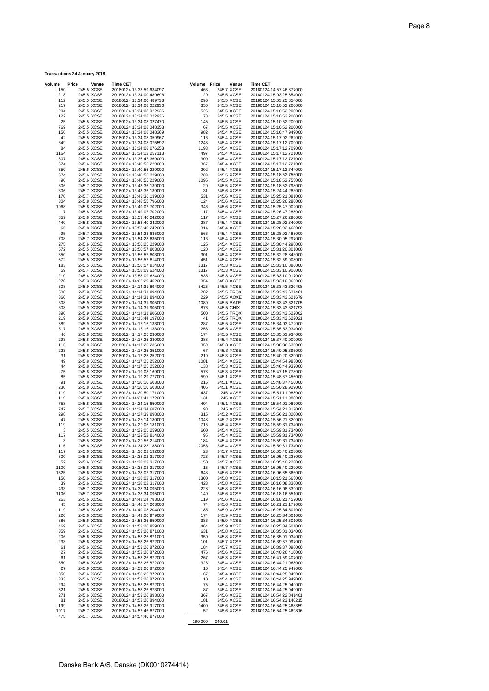| 150  | 245.5 XCSE | 20180124 13:33:59.634097 | 463  | 245.7 XCSE | 20180124 14:57:46.877000 |
|------|------------|--------------------------|------|------------|--------------------------|
|      |            |                          |      | 245.5 XCSE | 20180124 15:03:25.854000 |
| 218  | 245.5 XCSE | 20180124 13:34:00.489696 | 20   |            |                          |
| 112  | 245.5 XCSE | 20180124 13:34:00.489733 | 296  | 245.5 XCSE | 20180124 15:03:25.854000 |
| 217  | 245.5 XCSE | 20180124 13:34:08.022936 | 350  | 245.5 XCSE | 20180124 15:10:52.200000 |
|      |            |                          |      |            | 20180124 15:10:52.200000 |
| 204  | 245.5 XCSE | 20180124 13:34:08.022936 | 526  | 245.5 XCSE |                          |
| 122  | 245.5 XCSE | 20180124 13:34:08.022936 | - 78 | 245.5 XCSE | 20180124 15:10:52.200000 |
| 25   | 245.5 XCSE | 20180124 13:34:08.027470 | 145  | 245.5 XCSE | 20180124 15:10:52.200000 |
| 769  | 245.5 XCSE |                          | 67   | 245.5 XCSE | 20180124 15:10:52.200000 |
|      |            | 20180124 13:34:08.048353 |      |            |                          |
| 150  | 245.5 XCSE | 20180124 13:34:08.048369 | 982  | 245.4 XCSE | 20180124 15:16:47.949000 |
| 42   | 245.5 XCSE | 20180124 13:34:08.059967 | 116  | 245.4 XCSE | 20180124 15:17:02.262000 |
|      | 245.5 XCSE |                          |      |            |                          |
| 649  |            | 20180124 13:34:08.075592 | 1243 | 245.4 XCSE | 20180124 15:17:12.709000 |
| 84   | 245.5 XCSE | 20180124 13:34:08.076253 | 1193 | 245.4 XCSE | 20180124 15:17:12.709000 |
| 1164 | 245.5 XCSE | 20180124 13:34:12.257118 | 497  | 245.4 XCSE | 20180124 15:17:12.721000 |
|      |            |                          |      |            |                          |
| 307  | 245.4 XCSE | 20180124 13:36:47.369000 | 300  | 245.4 XCSE | 20180124 15:17:12.721000 |
| 674  | 245.6 XCSE | 20180124 13:40:55.229000 | 367  | 245.4 XCSE | 20180124 15:17:12.721000 |
| 350  | 245.6 XCSE | 20180124 13:40:55.229000 | 202  | 245.4 XCSE | 20180124 15:17:12.744000 |
| 674  | 245.6 XCSE | 20180124 13:40:55.229000 | 783  | 245.5 XCSE | 20180124 15:18:52.755000 |
|      |            |                          |      |            |                          |
| 90   | 245.6 XCSE | 20180124 13:40:55.229000 | 1095 | 245.5 XCSE | 20180124 15:18:52.755000 |
| 306  | 245.7 XCSE | 20180124 13:43:36.139000 | 20   | 245.5 XCSE | 20180124 15:18:52.798000 |
| 306  | 245.7 XCSE | 20180124 13:43:36.139000 | 31   | 245.6 XCSE | 20180124 15:24:44.283000 |
|      |            |                          |      |            |                          |
| 170  | 245.7 XCSE | 20180124 13:43:36.139000 | 531  | 245.6 XCSE | 20180124 15:25:21.081000 |
| 304  | 245.8 XCSE | 20180124 13:48:55.796000 | 124  | 245.6 XCSE | 20180124 15:25:26.286000 |
| 1068 | 245.8 XCSE | 20180124 13:49:02.702000 | 346  | 245.6 XCSE | 20180124 15:25:47.902000 |
|      |            |                          |      |            |                          |
| 7    | 245.8 XCSE | 20180124 13:49:02.702000 | 117  | 245.4 XCSE | 20180124 15:26:47.288000 |
| 859  | 245.8 XCSE | 20180124 13:53:40.242000 | 117  | 245.4 XCSE | 20180124 15:27:26.290000 |
| 440  | 245.8 XCSE | 20180124 13:53:40.242000 | 287  | 245.4 XCSE | 20180124 15:28:02.340000 |
|      |            |                          |      |            |                          |
| 65   | 245.8 XCSE | 20180124 13:53:40.242000 | 314  | 245.4 XCSE | 20180124 15:28:02.468000 |
| 95   | 245.7 XCSE | 20180124 13:54:23.635000 | 566  | 245.4 XCSE | 20180124 15:28:02.488000 |
| 708  | 245.7 XCSE | 20180124 13:54:23.635000 | 116  | 245.4 XCSE | 20180124 15:30:05.297000 |
|      |            |                          |      |            |                          |
| 275  | 245.6 XCSE | 20180124 13:56:25.229000 | 125  | 245.4 XCSE | 20180124 15:30:44.298000 |
| 572  | 245.5 XCSE | 20180124 13:56:57.803000 | 120  | 245.4 XCSE | 20180124 15:31:20.301000 |
| 350  | 245.5 XCSE | 20180124 13:56:57.803000 | 301  | 245.4 XCSE | 20180124 15:32:28.843000 |
|      |            |                          |      |            |                          |
| 572  | 245.5 XCSE | 20180124 13:56:57.814000 | 451  | 245.4 XCSE | 20180124 15:32:59.908000 |
| 183  | 245.5 XCSE | 20180124 13:56:57.814000 | 1317 | 245.3 XCSE | 20180124 15:33:10.886000 |
| 59   | 245.4 XCSE | 20180124 13:58:09.624000 | 1317 | 245.3 XCSE | 20180124 15:33:10.906000 |
|      |            |                          |      |            |                          |
| 210  | 245.4 XCSE | 20180124 13:58:09.624000 | 835  | 245.3 XCSE | 20180124 15:33:10.917000 |
| 270  | 245.3 XCSE | 20180124 14:02:29.462000 | 354  | 245.3 XCSE | 20180124 15:33:10.966000 |
| 608  | 245.9 XCSE | 20180124 14:14:31.894000 | 5425 | 245.5 XCSE | 20180124 15:33:43.620498 |
|      |            |                          |      |            |                          |
| 500  | 245.9 XCSE | 20180124 14:14:31.894000 | 282  | 245.5 TRQX | 20180124 15:33:43.621461 |
| 360  | 245.9 XCSE | 20180124 14:14:31.894000 | 229  | 245.5 AQXE | 20180124 15:33:43.621679 |
| 608  | 245.9 XCSE | 20180124 14:14:31.905000 | 1080 | 245.5 BATE | 20180124 15:33:43.621705 |
|      |            |                          |      |            |                          |
| 608  | 245.9 XCSE | 20180124 14:14:31.905000 | 876  | 245.5 CHIX | 20180124 15:33:43.621793 |
| 390  | 245.9 XCSE | 20180124 14:14:31.906000 | 500  | 245.5 TRQX | 20180124 15:33:43.622002 |
| 219  | 245.9 XCSE | 20180124 14:15:44.197000 | 41   | 245.5 TRQX | 20180124 15:33:43.622021 |
|      |            |                          |      |            |                          |
| 389  | 245.9 XCSE | 20180124 14:16:16.133000 | 287  | 245.5 XCSE | 20180124 15:34:03.472000 |
| 517  | 245.9 XCSE | 20180124 14:16:16.133000 | 258  | 245.5 XCSE | 20180124 15:35:53.934000 |
| 46   | 245.8 XCSE | 20180124 14:17:25.230000 | 174  | 245.5 XCSE | 20180124 15:35:53.934000 |
|      |            |                          |      |            |                          |
| 293  | 245.8 XCSE | 20180124 14:17:25.230000 | 288  | 245.4 XCSE | 20180124 15:37:40.009000 |
| 116  | 245.8 XCSE | 20180124 14:17:25.236000 | 359  | 245.3 XCSE | 20180124 15:38:36.635000 |
| 223  | 245.8 XCSE | 20180124 14:17:25.251000 | 67   | 245.3 XCSE | 20180124 15:40:05.395000 |
| 31   |            |                          |      |            |                          |
|      | 245.8 XCSE | 20180124 14:17:25.252000 | 219  | 245.3 XCSE | 20180124 15:40:20.329000 |
| 49   | 245.8 XCSE | 20180124 14:17:25.252000 | 1081 | 245.4 XCSE | 20180124 15:44:54.983000 |
| 44   | 245.8 XCSE | 20180124 14:17:25.252000 | 138  | 245.3 XCSE | 20180124 15:46:44.937000 |
|      |            |                          |      |            |                          |
| 75   | 245.8 XCSE | 20180124 14:19:08.169000 | 578  | 245.3 XCSE | 20180124 15:47:15.778000 |
| 85   | 245.8 XCSE | 20180124 14:19:29.777000 | 599  | 245.1 XCSE | 20180124 15:48:37.456000 |
| 91   | 245.8 XCSE | 20180124 14:20:10.603000 | 216  | 245.1 XCSE | 20180124 15:48:37.456000 |
| 230  | 245.8 XCSE | 20180124 14:20:10.603000 | 406  | 245.1 XCSE | 20180124 15:50:28.929000 |
|      |            |                          |      |            |                          |
| 119  | 245.8 XCSE | 20180124 14:20:50.171000 | 437  | 245 XCSE   | 20180124 15:51:11.988000 |
| 119  | 245.8 XCSE | 20180124 14:21:41.172000 | 131  | 245 XCSE   | 20180124 15:51:11.988000 |
| 758  |            |                          | 404  |            |                          |
|      | 245.8 XCSE | 20180124 14:24:15.650000 |      | 245.1 XCSE | 20180124 15:54:01.987000 |
| 747  | 245.7 XCSE | 20180124 14:24:34.687000 | 98   | 245 XCSE   | 20180124 15:54:21.317000 |
| 298  | 245.6 XCSE | 20180124 14:27:39.898000 | 315  | 245.2 XCSE | 20180124 15:56:21.820000 |
| 47   | 245.5 XCSE | 20180124 14:28:14.180000 | 1048 | 245.2 XCSE | 20180124 15:56:21.820000 |
|      |            |                          |      |            |                          |
| 119  | 245.5 XCSE | 20180124 14:29:05.181000 | 715  | 245.4 XCSE | 20180124 15:59:31.734000 |
| 3    | 245.5 XCSE | 20180124 14:29:05.259000 | 600  | 245.4 XCSE | 20180124 15:59:31.734000 |
| 117  | 245.5 XCSE | 20180124 14:29:52.814000 | 95   | 245.4 XCSE | 20180124 15:59:31.734000 |
|      |            |                          |      |            |                          |
| 3    | 245.5 XCSE | 20180124 14:29:56.214000 | 184  | 245.4 XCSE | 20180124 15:59:31.734000 |
| 116  | 245.6 XCSE | 20180124 14:34:23.188000 | 2053 | 245.4 XCSE | 20180124 15:59:31.734000 |
| 117  | 245.6 XCSE | 20180124 14:36:02.192000 | 23   | 245.7 XCSE | 20180124 16:05:40.228000 |
|      |            |                          | 723  |            | 20180124 16:05:40.228000 |
| 800  | 245.6 XCSE | 20180124 14:38:02.317000 |      | 245.7 XCSE |                          |
| 52   | 245.6 XCSE | 20180124 14:38:02.317000 | 150  | 245.7 XCSE | 20180124 16:05:40.228000 |
| 1100 | 245.6 XCSE | 20180124 14:38:02.317000 | 15   | 245.7 XCSE | 20180124 16:05:40.229000 |
|      |            |                          |      |            |                          |
| 1525 | 245.6 XCSE | 20180124 14:38:02.317000 | 648  | 245.6 XCSE | 20180124 16:06:35.365000 |
| 150  | 245.6 XCSE | 20180124 14:38:02.317000 | 1300 | 245.8 XCSE | 20180124 16:15:21.663000 |
| 39   | 245.6 XCSE | 20180124 14:38:02.317000 | 423  | 245.8 XCSE | 20180124 16:16:08.338000 |
|      |            |                          |      |            |                          |
| 433  | 245.7 XCSE | 20180124 14:38:34.095000 | 228  | 245.8 XCSE | 20180124 16:16:08.339000 |
| 1106 | 245.7 XCSE | 20180124 14:38:34.095000 | 140  | 245.6 XCSE | 20180124 16:18:16.551000 |
| 263  | 245.6 XCSE | 20180124 14:41:24.783000 | 119  | 245.6 XCSE | 20180124 16:18:21.457000 |
| 45   | 245.6 XCSE | 20180124 14:48:17.203000 | 74   | 245.6 XCSE | 20180124 16:21:21.177000 |
|      |            |                          |      |            |                          |
| 119  | 245.6 XCSE | 20180124 14:49:08.204000 | 185  | 245.9 XCSE | 20180124 16:25:34.501000 |
| 220  | 245.6 XCSE | 20180124 14:49:20.979000 | 174  | 245.9 XCSE | 20180124 16:25:34.501000 |
| 886  | 245.6 XCSE | 20180124 14:53:26.859000 | 386  | 245.9 XCSE | 20180124 16:25:34.501000 |
|      |            |                          |      |            |                          |
| 469  | 245.6 XCSE | 20180124 14:53:26.859000 | 464  | 245.9 XCSE | 20180124 16:25:34.501000 |
| 359  | 245.6 XCSE | 20180124 14:53:26.871000 | 631  | 245.8 XCSE | 20180124 16:35:01.034000 |
| 206  | 245.6 XCSE | 20180124 14:53:26.871000 | 350  | 245.8 XCSE | 20180124 16:35:01.034000 |
|      |            |                          |      |            |                          |
| 233  | 245.6 XCSE | 20180124 14:53:26.872000 | 101  | 245.7 XCSE | 20180124 16:39:37.097000 |
| 61   | 245.6 XCSE | 20180124 14:53:26.872000 | 184  | 245.7 XCSE | 20180124 16:39:37.098000 |
| 27   | 245.6 XCSE | 20180124 14:53:26.872000 | 476  | 245.6 XCSE | 20180124 16:40:26.410000 |
|      |            |                          |      |            |                          |
| 61   | 245.6 XCSE | 20180124 14:53:26.872000 | 267  | 245.3 XCSE | 20180124 16:41:59.407000 |
| 350  | 245.6 XCSE | 20180124 14:53:26.872000 | 323  | 245.4 XCSE | 20180124 16:44:21.968000 |
| 27   |            | 20180124 14:53:26.872000 | 10   |            | 20180124 16:44:25.949000 |
|      | 245.6 XCSE |                          |      | 245.4 XCSE |                          |
| 350  | 245.6 XCSE | 20180124 14:53:26.872000 | 167  | 245.4 XCSE | 20180124 16:44:25.949000 |
| 333  | 245.6 XCSE | 20180124 14:53:26.872000 | 10   | 245.4 XCSE | 20180124 16:44:25.949000 |
|      |            |                          |      |            |                          |
| 294  | 245.6 XCSE | 20180124 14:53:26.872000 | 75   | 245.4 XCSE | 20180124 16:44:25.949000 |
| 321  | 245.6 XCSE | 20180124 14:53:26.873000 | 87   | 245.4 XCSE | 20180124 16:44:25.949000 |
|      |            |                          |      |            |                          |

**Transactions 24 January 2018**

**Volume Price Venue Time CET Volume Price Venue Time CET** 5:28:02.488000<br>5:30:05.297000 4.4.94.937000<br>5:46:44.937000<br>5:47:15.778000 9:48:37.456000<br>5:48:37.456000<br>5:50:28.929000 271 245.6 XCSE 20180124 14:53:26.893000 367 245.6 XCSE 20180124 16:54:22.841401<br>
245.6 XCSE 20180124 14:53:26.894000 181 245.6 XCSE 20180124 16:54:22.841401<br>
245.6 XCSE 20180124 14:53:26.917000 9400 245.6 XCSE 20180124 16:  $101245.6 XCSE 20180124 14:53:26.894000 181 245.6 XCSE 20180124 16:54:23.140215  
199 245.6 XCSE 20180124 14:53:26.917000 9400 245.6 XCSE 20180124 16:54:25.468359  
1017 245.7 XCSE 20180124 14:57:46.877000 52 245.6 XCSE 20180124 16:54:$ 

190,000 246.01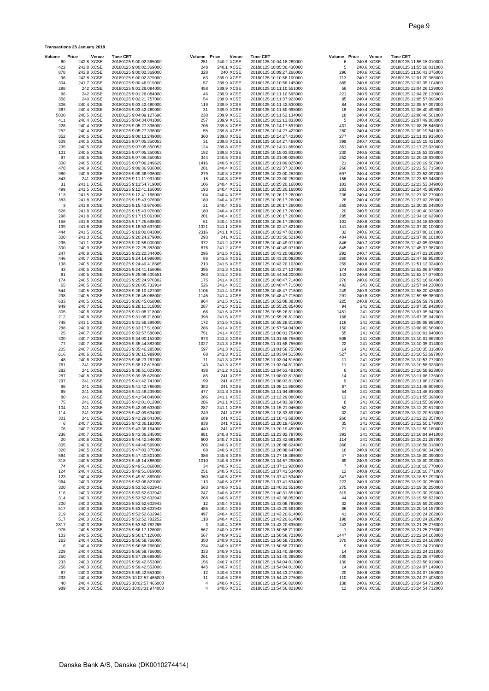| Volume     | Price                    | Venue                | <b>Time CET</b>                                      | Volume Price | Venue                    | <b>Time CET</b> |                                                      | Volume Price         | Venue                    | <b>Time CET</b>                                      |
|------------|--------------------------|----------------------|------------------------------------------------------|--------------|--------------------------|-----------------|------------------------------------------------------|----------------------|--------------------------|------------------------------------------------------|
| 60<br>422  | 242.8 XCSE<br>242.8 XCSE |                      | 20180125 9:00:02.365000<br>20180125 9:00:02.369000   | 251<br>248   | 240.2 XCSE<br>240.1 XCSE |                 | 20180125 10:04:18.280000<br>20180125 10:05:30.430000 | 6<br>5               | 240.6 XCSE<br>240.6 XCSE | 20180125 11:55:18.010000<br>20180125 11:55:18.011000 |
| 878        | 242.8 XCSE               |                      | 20180125 9:00:02.369000                              | 328          | 240 XCSE                 |                 | 20180125 10:09:27.266000                             | 296                  | 240.6 XCSE               | 20180125 11:56:41.376000                             |
| 96         | 242.8 XCSE               |                      | 20180125 9:00:02.379000                              | 63           | 239.9 XCSE               |                 | 20180125 10:10:58.100000                             | 713                  | 240.7 XCSE               | 20180125 12:01:20.986000                             |
| 304<br>298 | 241.7 XCSE               | 242 XCSE             | 20180125 9:00:46.919000<br>20180125 9:01:26.084000   | 57<br>458    | 239.9 XCSE<br>239.9 XCSE |                 | 20180125 10:10:58.145000<br>20180125 10:11:10.551000 | 389<br>56            | 240.6 XCSE<br>240.5 XCSE | 20180125 12:02:35.104000<br>20180125 12:04:26.129000 |
| 66         |                          | 242 XCSE             | 20180125 9:01:26.084000                              | 46           | 239.9 XCSE               |                 | 20180125 10:11:10.595000                             | 221                  | 240.5 XCSE               | 20180125 12:04:26.130000                             |
| 356        |                          | 240 XCSE             | 20180125 9:02:21.757000                              | 54           | 239.9 XCSE               |                 | 20180125 10:11:37.923000                             | 85                   | 240.4 XCSE               | 20180125 12:05:57.096000                             |
| 306<br>367 | 240.4 XCSE<br>240.4 XCSE |                      | 20180125 9:03:42.480000<br>20180125 9:03:42.480000   | 119<br>31    | 239.9 XCSE<br>239.9 XCSE |                 | 20180125 10:11:42.530000<br>20180125 10:11:50.998000 | 84<br>18             | 240.4 XCSE<br>240.4 XCSE | 20180125 12:05:57.097000<br>20180125 12:06:40.499000 |
| 5000       | 240.5 XCSE               |                      | 20180125 9:04:09.127696                              | 238          | 239.9 XCSE               |                 | 20180125 10:11:52.134000                             | 18                   | 240.4 XCSE               | 20180125 12:06:40.501000                             |
| 411        | 240.4 XCSE               |                      | 20180125 9:04:34.041000                              | 257          | 239.9 XCSE               |                 | 20180125 10:12:13.833000                             | 5                    | 240.4 XCSE               | 20180125 12:07:49.808000                             |
| 228<br>252 | 240.4 XCSE<br>240.4 XCSE |                      | 20180125 9:05:27.336000<br>20180125 9:05:27.336000   | 706<br>55    | 239.8 XCSE<br>239.8 XCSE |                 | 20180125 10:14:17.597000<br>20180125 10:14:27.422000 | 431<br>280           | 240.4 XCSE<br>240.4 XCSE | 20180125 12:08:26.846000<br>20180125 12:09:19.541000 |
| 352        | 240.5 XCSE               |                      | 20180125 9:06:13.249000                              | 360          | 239.8 XCSE               |                 | 20180125 10:14:27.422000                             | 277                  | 240.4 XCSE               | 20180125 12:11:03.915000                             |
| 609        | 240.5 XCSE               |                      | 20180125 9:07:05.350053                              | 31           | 239.8 XCSE               |                 | 20180125 10:14:27.469000                             | 399                  | 240.7 XCSE               | 20180125 12:15:15.421000                             |
| 235        | 240.5 XCSE               |                      | 20180125 9:07:05.350053                              | 124          | 239.8 XCSE               |                 | 20180125 10:14:31.889000                             | 351                  | 240.6 XCSE               | 20180125 12:17:23.030000                             |
| 101<br>97  | 240.5 XCSE<br>240.5 XCSE |                      | 20180125 9:07:05.350053<br>20180125 9:07:05.350053   | 152<br>344   | 239.8 XCSE<br>240.5 XCSE |                 | 20180125 10:15:03.832000<br>20180125 10:21:09.025000 | 230<br>252           | 240.5 XCSE<br>240.4 XCSE | 20180125 12:18:53.335000<br>20180125 12:20:18.930000 |
| 300        | 240.5 XCSE               |                      | 20180125 9:07:06.249629                              | 1416         | 240.5 XCSE               |                 | 20180125 10:21:09.025000                             | 21                   | 240.4 XCSE               | 20180125 12:20:19.507000                             |
| 478        | 240.9 XCSE               |                      | 20180125 9:09:36.936000                              | 281          | 240.4 XCSE               |                 | 20180125 10:22:37.323000                             | 266                  | 240.5 XCSE               | 20180125 12:22:53.715000                             |
| 980<br>843 | 240.9 XCSE               | 241 XCSE             | 20180125 9:09:36.936000<br>20180125 9:11:11.931000   | 279<br>18    | 240.3 XCSE<br>240.3 XCSE |                 | 20180125 10:23:00.252000<br>20180125 10:23:00.252000 | 697<br>156           | 240.4 XCSE<br>240.4 XCSE | 20180125 12:23:52.097000<br>20180125 12:23:53.348000 |
| 31         | 241.1 XCSE               |                      | 20180125 9:11:54.719000                              | 106          | 240.4 XCSE               |                 | 20180125 10:25:20.168000                             | 103                  | 240.4 XCSE               | 20180125 12:23:53.349000                             |
| 499        | 241.5 XCSE               |                      | 20180125 9:12:41.166000                              | 193          | 240.4 XCSE               |                 | 20180125 10:25:20.168000                             | 283                  | 240.3 XCSE               | 20180125 12:24:45.889000                             |
| 113<br>383 | 241.5 XCSE<br>241.8 XCSE |                      | 20180125 9:12:41.166000                              | 104<br>180   | 240.4 XCSE<br>240.4 XCSE |                 | 20180125 10:26:17.260000<br>20180125 10:26:17.260000 | 236<br>28            | 240.4 XCSE<br>240.4 XCSE | 20180125 12:27:02.279000                             |
| 3          | 241.8 XCSE               |                      | 20180125 9:15:43.976000<br>20180125 9:15:43.976000   | 21           | 240.4 XCSE               |                 | 20180125 10:26:17.260000                             | 265                  | 240.5 XCSE               | 20180125 12:27:02.280000<br>20180125 12:30:35.248000 |
| 528        | 241.8 XCSE               |                      | 20180125 9:15:43.976000                              | 180          | 240.4 XCSE               |                 | 20180125 10:26:17.260000                             | 20                   | 240.5 XCSE               | 20180125 12:30:40.026000                             |
| 298        | 241.8 XCSE               |                      | 20180125 9:17:15.061000                              | 201          | 240.4 XCSE               |                 | 20180125 10:26:17.260000                             | 295                  | 240.6 XCSE               | 20180125 12:34:18.629000                             |
| 158<br>139 | 241.6 XCSE<br>241.6 XCSE |                      | 20180125 9:17:25.698000<br>20180125 9:18:53.637000   | 61<br>1321   | 240.4 XCSE<br>241.1 XCSE |                 | 20180125 10:26:17.260000<br>20180125 10:32:47.821000 | 101<br>141           | 240.6 XCSE<br>240.6 XCSE | 20180125 12:34:18.630000<br>20180125 12:37:00.100000 |
| 444        | 241.5 XCSE               |                      | 20180125 9:19:00.843000                              | 2316         | 241.1 XCSE               |                 | 20180125 10:32:47.821000                             | 32                   | 240.6 XCSE               | 20180125 12:37:00.101000                             |
| 300        | 241.3 XCSE               |                      | 20180125 9:20:24.279000                              | 293          | 241 XCSE                 |                 | 20180125 10:33:50.521000                             | 404                  | 240.6 XCSE               | 20180125 12:37:00.101000                             |
| 295        | 241.1 XCSE               |                      | 20180125 9:20:58.000000                              | 972<br>876   | 241.2 XCSE<br>241.2 XCSE |                 | 20180125 10:40:49.071000                             | 846                  | 240.7 XCSE<br>240.7 XCSE | 20180125 12:43:05.036000<br>20180125 12:45:37.987000 |
| 300<br>247 | 240.9 XCSE<br>240.8 XCSE |                      | 20180125 9:22:25.383000<br>20180125 9:23:22.344000   | 296          | 241.5 XCSE               |                 | 20180125 10:40:49.071000<br>20180125 10:43:20.082000 | 845<br>292           | 240.7 XCSE               | 20180125 12:47:21.262000                             |
| 446        | 240.7 XCSE               |                      | 20180125 9:24:14.996000                              | 86           | 241.5 XCSE               |                 | 20180125 10:43:20.082000                             | 260                  | 240.6 XCSE               | 20180125 12:47:58.952000                             |
| 138        | 240.5 XCSE               |                      | 20180125 9:24:40.418565                              | 213          | 241.5 XCSE               |                 | 20180125 10:43:20.103000                             | 259                  | 240.6 XCSE               | 20180125 12:51:12.324000                             |
| 43<br>61   | 240.5 XCSE<br>240.5 XCSE |                      | 20180125 9:24:41.156066<br>20180125 9:25:08.400551   | 395<br>263   | 241.3 XCSE<br>241.2 XCSE |                 | 20180125 10:43:27.137000<br>20180125 10:44:54.200000 | 174<br>143           | 240.6 XCSE<br>240.6 XCSE | 20180125 12:52:06.679000<br>20180125 12:52:17.079000 |
| 174        | 240.5 XCSE               |                      | 20180125 9:25:24.970302                              | 175          | 241.4 XCSE               |                 | 20180125 10:48:47.714000                             | 276                  | 240.6 XCSE               | 20180125 12:53:16.604000                             |
| 65         | 240.5 XCSE               |                      | 20180125 9:26:05.732914                              | 526          | 241.4 XCSE               |                 | 20180125 10:48:47.715000                             | 482                  | 241 XCSE                 | 20180125 12:57:04.230000                             |
| 544<br>298 | 240.5 XCSE<br>240.5 XCSE |                      | 20180125 9:26:10.427009<br>20180125 9:26:45.068000   | 1105<br>1145 | 241.4 XCSE<br>241.4 XCSE |                 | 20180125 10:48:47.715000<br>20180125 10:48:47.715000 | 249<br>291           | 240.9 XCSE<br>240.8 XCSE | 20180125 12:58:20.425000<br>20180125 12:59:55.989000 |
| 633        | 240.5 XCSE               |                      | 20180125 9:26:45.068088                              | 964          | 241.5 XCSE               |                 | 20180125 10:52:08.383000                             | 225                  | 240.8 XCSE               | 20180125 12:59:59.791000                             |
| 949        | 240.7 XCSE               |                      | 20180125 9:28:11.318000                              | 287          | 241.5 XCSE               |                 | 20180125 10:55:20.854000                             | 94                   | 241 XCSE                 | 20180125 13:07:35.942000                             |
| 305        | 240.8 XCSE               |                      | 20180125 9:31:08.718000                              | 66           | 241.5 XCSE               |                 | 20180125 10:55:26.811000                             | 1451                 | 241 XCSE                 | 20180125 13:07:35.942000                             |
| 212<br>748 | 240.8 XCSE<br>241.1 XCSE |                      | 20180125 9:31:08.718000<br>20180125 9:31:56.389000   | 398<br>172   | 241.5 XCSE<br>241.5 XCSE |                 | 20180125 10:55:26.812000<br>20180125 10:55:26.812000 | 168<br>116           | 241 XCSE<br>241 XCSE     | 20180125 13:07:35.942000<br>20180125 13:08:08.995000 |
| 288        | 240.9 XCSE               |                      | 20180125 9:33:17.516000                              | 286          | 241.4 XCSE               |                 | 20180125 10:57:54.043000                             | 150                  | 241 XCSE                 | 20180125 13:08:09.569000                             |
| 25         | 240.7 XCSE               |                      | 20180125 9:33:57.586000                              | 751          | 241.4 XCSE               |                 | 20180125 11:00:01.754000                             | 55                   | 241 XCSE                 | 20180125 13:10:01.940000                             |
| 400<br>77  | 240.7 XCSE<br>240.7 XCSE |                      | 20180125 9:34:00.152000<br>20180125 9:35:44.882000   | 873<br>1027  | 241.3 XCSE<br>241.3 XCSE |                 | 20180125 11:01:58.755000<br>20180125 11:01:58.755000 | 508<br>22            | 241 XCSE<br>241 XCSE     | 20180125 13:10:01.962000<br>20180125 13:10:35.314000 |
| 205        | 240.7 XCSE               |                      | 20180125 9:35:46.285000                              | 597          | 241.3 XCSE               |                 | 20180125 11:01:58.755000                             | 14                   | 241 XCSE                 | 20180125 13:10:35.316000                             |
| 616        | 240.6 XCSE               |                      | 20180125 9:36:15.989000                              | 68           | 241.3 XCSE               |                 | 20180125 11:03:04.515000                             | 527                  | 241 XCSE                 | 20180125 13:10:53.697000                             |
| 48         | 240.6 XCSE               |                      | 20180125 9:36:23.767000                              | 71           | 241.3 XCSE               |                 | 20180125 11:03:04.516000                             | 11                   | 241 XCSE                 | 20180125 13:10:53.772000                             |
| 761<br>282 |                          | 241 XCSE<br>241 XCSE | 20180125 9:38:12.815000<br>20180125 9:38:51.023000   | 143<br>438   | 241.3 XCSE<br>241.2 XCSE |                 | 20180125 11:03:04.517000<br>20180125 11:04:53.481000 | 11<br>6              | 241 XCSE<br>241 XCSE     | 20180125 13:10:58.923000<br>20180125 13:10:58.923000 |
| 287        | 240.8 XCSE               |                      | 20180125 9:39:35.629000                              | 85           | 241 XCSE                 |                 | 20180125 11:08:03.813000                             | 14                   | 241 XCSE                 | 20180125 13:11:06.136000                             |
| 297        |                          | 241 XCSE             | 20180125 9:41:42.741000                              | 199          | 241 XCSE                 |                 | 20180125 11:08:03.813000                             | 9                    | 241 XCSE                 | 20180125 13:11:06.137000                             |
| 96<br>65   |                          | 241 XCSE<br>241 XCSE | 20180125 9:41:42.786000<br>20180125 9:41:48.239000   | 383<br>477   | 241 XCSE<br>241.3 XCSE   |                 | 20180125 11:08:11.860000<br>20180125 11:11:04.889000 | 87<br>54             | 241 XCSE<br>241 XCSE     | 20180125 13:11:48.909000<br>20180125 13:11:48.910000 |
| 80         |                          | 241 XCSE             | 20180125 9:41:54.849000                              | 286          | 241.1 XCSE               |                 | 20180125 11:13:29.086000                             | 13                   | 241 XCSE                 | 20180125 13:11:55.398000                             |
| 75         |                          | 241 XCSE             | 20180125 9:42:01.012000                              | 286          | 241.1 XCSE               |                 | 20180125 11:14:03.397000                             | 8                    | 241 XCSE                 | 20180125 13:11:55.399000                             |
| 104        |                          | 241 XCSE             | 20180125 9:42:09.633000                              | 287          | 241.1 XCSE               |                 | 20180125 11:15:21.045000                             | 52                   | 241 XCSE                 | 20180125 13:12:20.512000                             |
| 114<br>301 |                          | 241 XCSE<br>241 XCSE | 20180125 9:42:09.634000<br>20180125 9:42:29.641000   | 249<br>689   | 241 XCSE<br>241 XCSE     |                 | 20180125 11:18:33.897000<br>20180125 11:18:43.683000 | 32<br>266            | 241 XCSE<br>241 XCSE     | 20180125 13:12:20.513000<br>20180125 13:12:22.357000 |
| 6          | 240.7 XCSE               |                      | 20180125 9:43:36.192000                              | 938          | 241 XCSE                 |                 | 20180125 11:20:19.459000                             | 35                   | 241 XCSE                 | 20180125 13:12:50.179000                             |
| 76         | 240.7 XCSE               |                      | 20180125 9:43:36.194000                              | 440          | 241 XCSE                 |                 | 20180125 11:20:19.459000                             | 21                   | 241 XCSE                 | 20180125 13:12:50.180000                             |
| 236<br>20  | 240.7 XCSE<br>240.6 XCSE |                      | 20180125 9:43:36.245000<br>20180125 9:44:42.346000   | 881<br>600   | 240.8 XCSE<br>240.7 XCSE |                 | 20180125 11:23:02.787000<br>20180125 11:23:42.681000 | 393<br>114           | 241 XCSE<br>241 XCSE     | 20180125 13:16:04.941000<br>20180125 13:16:21.297000 |
| 305        | 240.6 XCSE               |                      | 20180125 9:44:46.599000                              | 206          | 240.6 XCSE               |                 | 20180125 11:26:08.624000                             | 366                  | 241 XCSE                 | 20180125 13:16:58.318000                             |
| 320        | 240.5 XCSE               |                      | 20180125 9:47:03.375000                              | 68           | 240.6 XCSE               |                 | 20180125 11:26:08.647000                             | 16                   | 240.9 XCSE               | 20180125 13:18:00.342000                             |
| 564        | 240.5 XCSE<br>240.5 XCSE |                      | 20180125 9:47:40.801000                              | 386          | 240.6 XCSE               |                 | 20180125 11:27:18.366000                             | 47                   | 240.9 XCSE               | 20180125 13:18:00.390000                             |
| 318<br>74  | 240.4 XCSE               |                      | 20180125 9:48:14.866000<br>20180125 9:49:51.868000   | 1010<br>34   | 240.6 XCSE<br>240.5 XCSE |                 | 20180125 11:34:57.298000<br>20180125 11:37:11.920000 | 69<br>7              | 240.9 XCSE<br>240.9 XCSE | 20180125 13:18:00.393000<br>20180125 13:18:10.770000 |
| 124        | 240.4 XCSE               |                      | 20180125 9:49:51.869000                              | 251          | 240.5 XCSE               |                 | 20180125 11:37:41.534000                             | 12                   | 240.9 XCSE               | 20180125 13:18:10.771000                             |
| 123        | 240.4 XCSE               |                      | 20180125 9:49:51.869000                              | 360          | 240.5 XCSE               |                 | 20180125 11:37:41.534000                             | 347                  | 240.9 XCSE               | 20180125 13:18:57.292000                             |
| 964<br>300 | 240.3 XCSE<br>240.3 XCSE |                      | 20180125 9:53:06.827000<br>20180125 9:53:52.602943   | 113<br>563   | 240.5 XCSE<br>240.6 XCSE |                 | 20180125 11:37:41.534000<br>20180125 11:40:31.551000 | 223<br>275           | 240.9 XCSE<br>240.9 XCSE | 20180125 13:19:30.250000<br>20180125 13:19:30.250000 |
| 116        | 240.3 XCSE               |                      | 20180125 9:53:52.602943                              | 247          | 240.6 XCSE               |                 | 20180125 11:40:31.551000                             | 319                  | 240.9 XCSE               | 20180125 13:19:30.295000                             |
| 314        | 240.3 XCSE               |                      | 20180125 9:53:52.602943                              | 268          | 240.5 XCSE               |                 | 20180125 11:42:38.052000                             | 44                   | 240.9 XCSE               | 20180125 13:19:58.632000                             |
| 200        | 240.3 XCSE               |                      | 20180125 9:53:52.602943                              | 12           | 240.4 XCSE               |                 | 20180125 11:43:08.785000                             | 32                   | 240.9 XCSE               | 20180125 13:19:59.208000                             |
| 517<br>219 | 240.3 XCSE<br>240.3 XCSE |                      | 20180125 9:53:52.602943<br>20180125 9:53:52.602943   | 485<br>497   | 240.4 XCSE<br>240.4 XCSE |                 | 20180125 11:43:20.591000<br>20180125 11:43:20.614000 | 86<br>41             | 240.9 XCSE<br>240.9 XCSE | 20180125 13:20:14.157000<br>20180125 13:20:24.282000 |
| 517        | 240.3 XCSE               |                      | 20180125 9:53:52.782252                              | 118          | 240.4 XCSE               |                 | 20180125 11:43:20.614000                             | 198                  | 240.9 XCSE               | 20180125 13:20:24.282000                             |
| 2817       | 240.3 XCSE               |                      | 20180125 9:53:52.782285                              | 3            | 240.4 XCSE               |                 | 20180125 11:43:20.635000                             | 243                  | 240.8 XCSE               | 20180125 13:21:25.276000                             |
| 975<br>103 | 240.5 XCSE<br>240.5 XCSE |                      | 20180125 9:56:17.126000<br>20180125 9:56:17.126000   | 567<br>567   | 240.9 XCSE<br>240.9 XCSE |                 | 20180125 11:50:58.717000<br>20180125 11:50:58.721000 | $\mathbf{1}$<br>1447 | 240.8 XCSE<br>240.8 XCSE | 20180125 13:21:25.276000<br>20180125 13:22:24.163000 |
| 263        | 240.4 XCSE               |                      | 20180125 9:56:58.766000                              | 350          | 240.9 XCSE               |                 | 20180125 11:50:58.721000                             | 370                  | 240.8 XCSE               | 20180125 13:22:24.163000                             |
| 6          | 240.4 XCSE               |                      | 20180125 9:56:58.766000                              | 234          | 240.9 XCSE               |                 | 20180125 11:50:58.737000                             | 9                    | 240.8 XCSE               | 20180125 13:22:24.210000                             |
| 229        | 240.4 XCSE               |                      | 20180125 9:56:58.766000                              | 333          | 240.9 XCSE               |                 | 20180125 11:51:40.394000                             | 14                   | 240.8 XCSE               | 20180125 13:22:24.211000                             |
| 250<br>233 | 240.4 XCSE<br>240.3 XCSE |                      | 20180125 9:57:29.698000<br>20180125 9:59:42.553000   | 261<br>156   | 240.9 XCSE<br>240.7 XCSE |                 | 20180125 11:51:40.395000<br>20180125 11:54:04.013000 | 405<br>130           | 240.8 XCSE<br>240.6 XCSE | 20180125 13:22:28.479000<br>20180125 13:23:56.919000 |
| 256        | 240.3 XCSE               |                      | 20180125 9:59:42.553000                              | 445          | 240.7 XCSE               |                 | 20180125 11:54:04.013000                             | 14                   | 240.6 XCSE               | 20180125 13:24:07.149000                             |
| 87         | 240.3 XCSE               |                      | 20180125 9:59:42.553000                              | 12           | 240.6 XCSE               |                 | 20180125 11:54:43.274000                             | 20                   | 240.6 XCSE               | 20180125 13:24:07.150000                             |
| 293<br>40  | 240.4 XCSE<br>240.4 XCSE |                      | 20180125 10:02:57.465000<br>20180125 10:02:57.465000 | 11<br>4      | 240.6 XCSE<br>240.6 XCSE |                 | 20180125 11:54:43.275000<br>20180125 11:54:56.820000 | 110<br>138           | 240.6 XCSE<br>240.6 XCSE | 20180125 13:24:27.405000<br>20180125 13:24:54.712000 |
| 989        | 240.3 XCSE               |                      | 20180125 10:03:31.974000                             | 4            | 240.6 XCSE               |                 | 20180125 11:54:56.821000                             | 12                   | 240.6 XCSE               | 20180125 13:24:54.712000                             |

**Transactions 25 January 2018**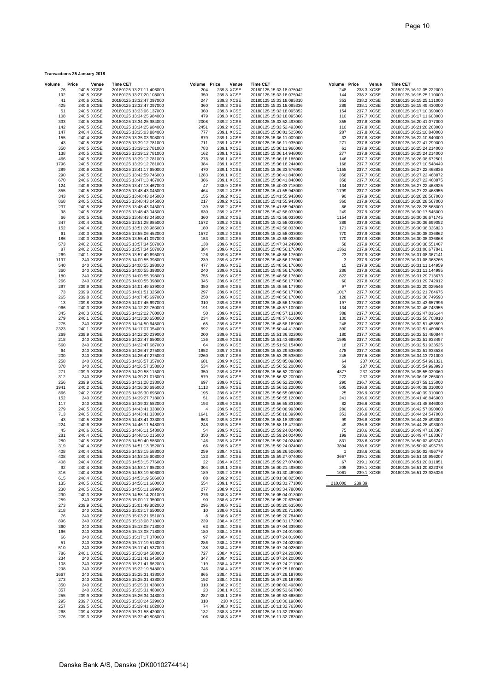| Volume      | Price                    | Venue                | <b>Time CET</b> |                                                      | Volume Price |   | Venue                    | <b>Time CET</b> |                                                      | Volume Price |        | Venue                    | Time CET                                             |
|-------------|--------------------------|----------------------|-----------------|------------------------------------------------------|--------------|---|--------------------------|-----------------|------------------------------------------------------|--------------|--------|--------------------------|------------------------------------------------------|
| 76          |                          | 240.5 XCSE           |                 | 20180125 13:27:11.406000                             | 204          |   | 239.3 XCSE               |                 | 20180125 15:33:18.075042                             | 248          |        | 238.3 XCSE               | 20180125 16:12:35.222000                             |
| 192         | 240.5 XCSE               |                      |                 | 20180125 13:27:20.108000                             | 350          |   | 239.3 XCSE               |                 | 20180125 15:33:18.075042                             | 144          |        | 238.2 XCSE               | 20180125 16:15:25.110000                             |
| 41          | 240.6 XCSE               |                      |                 | 20180125 13:32:47.097000                             | 247          |   | 239.3 XCSE               |                 | 20180125 15:33:18.095310                             | 353          |        | 238.2 XCSE               | 20180125 16:15:25.111000                             |
| 425<br>51   | 240.6 XCSE<br>240.5 XCSE |                      |                 | 20180125 13:32:47.097000<br>20180125 13:33:06.137000 | 360<br>360   |   | 239.3 XCSE<br>239.3 XCSE |                 | 20180125 15:33:18.095336<br>20180125 15:33:18.095352 | 289<br>154   |        | 238.1 XCSE<br>237.7 XCSE | 20180125 16:15:49.430000<br>20180125 16:17:10.390000 |
| 108         | 240.5 XCSE               |                      |                 | 20180125 13:34:25.984000                             | 479          |   | 239.3 XCSE               |                 | 20180125 15:33:18.095366                             | 110          |        | 237.7 XCSE               | 20180125 16:17:11.603000                             |
| 333         | 240.5 XCSE               |                      |                 | 20180125 13:34:25.984000                             | 2008         |   | 239.2 XCSE               |                 | 20180125 15:33:52.493000                             | 355          |        | 237.8 XCSE               | 20180125 16:20:41.077000                             |
| 142         | 240.5 XCSE               |                      |                 | 20180125 13:34:25.984000                             | 2451         |   | 239.2 XCSE               |                 | 20180125 15:33:52.493000                             | 110          |        | 237.8 XCSE               | 20180125 16:21:28.263000                             |
| 147         | 240.4 XCSE               |                      |                 | 20180125 13:35:03.884000                             | 777          |   | 239.1 XCSE               |                 | 20180125 15:36:01.525000                             | 287          |        | 237.8 XCSE               | 20180125 16:22:10.840000                             |
| 155         | 240.4 XCSE               |                      |                 | 20180125 13:35:03.908000                             | 879          |   | 239.1 XCSE               |                 | 20180125 15:36:11.009000                             | 33           |        | 237.8 XCSE               | 20180125 16:22:10.840000                             |
| 43          | 240.5 XCSE               |                      |                 | 20180125 13:39:12.781000                             | 711          |   | 239.1 XCSE               |                 | 20180125 15:36:11.935000                             | 271          |        | 237.8 XCSE               | 20180125 16:22:41.299000                             |
| 350         | 240.5 XCSE               |                      |                 | 20180125 13:39:12.781000                             | 783          |   | 239.1 XCSE               |                 | 20180125 15:36:11.966000                             | 61           |        | 237.9 XCSE               | 20180125 16:25:24.214000                             |
| 138         | 240.5 XCSE               |                      |                 | 20180125 13:39:12.781000                             | 162          |   | 239.1 XCSE               |                 | 20180125 15:36:14.948000                             | 277          |        | 237.9 XCSE               | 20180125 16:25:24.214000                             |
| 466         | 240.5 XCSE               |                      |                 | 20180125 13:39:12.781000                             | 278          |   | 239.1 XCSE               |                 | 20180125 15:36:18.186000                             | 146          |        | 237.7 XCSE               | 20180125 16:26:38.672501                             |
| 1796        | 240.5 XCSE               |                      |                 | 20180125 13:39:12.781000                             | 384          |   | 239.1 XCSE               |                 | 20180125 15:36:18.244000                             | 168          |        | 237.7 XCSE               | 20180125 16:27:10.548449                             |
| 289         | 240.6 XCSE               |                      |                 | 20180125 13:41:17.650000                             | 470          |   | 239.1 XCSE               |                 | 20180125 15:36:33.576000                             | 1155         |        | 237.7 XCSE               | 20180125 16:27:22.468836                             |
| 290<br>670  | 240.5 XCSE<br>240.6 XCSE |                      |                 | 20180125 13:42:59.746000<br>20180125 13:47:13.467000 | 1283<br>386  |   | 239.1 XCSE<br>239.1 XCSE |                 | 20180125 15:36:41.848000<br>20180125 15:36:41.848000 | 358<br>358   |        | 237.7 XCSE<br>237.7 XCSE | 20180125 16:27:22.468872<br>20180125 16:27:22.468875 |
| 124         | 240.6 XCSE               |                      |                 | 20180125 13:47:13.467000                             | 47           |   | 238.9 XCSE               |                 | 20180125 15:40:03.718000                             | 134          |        | 237.7 XCSE               | 20180125 16:27:22.468925                             |
| 855         | 240.5 XCSE               |                      |                 | 20180125 13:48:43.045000                             | 464          |   | 239.2 XCSE               |                 | 20180125 15:41:55.943000                             | 1799         |        | 237.7 XCSE               | 20180125 16:27:22.468955                             |
| 343         | 240.5 XCSE               |                      |                 | 20180125 13:48:43.045000                             | 155          |   | 239.2 XCSE               |                 | 20180125 15:41:55.943000                             | 90           |        | 237.9 XCSE               | 20180125 16:28:28.567000                             |
| 868         | 240.5 XCSE               |                      |                 | 20180125 13:48:43.045000                             | 217          |   | 239.2 XCSE               |                 | 20180125 15:41:55.943000                             | 360          |        | 237.9 XCSE               | 20180125 16:28:28.567000                             |
| 237         | 240.5 XCSE               |                      |                 | 20180125 13:48:43.045000                             | 139          |   | 239.2 XCSE               |                 | 20180125 15:41:55.943000                             | 86           |        | 237.9 XCSE               | 20180125 16:28:28.568000                             |
| 98          | 240.5 XCSE               |                      |                 | 20180125 13:48:43.045000                             | 630          |   | 239.2 XCSE               |                 | 20180125 15:42:58.033000                             | 249          |        | 237.9 XCSE               | 20180125 16:30:17.545000                             |
| 66          | 240.5 XCSE               |                      |                 | 20180125 13:48:43.045000                             | 360          |   | 239.2 XCSE               |                 | 20180125 15:42:58.033000                             | 1154         |        | 237.9 XCSE               | 20180125 16:30:36.671745                             |
| 347         | 240.4 XCSE               |                      |                 | 20180125 13:51:28.985000                             | 1572         |   | 239.2 XCSE               |                 | 20180125 15:42:58.033000                             | 389          |        | 237.9 XCSE               | 20180125 16:30:36.699052                             |
| 152         | 240.4 XCSE               |                      |                 | 20180125 13:51:28.985000                             | 180          |   | 239.2 XCSE               |                 | 20180125 15:42:58.033000                             | 171          |        | 237.9 XCSE               | 20180125 16:30:38.336823                             |
| 61          | 240.3 XCSE               |                      |                 | 20180125 13:55:06.452000                             | 1572         |   | 239.2 XCSE               |                 | 20180125 15:42:58.033000                             | 770          |        | 237.9 XCSE               | 20180125 16:30:38.336862                             |
| 186<br>573  | 240.3 XCSE<br>240.2 XCSE |                      |                 | 20180125 13:55:41.097000<br>20180125 13:57:34.507000 | 153<br>138   |   | 239.2 XCSE<br>239.6 XCSE |                 | 20180125 15:42:58.033000<br>20180125 15:47:34.249000 | 770<br>58    |        | 237.9 XCSE<br>237.9 XCSE | 20180125 16:30:38.336868<br>20180125 16:30:38.551407 |
| 87          | 240.2 XCSE               |                      |                 | 20180125 13:57:34.507000                             | 384          |   | 239.6 XCSE               |                 | 20180125 15:48:56.176000                             | 1361         |        | 237.9 XCSE               | 20180125 16:31:06.677841                             |
| 269         | 240.1 XCSE               |                      |                 | 20180125 13:57:49.695000                             | 126          |   | 239.6 XCSE               |                 | 20180125 15:48:56.176000                             | 23           |        | 237.9 XCSE               | 20180125 16:31:08.367141                             |
| 1197        |                          | 240 XCSE             |                 | 20180125 14:00:55.398000                             | 239          |   | 239.6 XCSE               |                 | 20180125 15:48:56.176000                             | 3            |        | 237.9 XCSE               | 20180125 16:31:08.368265                             |
| 540         |                          | 240 XCSE             |                 | 20180125 14:00:55.398000                             | 477          |   | 239.6 XCSE               |                 | 20180125 15:48:56.176000                             | 15           |        | 237.9 XCSE               | 20180125 16:31:11.144959                             |
| 360         |                          | 240 XCSE             |                 | 20180125 14:00:55.398000                             | 240          |   | 239.6 XCSE               |                 | 20180125 15:48:56.176000                             | 286          |        | 237.9 XCSE               | 20180125 16:31:11.144995                             |
| 180         |                          | 240 XCSE             |                 | 20180125 14:00:55.398000                             | 755          |   | 239.6 XCSE               |                 | 20180125 15:48:56.176000                             | 822          |        | 237.8 XCSE               | 20180125 16:31:29.713673                             |
| 266         |                          | 240 XCSE             |                 | 20180125 14:00:55.398000                             | 345          |   | 239.6 XCSE               |                 | 20180125 15:48:56.177000                             | 60           |        | 237.8 XCSE               | 20180125 16:31:29.742012                             |
| 297         |                          | 239.9 XCSE           |                 | 20180125 14:01:49.539000                             | 350          |   | 239.6 XCSE               |                 | 20180125 15:48:56.177000                             | 97           |        | 237.7 XCSE               | 20180125 16:32:20.029546                             |
| 73          | 239.9 XCSE               |                      |                 | 20180125 14:01:51.325000                             | 297          |   | 239.6 XCSE               |                 | 20180125 15:48:56.177000                             | 1017         |        | 237.7 XCSE               | 20180125 16:32:21.784675                             |
| 265         | 239.8 XCSE               |                      |                 | 20180125 14:07:45.697000                             | 250          |   | 239.6 XCSE               |                 | 20180125 15:48:56.178000                             | 128          |        | 237.7 XCSE               | 20180125 16:32:36.749590                             |
| 13<br>966   | 239.8 XCSE<br>240.3 XCSE |                      |                 | 20180125 14:07:45.697000<br>20180125 14:12:22.760000 | 310<br>191   |   | 239.6 XCSE<br>239.6 XCSE |                 | 20180125 15:48:56.178000<br>20180125 15:48:57.100000 | 197<br>134   |        | 237.7 XCSE<br>237.7 XCSE | 20180125 16:32:43.657996<br>20180125 16:32:46.743955 |
| 345         | 240.3 XCSE               |                      |                 | 20180125 14:12:22.760000                             | 50           |   | 239.6 XCSE               |                 | 20180125 15:48:57.131000                             | 388          |        | 237.7 XCSE               | 20180125 16:32:47.016144                             |
| 279         | 240.1 XCSE               |                      |                 | 20180125 14:13:30.650000                             | 234          |   | 239.6 XCSE               |                 | 20180125 15:48:57.610000                             | 130          |        | 237.7 XCSE               | 20180125 16:32:50.708910                             |
| 275         |                          | 240 XCSE             |                 | 20180125 14:14:50.645000                             | 65           |   | 239.6 XCSE               |                 | 20180125 15:48:58.169000                             | 248          |        | 237.7 XCSE               | 20180125 16:32:51.453599                             |
| 2323        | 240.1 XCSE               |                      |                 | 20180125 14:17:07.054000                             | 592          |   | 239.6 XCSE               |                 | 20180125 15:50:44.413000                             | 390          |        | 237.7 XCSE               | 20180125 16:32:51.480808                             |
| 269         | 239.9 XCSE               |                      |                 | 20180125 14:22:20.239000                             | 200          |   | 239.6 XCSE               |                 | 20180125 15:51:36.322000                             | 180          |        | 237.7 XCSE               | 20180125 16:32:51.480844                             |
| 218         |                          | 240 XCSE             |                 | 20180125 14:22:47.650000                             | 136          |   | 239.6 XCSE               |                 | 20180125 15:51:43.698000                             | 1595         |        | 237.7 XCSE               | 20180125 16:32:51.933497                             |
| 560         |                          | 240 XCSE             |                 | 20180125 14:22:47.687000                             | 64           |   | 239.6 XCSE               |                 | 20180125 15:51:52.154000                             | 18           |        | 237.7 XCSE               | 20180125 16:32:51.933535                             |
| 64<br>200   |                          | 240 XCSE<br>240 XCSE |                 | 20180125 14:26:47.275000<br>20180125 14:26:47.275000 | 1852<br>2260 |   | 239.7 XCSE<br>239.7 XCSE |                 | 20180125 15:53:29.538000<br>20180125 15:53:29.538000 | 478<br>245   |        | 237.7 XCSE<br>237.5 XCSE | 20180125 16:32:51.933538<br>20180125 16:34:13.721000 |
| 258         |                          | 240 XCSE             |                 | 20180125 14:26:57.357000                             | 681          |   | 239.9 XCSE               |                 | 20180125 15:55:05.098000                             | 64           |        | 237 XCSE                 | 20180125 16:35:54.991321                             |
| 378         |                          | 240 XCSE             |                 | 20180125 14:26:57.358000                             | 534          |   | 239.6 XCSE               |                 | 20180125 15:56:52.200000                             | 59           |        | 237 XCSE                 | 20180125 16:35:54.993993                             |
| 271         | 239.9 XCSE               |                      |                 | 20180125 14:29:58.115000                             | 350          |   | 239.6 XCSE               |                 | 20180125 15:56:52.200000                             | 4877         |        | 237 XCSE                 | 20180125 16:35:55.029060                             |
| 312         |                          | 240 XCSE             |                 | 20180125 14:30:21.016000                             | 579          |   | 239.6 XCSE               |                 | 20180125 15:56:52.200000                             | 272          |        | 237 XCSE                 | 20180125 16:36:16.265000                             |
| 256         | 239.9 XCSE               |                      |                 | 20180125 14:31:28.233000                             | 697          |   | 239.6 XCSE               |                 | 20180125 15:56:52.200000                             | 290          |        | 236.7 XCSE               | 20180125 16:37:59.135000                             |
| 1941        | 240.2 XCSE               |                      |                 | 20180125 14:36:30.695000                             | 1113         |   | 239.6 XCSE               |                 | 20180125 15:56:52.220000                             | 505          |        | 236.9 XCSE               | 20180125 16:40:39.310000                             |
| 866         | 240.2 XCSE               |                      |                 | 20180125 14:36:30.695000                             | 195          |   | 239.6 XCSE               |                 | 20180125 15:56:55.088000                             | 25           |        | 236.9 XCSE               | 20180125 16:40:39.310000                             |
| 152         |                          | 240 XCSE             |                 | 20180125 14:39:27.718000                             | 51           |   | 239.6 XCSE               |                 | 20180125 15:56:55.120000<br>20180125 15:56:55.831000 | 241          |        | 236.6 XCSE               | 20180125 16:41:48.846000                             |
| 117<br>279  | 240.5 XCSE               | 240 XCSE             |                 | 20180125 14:39:32.582000<br>20180125 14:43:41.333000 | 193<br>4     |   | 239.6 XCSE<br>239.5 XCSE |                 | 20180125 15:58:08.993000                             | 82<br>280    |        | 236.6 XCSE<br>236.6 XCSE | 20180125 16:41:48.846000<br>20180125 16:42:57.090000 |
| 713         | 240.5 XCSE               |                      |                 | 20180125 14:43:41.333000                             | 1641         |   | 239.5 XCSE               |                 | 20180125 15:58:18.399000                             | 353          |        | 236.8 XCSE               | 20180125 16:44:24.547000                             |
| 43          | 240.5 XCSE               |                      |                 | 20180125 14:43:41.333000                             | 663          |   | 239.5 XCSE               |                 | 20180125 15:58:18.399000                             | 99           |        | 236.8 XCSE               | 20180125 16:44:28.493000                             |
| 224         | 240.6 XCSE               |                      |                 | 20180125 14:46:11.548000                             | 248          |   | 239.5 XCSE               |                 | 20180125 15:58:18.472000                             | 49           |        | 236.8 XCSE               | 20180125 16:44:28.493000                             |
| 45          | 240.6 XCSE               |                      |                 | 20180125 14:46:11.548000                             | 54           |   | 239.5 XCSE               |                 | 20180125 15:59:24.024000                             | 75           |        | 238.6 XCSE               | 20180125 16:49:47.183367                             |
| 281         | 240.4 XCSE               |                      |                 | 20180125 14:48:16.215000                             | 350          |   | 239.5 XCSE               |                 | 20180125 15:59:24.024000                             | 199          |        | 238.6 XCSE               | 20180125 16:49:47.183367                             |
| 280         | 240.5 XCSE               |                      |                 | 20180125 14:50:40.586000                             | 146          |   | 239.5 XCSE               |                 | 20180125 15:59:24.024000                             | 831          |        | 238.6 XCSE               | 20180125 16:50:02.496740                             |
| 319         | 240.4 XCSE               |                      |                 | 20180125 14:51:13.352000                             | 66           |   | 239.5 XCSE               |                 | 20180125 15:59:24.024000                             | 3894         |        | 238.6 XCSE               | 20180125 16:50:02.496776                             |
| 408         | 240.4 XCSE               |                      |                 | 20180125 14:53:15.588000                             | 259          |   | 239.4 XCSE               |                 | 20180125 15:59:26.506000                             |              |        | 238.6 XCSE               | 20180125 16:50:02.496779                             |
| 408         | 240.4 XCSE               |                      |                 | 20180125 14:53:15.608000                             | 133          |   | 239.4 XCSE               |                 | 20180125 15:59:27.074000                             | 3667         |        | 239.1 XCSE               | 20180125 16:51:19.956207                             |
| 408<br>92   | 240.4 XCSE<br>240.4 XCSE |                      |                 | 20180125 14:53:15.776000<br>20180125 14:53:17.652000 | 22<br>304    |   | 239.4 XCSE<br>239.1 XCSE |                 | 20180125 15:59:27.074000<br>20180125 16:00:21.498000 | 67<br>205    |        | 239.1 XCSE<br>239.1 XCSE | 20180125 16:51:20.011851<br>20180125 16:51:20.822378 |
| 316         | 240.4 XCSE               |                      |                 | 20180125 14:53:19.506000                             | 189          |   | 239.2 XCSE               |                 | 20180125 16:01:30.469000                             | 1061         |        | 239.1 XCSE               | 20180125 16:51:23.925326                             |
| 615         | 240.4 XCSE               |                      |                 | 20180125 14:53:19.506000                             | 88           |   | 239.2 XCSE               |                 | 20180125 16:01:38.825000                             |              |        |                          |                                                      |
| 135         | 240.5 XCSE               |                      |                 | 20180125 14:56:11.660000                             | 554          |   | 239.1 XCSE               |                 | 20180125 16:02:31.771000                             | 210,000      | 239.89 |                          |                                                      |
| 230         | 240.5 XCSE               |                      |                 | 20180125 14:56:11.699000                             | 277          |   | 238.9 XCSE               |                 | 20180125 16:03:34.780000                             |              |        |                          |                                                      |
| 290         | 240.3 XCSE               |                      |                 | 20180125 14:58:14.201000                             | 276          |   | 238.8 XCSE               |                 | 20180125 16:05:04.013000                             |              |        |                          |                                                      |
| 259         |                          | 240 XCSE             |                 | 20180125 15:00:17.950000                             | 90           |   | 238.6 XCSE               |                 | 20180125 16:05:20.635000                             |              |        |                          |                                                      |
| 273         | 239.9 XCSE               |                      |                 | 20180125 15:01:49.802000                             | 296          |   | 238.6 XCSE               |                 | 20180125 16:05:20.635000                             |              |        |                          |                                                      |
| 218         |                          | 240 XCSE             |                 | 20180125 15:03:17.650000                             | 10           |   | 238.6 XCSE               |                 | 20180125 16:05:20.711000                             |              |        |                          |                                                      |
| 76<br>896   |                          | 240 XCSE<br>240 XCSE |                 | 20180125 15:03:21.651000                             | 239          | 8 | 238.6 XCSE<br>238.4 XCSE |                 | 20180125 16:05:20.784000                             |              |        |                          |                                                      |
| 360         |                          | 240 XCSE             |                 | 20180125 15:13:08.718000<br>20180125 15:13:08.718000 | 63           |   | 238.4 XCSE               |                 | 20180125 16:06:31.172000<br>20180125 16:07:04.339000 |              |        |                          |                                                      |
| 166         |                          | 240 XCSE             |                 | 20180125 15:13:08.718000                             | 180          |   | 238.4 XCSE               |                 | 20180125 16:07:24.019000                             |              |        |                          |                                                      |
| 66          |                          | 240 XCSE             |                 | 20180125 15:17:17.070000                             | 97           |   | 238.4 XCSE               |                 | 20180125 16:07:24.019000                             |              |        |                          |                                                      |
| 51          |                          | 240 XCSE             |                 | 20180125 15:17:19.513000                             | 286          |   | 238.4 XCSE               |                 | 20180125 16:07:24.022000                             |              |        |                          |                                                      |
| 510         |                          | 240 XCSE             |                 | 20180125 15:17:41.537000                             | 138          |   | 238.4 XCSE               |                 | 20180125 16:07:24.028000                             |              |        |                          |                                                      |
| 786         | 240.1 XCSE               |                      |                 | 20180125 15:20:34.588000                             | 727          |   | 238.4 XCSE               |                 | 20180125 16:07:24.208000                             |              |        |                          |                                                      |
| 234         |                          | 240 XCSE             |                 | 20180125 15:21:41.645000                             | 347          |   | 238.4 XCSE               |                 | 20180125 16:07:24.208000                             |              |        |                          |                                                      |
| 108         |                          | 240 XCSE             |                 | 20180125 15:21:41.662000                             | 119          |   | 238.4 XCSE               |                 | 20180125 16:07:24.217000                             |              |        |                          |                                                      |
| 298<br>1667 |                          | 240 XCSE<br>240 XCSE |                 | 20180125 15:22:19.848000<br>20180125 15:25:31.438000 | 746<br>865   |   | 238.4 XCSE<br>238.4 XCSE |                 | 20180125 16:07:25.160000<br>20180125 16:07:29.187000 |              |        |                          |                                                      |
| 273         |                          | 240 XCSE             |                 | 20180125 15:25:31.438000                             | 192          |   | 238.4 XCSE               |                 | 20180125 16:07:29.187000                             |              |        |                          |                                                      |
| 350         |                          | 240 XCSE             |                 | 20180125 15:25:31.438000                             | 310          |   | 238.2 XCSE               |                 | 20180125 16:08:02.498000                             |              |        |                          |                                                      |
| 357         |                          | 240 XCSE             |                 | 20180125 15:25:31.483000                             | 23           |   | 238.1 XCSE               |                 | 20180125 16:09:53.667000                             |              |        |                          |                                                      |
| 255         |                          | 239.9 XCSE           |                 | 20180125 15:26:34.048000                             | 287          |   | 238.1 XCSE               |                 | 20180125 16:09:53.668000                             |              |        |                          |                                                      |
| 295         |                          | 239.7 XCSE           |                 | 20180125 15:28:24.529000                             | 310          |   | 238 XCSE                 |                 | 20180125 16:10:30.198000                             |              |        |                          |                                                      |
| 257         | 239.5 XCSE               |                      |                 | 20180125 15:29:41.602000                             | 74           |   | 238.3 XCSE               |                 | 20180125 16:11:32.763000                             |              |        |                          |                                                      |
| 268         | 239.4 XCSE               |                      |                 | 20180125 15:31:58.420000                             | 132          |   | 238.3 XCSE               |                 | 20180125 16:11:32.763000                             |              |        |                          |                                                      |
| 276         | 239.3 XCSE               |                      |                 | 20180125 15:32:49.805000                             | 106          |   | 238.3 XCSE               |                 | 20180125 16:11:32.763000                             |              |        |                          |                                                      |

**Transactions 25 January 2018**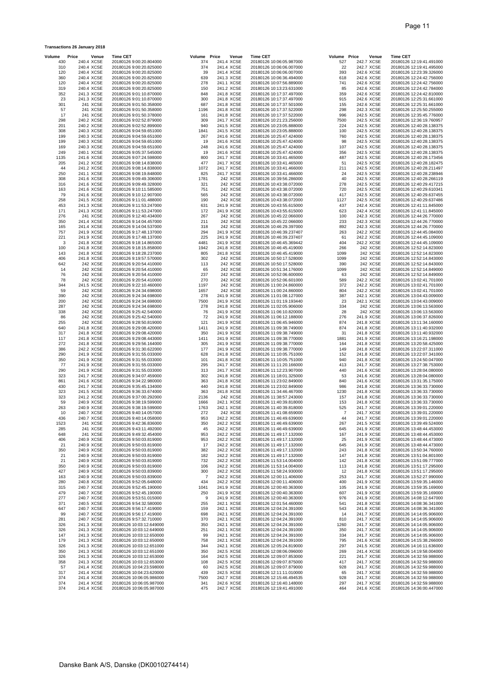| Volume     | Price                    | Venue                    | <b>Time CET</b>                                      | Volume Price   | Venue                    | <b>Time CET</b> |                                                      | Volume Price   | Venue                    | <b>Time CET</b>                                      |
|------------|--------------------------|--------------------------|------------------------------------------------------|----------------|--------------------------|-----------------|------------------------------------------------------|----------------|--------------------------|------------------------------------------------------|
| 430        | 240.4 XCSE               |                          | 20180126 9:00:20.804000                              | 374            | 241.4 XCSE               |                 | 20180126 10:06:05.987000                             | 527            | 242.7 XCSE               | 20180126 12:19:41.491000                             |
| 310        | 240.4 XCSE               |                          | 20180126 9:00:20.825000                              | 374            | 241.4 XCSE               |                 | 20180126 10:06:06.007000                             | 22             | 242.7 XCSE               | 20180126 12:19:41.495000                             |
| 120<br>360 | 240.4 XCSE<br>240.4 XCSE |                          | 20180126 9:00:20.825000<br>20180126 9:00:20.825000   | 39<br>639      | 241.4 XCSE<br>241.3 XCSE |                 | 20180126 10:06:06.007000<br>20180126 10:06:36.494000 | 393<br>618     | 242.6 XCSE<br>242.6 XCSE | 20180126 12:23:39.326000<br>20180126 12:24:42.756000 |
| 120        | 240.4 XCSE               |                          | 20180126 9:00:20.825000                              | 278            | 241.1 XCSE               |                 | 20180126 10:07:56.889000                             | 741            | 242.6 XCSE               | 20180126 12:24:42.756000                             |
| 319        | 240.4 XCSE               |                          | 20180126 9:00:20.825000                              | 150            | 241.2 XCSE               |                 | 20180126 10:13:23.631000                             | 85             | 242.6 XCSE               | 20180126 12:24:42.784000                             |
| 352        |                          | 241.3 XCSE               | 20180126 9:01:10.870000                              | 848            | 241.8 XCSE               |                 | 20180126 10:17:37.497000                             | 359            | 242.6 XCSE               | 20180126 12:24:42.810000                             |
| 23         | 241.3 XCSE               |                          | 20180126 9:01:10.870000                              | 300            | 241.8 XCSE               |                 | 20180126 10:17:37.497000                             | 915            | 242.6 XCSE               | 20180126 12:25:31.661000                             |
| 301        |                          | 241 XCSE                 | 20180126 9:01:50.358000                              | 687            | 241.8 XCSE               |                 | 20180126 10:17:37.501000                             | 155            | 242.6 XCSE               | 20180126 12:25:31.661000                             |
| 57<br>17   |                          | 241 XCSE<br>241 XCSE     | 20180126 9:01:50.358000<br>20180126 9:01:50.378000   | 1196<br>161    | 241.8 XCSE<br>241.8 XCSE |                 | 20180126 10:17:37.522000<br>20180126 10:17:37.522000 | 298<br>996     | 242.3 XCSE<br>242.5 XCSE | 20180126 12:25:50.255000<br>20180126 12:35:45.776000 |
| 298        | 240.2 XCSE               |                          | 20180126 9:02:52.879000                              | 309            | 241.7 XCSE               |                 | 20180126 10:21:23.256000                             | 7500           | 242.5 XCSE               | 20180126 12:36:19.760957                             |
| 201        | 240.2 XCSE               |                          | 20180126 9:02:52.899000                              | 940            | 241.5 XCSE               |                 | 20180126 10:23:05.888000                             | 224            | 242.5 XCSE               | 20180126 12:40:28.138375                             |
| 308        | 240.3 XCSE               |                          | 20180126 9:04:59.651000                              | 1841           | 241.5 XCSE               |                 | 20180126 10:23:05.888000                             | 100            | 242.5 XCSE               | 20180126 12:40:28.138375                             |
| 199        | 240.3 XCSE               |                          | 20180126 9:04:59.651000                              | 267            | 241.6 XCSE               |                 | 20180126 10:25:47.424000                             | 760            | 242.5 XCSE               | 20180126 12:40:28.138375                             |
| 199        | 240.3 XCSE               |                          | 20180126 9:04:59.651000                              | 19             | 241.6 XCSE               |                 | 20180126 10:25:47.424000                             | 98             | 242.5 XCSE               | 20180126 12:40:28.138375                             |
| 169<br>249 | 240.3 XCSE               | 240.1 XCSE               | 20180126 9:04:59.651000<br>20180126 9:05:37.545000   | 248<br>19      | 241.6 XCSE<br>241.6 XCSE |                 | 20180126 10:25:47.424000<br>20180126 10:25:47.424000 | 107<br>356     | 242.5 XCSE<br>242.5 XCSE | 20180126 12:40:28.138375<br>20180126 12:40:28.138375 |
| 1135       | 241.6 XCSE               |                          | 20180126 9:07:24.598000                              | 800            | 241.7 XCSE               |                 | 20180126 10:33:41.465000                             | 487            | 242.5 XCSE               | 20180126 12:40:28.173456                             |
| 205        | 241.2 XCSE               |                          | 20180126 9:08:14.838000                              | 477            | 241.7 XCSE               |                 | 20180126 10:33:41.465000                             | 51             | 242.5 XCSE               | 20180126 12:40:28.182475                             |
| 44         | 241.2 XCSE               |                          | 20180126 9:08:14.838000                              | 1072           | 241.7 XCSE               |                 | 20180126 10:33:41.466000                             | 211            | 242.5 XCSE               | 20180126 12:40:28.211497                             |
| 250        | 241.1 XCSE               |                          | 20180126 9:08:19.848000                              | 825            | 241.7 XCSE               |                 | 20180126 10:33:41.466000                             | 24             | 242.5 XCSE               | 20180126 12:40:28.238946                             |
| 308        | 241.6 XCSE               |                          | 20180126 9:09:49.306000                              | 1781           | 242 XCSE                 |                 | 20180126 10:39:56.286000                             | 40             | 242.5 XCSE               | 20180126 12:40:28.266119                             |
| 316        | 241.6 XCSE<br>241.6 XCSE |                          | 20180126 9:09:49.328000                              | 321            | 242 XCSE<br>242 XCSE     |                 | 20180126 10:43:38.072000                             | 278<br>720     | 242.5 XCSE<br>242.5 XCSE | 20180126 12:40:29.417215                             |
| 163<br>79  |                          | 241.6 XCSE               | 20180126 9:10:11.585000<br>20180126 9:10:12.907000   | 751<br>565     | 242 XCSE                 |                 | 20180126 10:43:38.072000<br>20180126 10:43:38.072000 | 417            | 242.5 XCSE               | 20180126 12:40:29.610341<br>20180126 12:40:29.637455 |
| 258        |                          | 241.5 XCSE               | 20180126 9:11:01.488000                              | 190            | 242 XCSE                 |                 | 20180126 10:43:38.072000                             | 1127           | 242.5 XCSE               | 20180126 12:40:29.637486                             |
| 453        | 241.3 XCSE               |                          | 20180126 9:11:53.247000                              | 631            | 241.9 XCSE               |                 | 20180126 10:43:55.615000                             | 437            | 242.4 XCSE               | 20180126 12:41:11.845000                             |
| 171        |                          | 241.3 XCSE               | 20180126 9:11:53.247000                              | 172            | 241.9 XCSE               |                 | 20180126 10:43:55.615000                             | 623            | 242.4 XCSE               | 20180126 12:41:11.845000                             |
| 276        |                          | 241 XCSE                 | 20180126 9:12:40.434000                              | 267            | 242 XCSE                 |                 | 20180126 10:45:22.066000                             | 100            | 242.3 XCSE               | 20180126 12:44:26.770000                             |
| 350        |                          | 241.4 XCSE               | 20180126 9:14:04.457000                              | 211            | 242 XCSE                 |                 | 20180126 10:45:22.066000                             | 233            | 242.3 XCSE               | 20180126 12:44:26.770000                             |
| 165<br>757 |                          | 241.4 XCSE<br>241.9 XCSE | 20180126 9:14:04.537000<br>20180126 9:17:48.137000   | 318<br>294     | 242 XCSE<br>241.9 XCSE   |                 | 20180126 10:46:29.397000<br>20180126 10:46:39.237407 | 892<br>263     | 242.3 XCSE<br>242.2 XCSE | 20180126 12:44:26.770000<br>20180126 12:44:45.084000 |
| 221        |                          | 241.9 XCSE               | 20180126 9:17:48.137000                              | 225            | 241.9 XCSE               |                 | 20180126 10:46:39.237407                             | 61             | 242.2 XCSE               | 20180126 12:44:45.109000                             |
| 3          | 241.8 XCSE               |                          | 20180126 9:18:14.865000                              | 4481           | 241.9 XCSE               |                 | 20180126 10:46:45.369442                             | 404            | 242.2 XCSE               | 20180126 12:44:45.109000                             |
| 100        | 241.8 XCSE               |                          | 20180126 9:18:15.858000                              | 1942           | 241.8 XCSE               |                 | 20180126 10:46:45.419000                             | 266            | 242 XCSE                 | 20180126 12:52:14.823000                             |
| 143        | 241.8 XCSE               |                          | 20180126 9:18:28.237000                              | 805            | 241.8 XCSE               |                 | 20180126 10:46:45.419000                             | 1099           | 242 XCSE                 | 20180126 12:52:14.823000                             |
| 406        | 241.8 XCSE               |                          | 20180126 9:19:57.570000                              | 302            | 242 XCSE                 |                 | 20180126 10:50:17.528000                             | 1099           | 242 XCSE                 | 20180126 12:52:14.843000                             |
| 642        |                          | 242 XCSE                 | 20180126 9:20:54.410000                              | 113            | 242 XCSE                 |                 | 20180126 10:50:17.528000                             | 390            | 242 XCSE                 | 20180126 12:52:14.843000                             |
| 14<br>76   |                          | 242 XCSE<br>242 XCSE     | 20180126 9:20:54.410000<br>20180126 9:20:54.410000   | 65<br>237      | 242 XCSE<br>242 XCSE     |                 | 20180126 10:51:34.176000<br>20180126 10:52:06.600000 | 1099<br>63     | 242 XCSE<br>242 XCSE     | 20180126 12:52:14.849000<br>20180126 12:52:14.849000 |
| 78         |                          | 242 XCSE                 | 20180126 9:20:54.410000                              | 270            | 242 XCSE                 |                 | 20180126 10:52:06.601000                             | 589            | 242.2 XCSE               | 20180126 13:02:41.701000                             |
| 344        |                          | 241.5 XCSE               | 20180126 9:22:10.460000                              | 1197           | 242 XCSE                 |                 | 20180126 11:00:24.860000                             | 372            | 242.2 XCSE               | 20180126 13:02:41.701000                             |
| 59         |                          | 242 XCSE                 | 20180126 9:24:34.698000                              | 1657           | 242 XCSE                 |                 | 20180126 11:00:24.860000                             | 804            | 242.2 XCSE               | 20180126 13:02:41.701000                             |
| 390        |                          | 242 XCSE                 | 20180126 9:24:34.698000                              | 278            | 241.9 XCSE               |                 | 20180126 11:01:08.127000                             | 387            | 242.1 XCSE               | 20180126 13:04:43.009000                             |
| 200        |                          | 242 XCSE                 | 20180126 9:24:34.698000                              | 7500           | 241.9 XCSE               |                 | 20180126 11:01:19.193440                             | 23             | 242.1 XCSE               | 20180126 13:04:43.009000                             |
| 287<br>338 |                          | 242 XCSE<br>242 XCSE     | 20180126 9:24:34.698000                              | 278<br>76      | 241.8 XCSE               |                 | 20180126 11:02:05.906000                             | 334<br>28      | 242 XCSE<br>242 XCSE     | 20180126 13:06:13.563000                             |
| 86         |                          | 242 XCSE                 | 20180126 9:25:42.540000<br>20180126 9:25:42.540000   | 72             | 241.9 XCSE<br>241.9 XCSE |                 | 20180126 11:06:10.820000<br>20180126 11:06:12.188000 | 276            | 241.9 XCSE               | 20180126 13:06:13.563000<br>20180126 13:06:37.826000 |
| 255        |                          | 242 XCSE                 | 20180126 9:28:50.819000                              | 121            | 241.9 XCSE               |                 | 20180126 11:06:45.946000                             | 874            | 241.8 XCSE               | 20180126 13:11:34.160000                             |
| 640        | 241.8 XCSE               |                          | 20180126 9:29:08.420000                              | 1411           | 241.9 XCSE               |                 | 20180126 11:09:38.749000                             | 874            | 241.8 XCSE               | 20180126 13:11:40.932000                             |
| 317        | 241.8 XCSE               |                          | 20180126 9:29:08.420000                              | 350            | 241.9 XCSE               |                 | 20180126 11:09:38.749000                             | 31             | 241.8 XCSE               | 20180126 13:11:40.932000                             |
| 117        | 241.8 XCSE               |                          | 20180126 9:29:08.443000                              | 1411           | 241.9 XCSE               |                 | 20180126 11:09:38.770000                             | 1881           | 241.9 XCSE               | 20180126 13:16:21.198000                             |
| 272        |                          | 241.8 XCSE               | 20180126 9:29:56.164000                              | 305            | 241.9 XCSE               |                 | 20180126 11:09:38.770000                             | 164            | 241.8 XCSE               | 20180126 13:20:58.425000                             |
| 386        |                          | 242.2 XCSE<br>241.9 XCSE | 20180126 9:31:30.622000                              | 177<br>628     | 241.9 XCSE<br>241.8 XCSE |                 | 20180126 11:09:38.770000                             | 149            | 241.8 XCSE               | 20180126 13:22:07.311000                             |
| 290<br>350 |                          | 241.9 XCSE               | 20180126 9:31:55.033000<br>20180126 9:31:55.033000   | 101            | 241.8 XCSE               |                 | 20180126 11:10:05.751000<br>20180126 11:10:05.751000 | 152<br>940     | 241.8 XCSE<br>241.8 XCSE | 20180126 13:22:07.341000<br>20180126 13:24:50.047000 |
| 77         | 241.9 XCSE               |                          | 20180126 9:31:55.033000                              | 295            | 241.7 XCSE               |                 | 20180126 11:11:20.166000                             | 413            | 241.7 XCSE               | 20180126 13:27:38.753000                             |
| 290        | 241.9 XCSE               |                          | 20180126 9:31:55.033000                              | 313            | 241.7 XCSE               |                 | 20180126 11:12:23.907000                             | 440            | 241.6 XCSE               | 20180126 13:28:04.080000                             |
| 323        | 241.7 XCSE               |                          | 20180126 9:34:07.459000                              | 302            | 241.8 XCSE               |                 | 20180126 11:18:01.325000                             | 53             | 241.6 XCSE               | 20180126 13:28:04.080000                             |
| 861        | 241.6 XCSE               |                          | 20180126 9:34:22.980000                              | 363            | 241.8 XCSE               |                 | 20180126 11:23:02.849000                             | 840            | 241.6 XCSE               | 20180126 13:31:35.175000                             |
| 430<br>323 | 241.7 XCSE<br>241.5 XCSE |                          | 20180126 9:35:45.134000<br>20180126 9:36:33.674000   | 440<br>363     | 241.8 XCSE<br>241.8 XCSE |                 | 20180126 11:23:02.849000                             | 986<br>1230    | 241.8 XCSE<br>241.8 XCSE | 20180126 13:36:33.730000<br>20180126 13:36:33.730000 |
| 323        | 241.2 XCSE               |                          | 20180126 9:37:00.292000                              | 2136           | 242 XCSE                 |                 | 20180126 11:34:46.467000<br>20180126 11:38:57.243000 | 157            | 241.8 XCSE               | 20180126 13:36:33.730000                             |
| 59         | 240.9 XCSE               |                          | 20180126 9:38:19.599000                              | 1666           | 242.1 XCSE               |                 | 20180126 11:40:39.818000                             | 153            | 241.8 XCSE               | 20180126 13:36:33.730000                             |
| 263        | 240.9 XCSE               |                          | 20180126 9:38:19.599000                              | 1763           | 242.1 XCSE               |                 | 20180126 11:40:39.818000                             | 525            | 241.7 XCSE               | 20180126 13:39:01.220000                             |
| 10         | 240.7 XCSE               |                          | 20180126 9:40:14.057000                              | 272            | 242 XCSE                 |                 | 20180126 11:41:08.659000                             | $\overline{7}$ | 241.7 XCSE               | 20180126 13:39:01.220000                             |
| 436        | 240.7 XCSE               |                          | 20180126 9:40:14.058000                              | 953            | 242.2 XCSE               |                 | 20180126 11:46:49.639000                             | 44             | 241.7 XCSE               | 20180126 13:39:01.220000                             |
| 1523       |                          | 241 XCSE                 | 20180126 9:42:36.836000<br>20180126 9:43:11.492000   | 350            | 242.2 XCSE               |                 | 20180126 11:46:49.639000                             | 267            | 241.5 XCSE               | 20180126 13:39:49.524000<br>20180126 13:48:44.453000 |
| 285<br>648 |                          | 241 XCSE<br>241 XCSE     | 20180126 9:49:32.454000                              | 45<br>953      | 242.2 XCSE<br>242.2 XCSE |                 | 20180126 11:46:49.639000<br>20180126 11:49:17.132000 | 645<br>167     | 241.9 XCSE<br>241.9 XCSE | 20180126 13:48:44.453000                             |
| 406        | 240.9 XCSE               |                          | 20180126 9:50:03.819000                              | 953            | 242.2 XCSE               |                 | 20180126 11:49:17.132000                             | 25             | 241.9 XCSE               | 20180126 13:48:44.473000                             |
| 21         |                          | 240.9 XCSE               | 20180126 9:50:03.819000                              | 17             | 242.2 XCSE               |                 | 20180126 11:49:17.132000                             | 645            | 241.9 XCSE               | 20180126 13:48:44.473000                             |
| 350        |                          | 240.9 XCSE               | 20180126 9:50:03.819000                              | 382            | 242.2 XCSE               |                 | 20180126 11:49:17.132000                             | 243            | 241.8 XCSE               | 20180126 13:50:34.760000                             |
| 21         | 240.9 XCSE               |                          | 20180126 9:50:03.819000                              | 182            | 242.2 XCSE               |                 | 20180126 11:49:17.132000                             | 147            | 241.8 XCSE               | 20180126 13:51:04.801000                             |
| 21         |                          | 240.9 XCSE               | 20180126 9:50:03.819000                              | 732            | 242.2 XCSE               |                 | 20180126 11:53:14.004000                             | 142            | 241.8 XCSE               | 20180126 13:51:09.777000                             |
| 350<br>427 | 240.9 XCSE<br>240.9 XCSE |                          | 20180126 9:50:03.819000<br>20180126 9:50:03.839000   | 106<br>300     | 242.2 XCSE<br>242.2 XCSE |                 | 20180126 11:53:14.004000<br>20180126 11:58:24.930000 | 113<br>12      | 241.8 XCSE<br>241.8 XCSE | 20180126 13:51:17.295000<br>20180126 13:51:17.295000 |
| 163        |                          | 240.9 XCSE               | 20180126 9:50:03.839000                              | $\overline{7}$ | 242.2 XCSE               |                 | 20180126 12:00:11.406000                             | 253            | 241.7 XCSE               | 20180126 13:52:27.990000                             |
| 280        |                          | 240.8 XCSE               | 20180126 9:52:05.648000                              | 434            | 242.2 XCSE               |                 | 20180126 12:00:11.406000                             | 400            | 241.9 XCSE               | 20180126 13:59:35.146000                             |
| 315        |                          | 240.7 XCSE               | 20180126 9:52:45.190000                              | 1041           | 241.9 XCSE               |                 | 20180126 12:00:40.363000                             | 105            | 241.9 XCSE               | 20180126 13:59:35.169000                             |
| 479        |                          | 240.7 XCSE               | 20180126 9:52:45.190000                              | 250            | 241.9 XCSE               |                 | 20180126 12:00:40.363000                             | 607            | 241.9 XCSE               | 20180126 13:59:35.169000                             |
| 277        |                          | 240.7 XCSE               | 20180126 9:53:51.015000                              | 9              | 241.9 XCSE               |                 | 20180126 12:00:40.363000                             | 976            | 241.9 XCSE               | 20180126 14:08:12.647000                             |
| 371        | 240.5 XCSE<br>240.7 XCSE |                          | 20180126 9:54:32.580000                              | 255            | 242.1 XCSE<br>242.1 XCSE |                 | 20180126 12:01:54.460000                             | 541            | 241.8 XCSE               | 20180126 14:08:36.341000                             |
| 647<br>99  | 240.7 XCSE               |                          | 20180126 9:56:17.419000<br>20180126 9:56:17.419000   | 159<br>698     | 242.1 XCSE               |                 | 20180126 12:04:24.391000<br>20180126 12:04:24.391000 | 543<br>14      | 241.8 XCSE<br>241.7 XCSE | 20180126 14:08:36.341000<br>20180126 14:14:05.906000 |
| 281        |                          | 240.7 XCSE               | 20180126 9:57:32.710000                              | 370            | 242.1 XCSE               |                 | 20180126 12:04:24.391000                             | 810            | 241.7 XCSE               | 20180126 14:14:05.906000                             |
| 326        |                          | 241.3 XCSE               | 20180126 10:03:12.649000                             | 350            | 242.1 XCSE               |                 | 20180126 12:04:24.391000                             | 1260           | 241.7 XCSE               | 20180126 14:14:05.906000                             |
| 326        |                          | 241.3 XCSE               | 20180126 10:03:12.649000                             | 251            | 242.1 XCSE               |                 | 20180126 12:04:24.391000                             | 350            | 241.7 XCSE               | 20180126 14:14:05.906000                             |
| 147        | 241.3 XCSE               |                          | 20180126 10:03:12.650000                             | 99             | 242.1 XCSE               |                 | 20180126 12:04:24.391000                             | 334            | 241.7 XCSE               | 20180126 14:14:05.906000                             |
| 179        | 241.3 XCSE               |                          | 20180126 10:03:12.650000                             | 758            | 242.1 XCSE               |                 | 20180126 12:04:24.391000                             | 795            | 241.6 XCSE               | 20180126 14:15:38.266000                             |
| 326<br>350 |                          | 241.3 XCSE<br>241.3 XCSE | 20180126 10:03:12.651000<br>20180126 10:03:12.651000 | 344<br>350     | 242.1 XCSE<br>242.5 XCSE |                 | 20180126 12:05:24.819000<br>20180126 12:08:06.096000 | 297<br>269     | 241.5 XCSE<br>241.4 XCSE | 20180126 14:16:11.636000<br>20180126 14:19:58.004000 |
| 326        |                          | 241.3 XCSE               | 20180126 10:03:12.653000                             | 164            | 242.5 XCSE               |                 | 20180126 12:09:07.853000                             | 221            | 241.7 XCSE               | 20180126 14:32:59.988000                             |
| 358        |                          | 241.3 XCSE               | 20180126 10:03:12.653000                             | 108            | 242.5 XCSE               |                 | 20180126 12:09:07.875000                             | 417            | 241.7 XCSE               | 20180126 14:32:59.988000                             |
| 57         |                          | 241.4 XCSE               | 20180126 10:04:23.598000                             | 60             | 242.5 XCSE               |                 | 20180126 12:09:07.879000                             | 928            | 241.7 XCSE               | 20180126 14:32:59.988000                             |
| 317        | 241.4 XCSE               |                          | 20180126 10:04:23.620000                             | 439            | 242.5 XCSE               |                 | 20180126 12:11:11.010000                             | 65             | 241.7 XCSE               | 20180126 14:32:59.988000                             |
| 374<br>374 | 241.4 XCSE               | 241.4 XCSE               | 20180126 10:06:05.986000<br>20180126 10:06:05.987000 | 7500<br>341    | 242.7 XCSE<br>242.6 XCSE |                 | 20180126 12:15:46.494535<br>20180126 12:16:40.148000 | 928<br>297     | 241.7 XCSE<br>241.7 XCSE | 20180126 14:32:59.988000<br>20180126 14:32:59.988000 |
| 374        |                          | 241.4 XCSE               | 20180126 10:06:05.987000                             | 475            | 242.7 XCSE               |                 | 20180126 12:19:41.491000                             | 464            | 241.6 XCSE               | 20180126 14:36:00.447000                             |

**Transactions 26 January 2018**